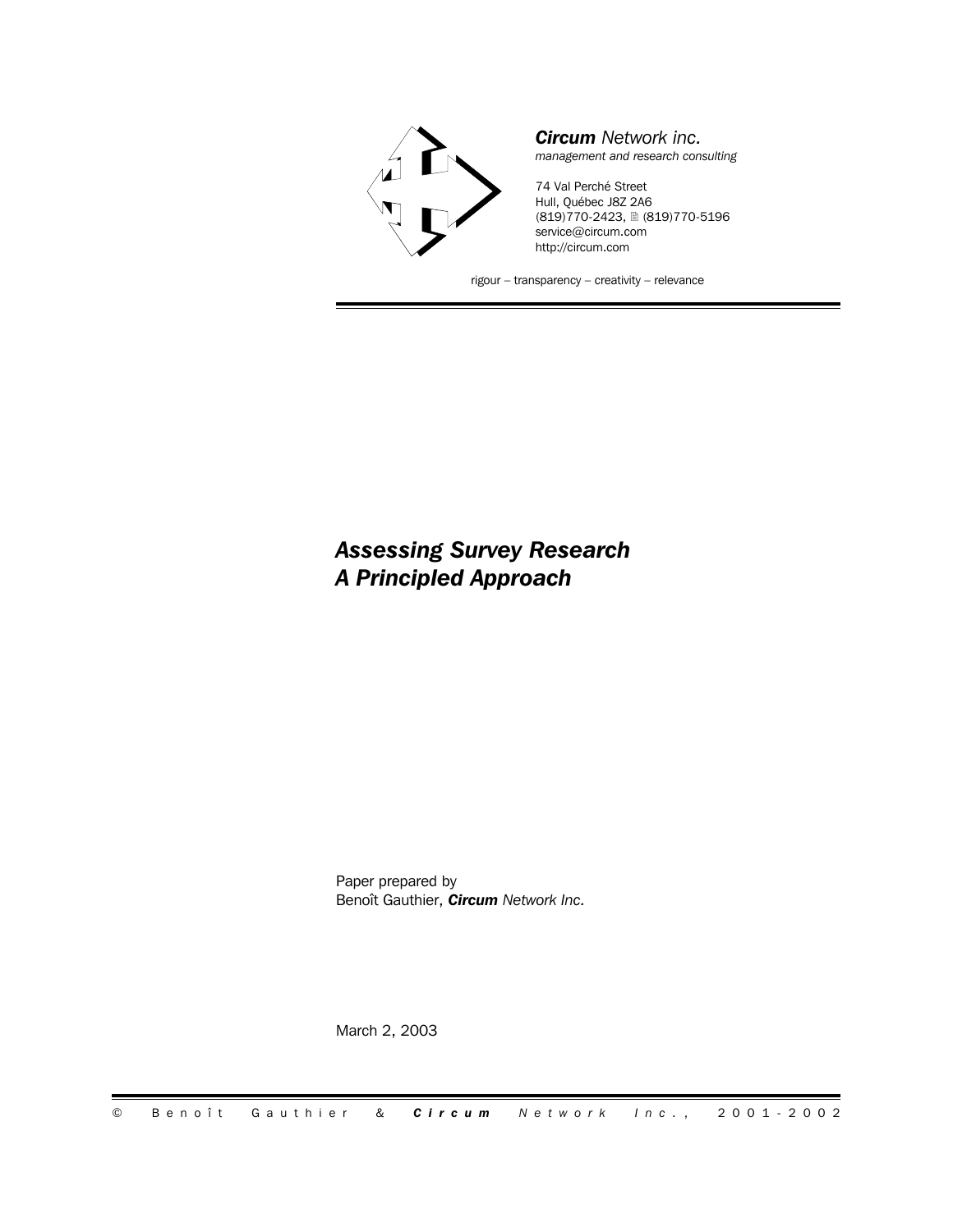

rigour – transparency – creativity – relevance

# *Assessing Survey Research A Principled Approach*

Paper prepared by Benoît Gauthier, *Circum Network Inc.*

March 2, 2003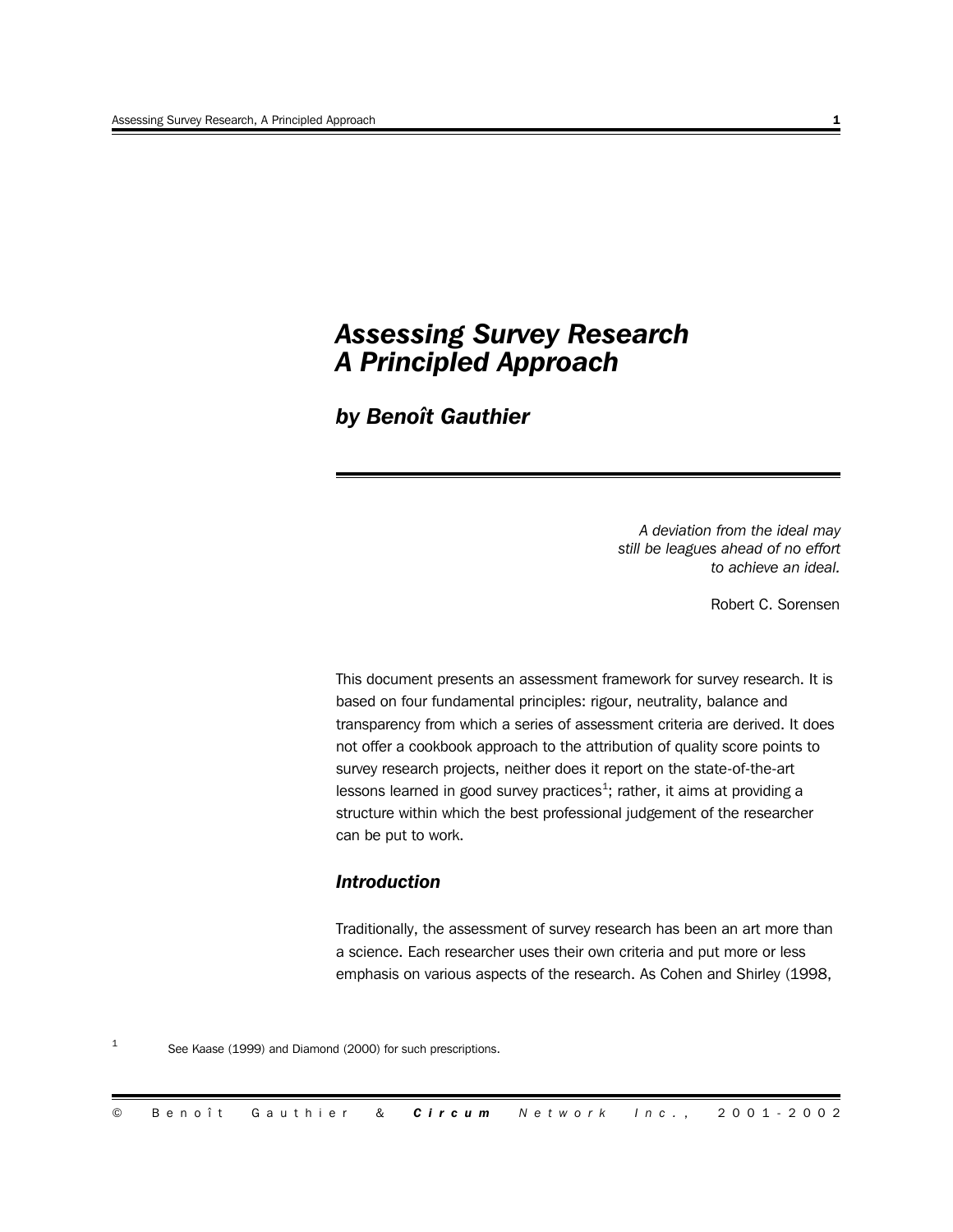# *Assessing Survey Research A Principled Approach*

# *by Benoît Gauthier*

*A deviation from the ideal may still be leagues ahead of no effort to achieve an ideal.*

Robert C. Sorensen

This document presents an assessment framework for survey research. It is based on four fundamental principles: rigour, neutrality, balance and transparency from which a series of assessment criteria are derived. It does not offer a cookbook approach to the attribution of quality score points to survey research projects, neither does it report on the state-of-the-art lessons learned in good survey practices<sup>1</sup>; rather, it aims at providing a structure within which the best professional judgement of the researcher can be put to work.

# *Introduction*

Traditionally, the assessment of survey research has been an art more than a science. Each researcher uses their own criteria and put more or less emphasis on various aspects of the research. As Cohen and Shirley (1998,

1 See Kaase (1999) and Diamond (2000) for such prescriptions.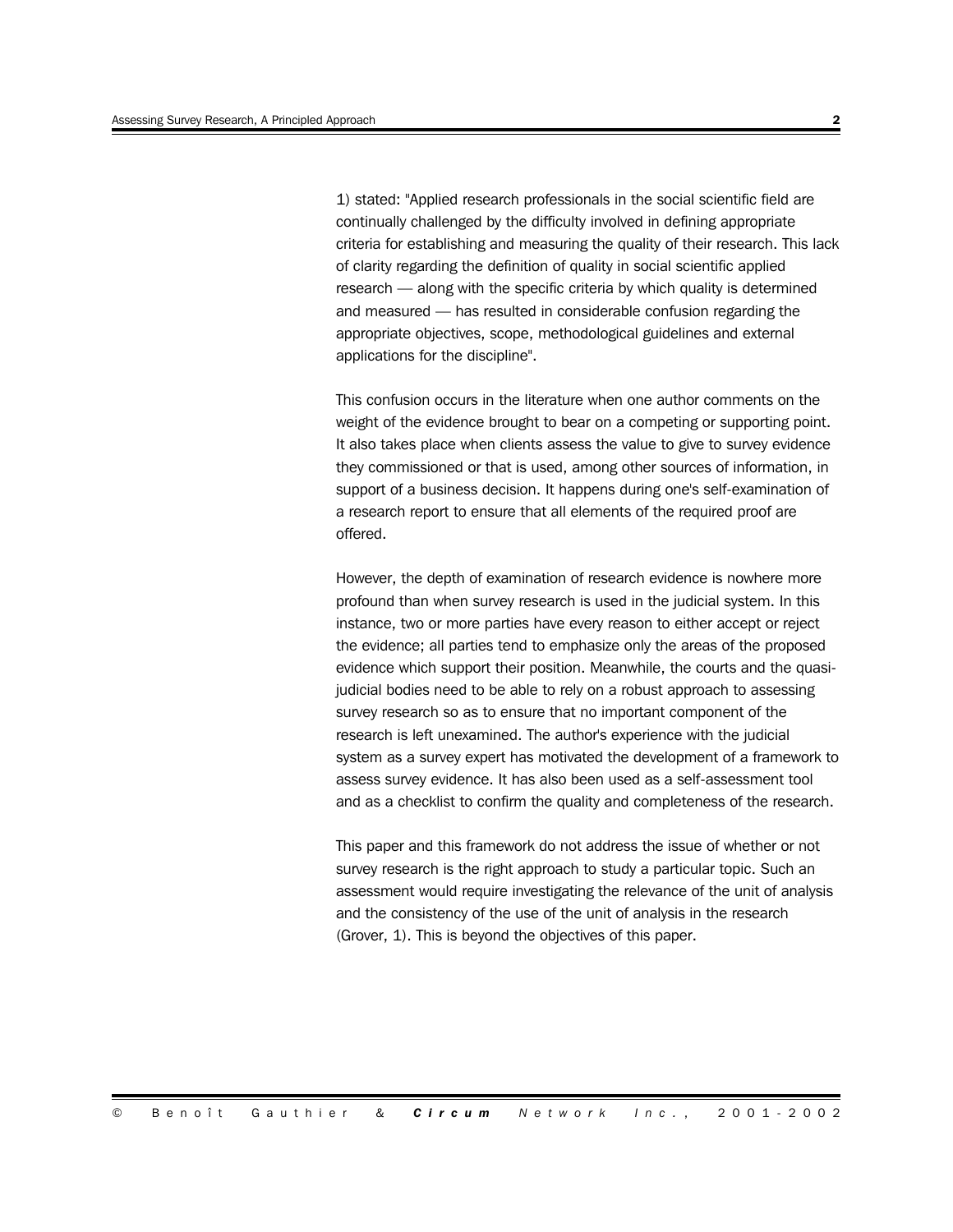1) stated: "Applied research professionals in the social scientific field are continually challenged by the difficulty involved in defining appropriate criteria for establishing and measuring the quality of their research. This lack of clarity regarding the definition of quality in social scientific applied research — along with the specific criteria by which quality is determined and measured — has resulted in considerable confusion regarding the appropriate objectives, scope, methodological guidelines and external applications for the discipline".

This confusion occurs in the literature when one author comments on the weight of the evidence brought to bear on a competing or supporting point. It also takes place when clients assess the value to give to survey evidence they commissioned or that is used, among other sources of information, in support of a business decision. It happens during one's self-examination of a research report to ensure that all elements of the required proof are offered.

However, the depth of examination of research evidence is nowhere more profound than when survey research is used in the judicial system. In this instance, two or more parties have every reason to either accept or reject the evidence; all parties tend to emphasize only the areas of the proposed evidence which support their position. Meanwhile, the courts and the quasijudicial bodies need to be able to rely on a robust approach to assessing survey research so as to ensure that no important component of the research is left unexamined. The author's experience with the judicial system as a survey expert has motivated the development of a framework to assess survey evidence. It has also been used as a self-assessment tool and as a checklist to confirm the quality and completeness of the research.

This paper and this framework do not address the issue of whether or not survey research is the right approach to study a particular topic. Such an assessment would require investigating the relevance of the unit of analysis and the consistency of the use of the unit of analysis in the research (Grover, 1). This is beyond the objectives of this paper.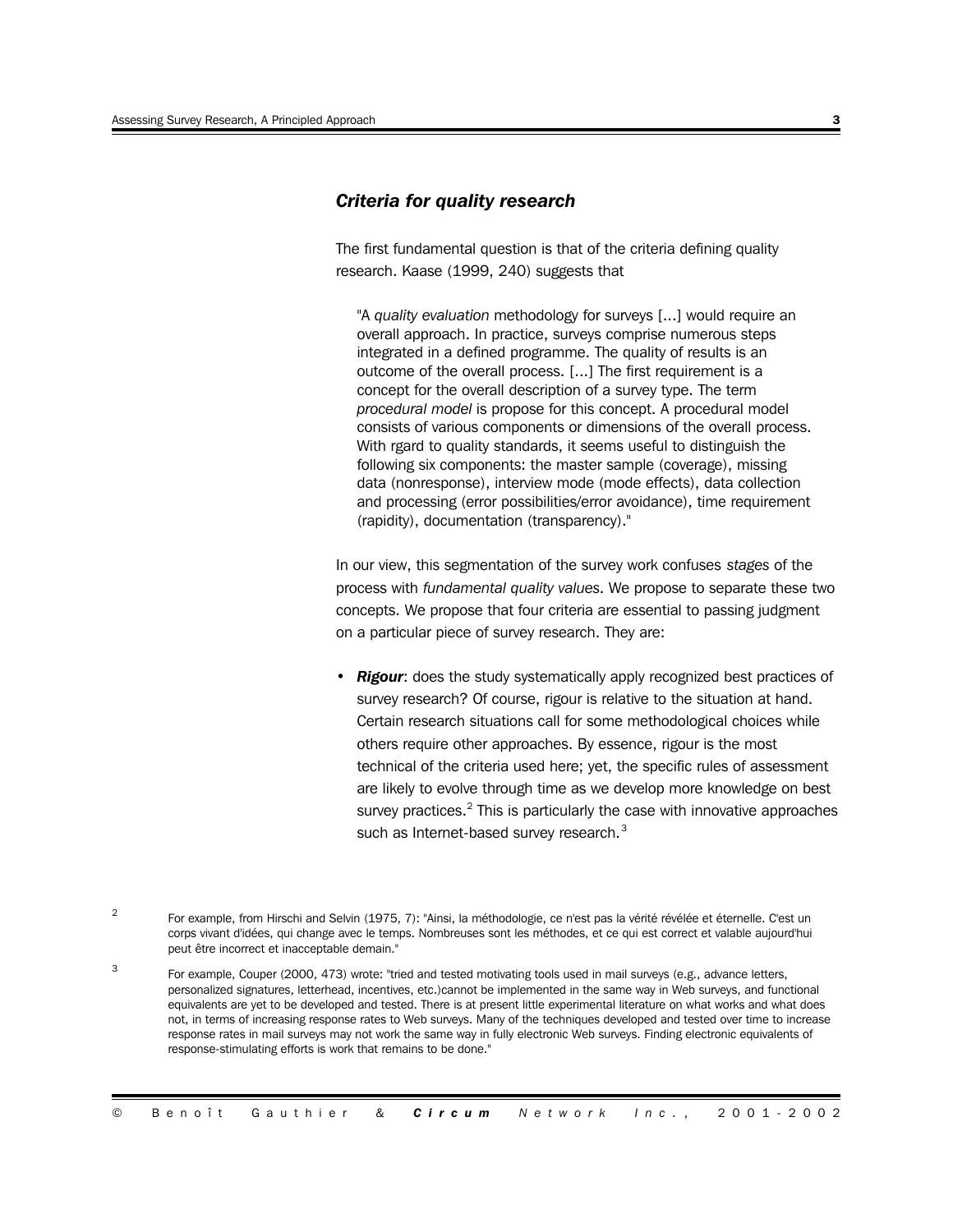# *Criteria for quality research*

The first fundamental question is that of the criteria defining quality research. Kaase (1999, 240) suggests that

"A *quality evaluation* methodology for surveys [...] would require an overall approach. In practice, surveys comprise numerous steps integrated in a defined programme. The quality of results is an outcome of the overall process. [...] The first requirement is a concept for the overall description of a survey type. The term *procedural model* is propose for this concept. A procedural model consists of various components or dimensions of the overall process. With rgard to quality standards, it seems useful to distinguish the following six components: the master sample (coverage), missing data (nonresponse), interview mode (mode effects), data collection and processing (error possibilities/error avoidance), time requirement (rapidity), documentation (transparency)."

In our view, this segmentation of the survey work confuses *stages* of the process with *fundamental quality values*. We propose to separate these two concepts. We propose that four criteria are essential to passing judgment on a particular piece of survey research. They are:

• *Rigour*: does the study systematically apply recognized best practices of survey research? Of course, rigour is relative to the situation at hand. Certain research situations call for some methodological choices while others require other approaches. By essence, rigour is the most technical of the criteria used here; yet, the specific rules of assessment are likely to evolve through time as we develop more knowledge on best survey practices.<sup>2</sup> This is particularly the case with innovative approaches such as Internet-based survey research.<sup>3</sup>

 $\overline{2}$ For example, from Hirschi and Selvin (1975, 7): "Ainsi, la méthodologie, ce n'est pas la vérité révélée et éternelle. C'est un corps vivant d'idées, qui change avec le temps. Nombreuses sont les méthodes, et ce qui est correct et valable aujourd'hui peut être incorrect et inacceptable demain."

<sup>3</sup> For example, Couper (2000, 473) wrote: "tried and tested motivating tools used in mail surveys (e.g., advance letters, personalized signatures, letterhead, incentives, etc.)cannot be implemented in the same way in Web surveys, and functional equivalents are yet to be developed and tested. There is at present little experimental literature on what works and what does not, in terms of increasing response rates to Web surveys. Many of the techniques developed and tested over time to increase response rates in mail surveys may not work the same way in fully electronic Web surveys. Finding electronic equivalents of response-stimulating efforts is work that remains to be done."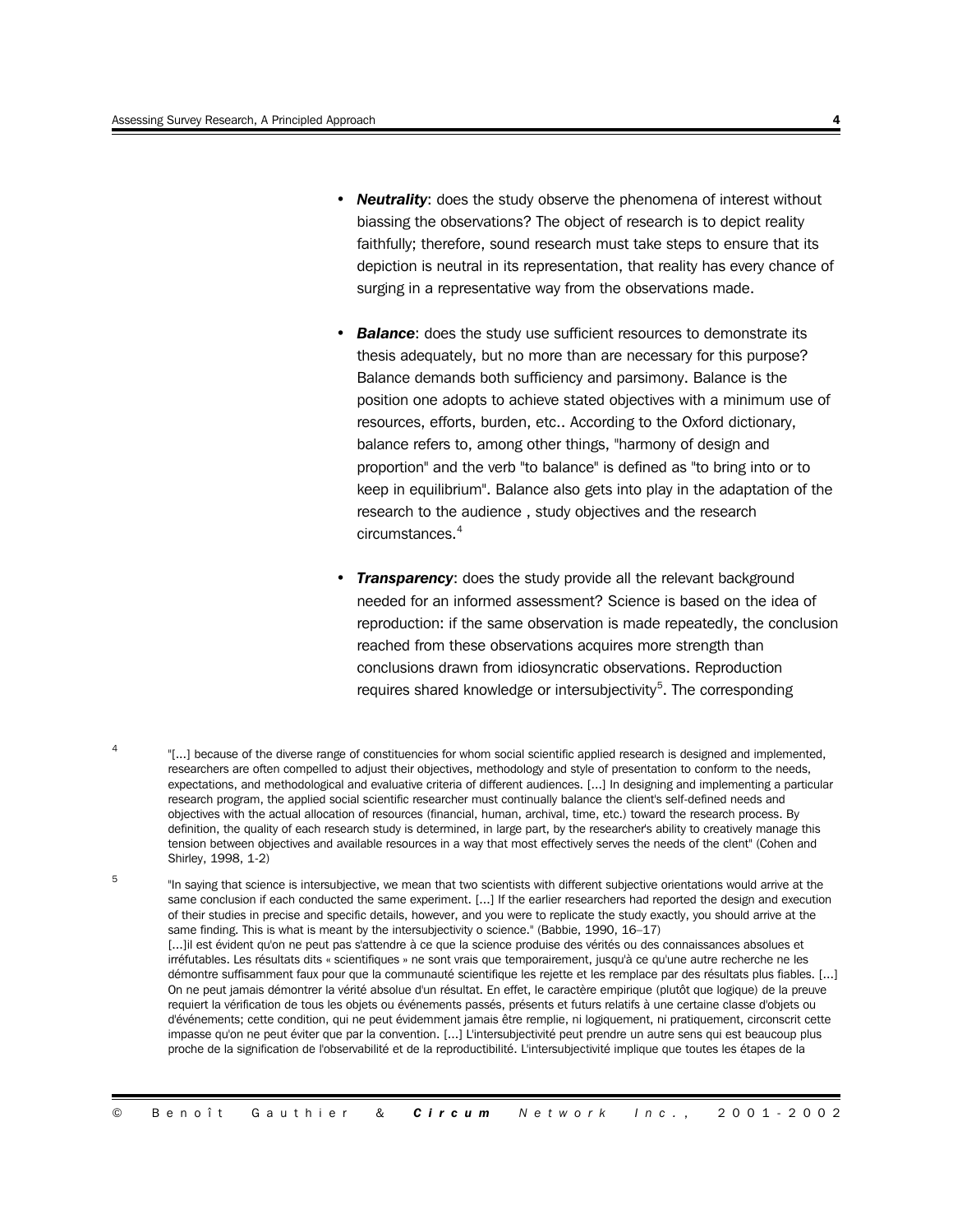5

- **Neutrality:** does the study observe the phenomena of interest without biassing the observations? The object of research is to depict reality faithfully; therefore, sound research must take steps to ensure that its depiction is neutral in its representation, that reality has every chance of surging in a representative way from the observations made.
- *Balance*: does the study use sufficient resources to demonstrate its thesis adequately, but no more than are necessary for this purpose? Balance demands both sufficiency and parsimony. Balance is the position one adopts to achieve stated objectives with a minimum use of resources, efforts, burden, etc.. According to the Oxford dictionary, balance refers to, among other things, "harmony of design and proportion" and the verb "to balance" is defined as "to bring into or to keep in equilibrium". Balance also gets into play in the adaptation of the research to the audience , study objectives and the research circumstances.<sup>4</sup>
- **Transparency:** does the study provide all the relevant background needed for an informed assessment? Science is based on the idea of reproduction: if the same observation is made repeatedly, the conclusion reached from these observations acquires more strength than conclusions drawn from idiosyncratic observations. Reproduction requires shared knowledge or intersubjectivity<sup>5</sup>. The corresponding

[...]il est évident qu'on ne peut pas s'attendre à ce que la science produise des vérités ou des connaissances absolues et irréfutables. Les résultats dits « scientifiques » ne sont vrais que temporairement, jusqu'à ce qu'une autre recherche ne les démontre suffisamment faux pour que la communauté scientifique les rejette et les remplace par des résultats plus fiables. [...] On ne peut jamais démontrer la vérité absolue d'un résultat. En effet, le caractère empirique (plutôt que logique) de la preuve requiert la vérification de tous les objets ou événements passés, présents et futurs relatifs à une certaine classe d'objets ou d'événements; cette condition, qui ne peut évidemment jamais être remplie, ni logiquement, ni pratiquement, circonscrit cette impasse qu'on ne peut éviter que par la convention. [...] L'intersubjectivité peut prendre un autre sens qui est beaucoup plus proche de la signification de l'observabilité et de la reproductibilité. L'intersubjectivité implique que toutes les étapes de la

<sup>4</sup> "[...] because of the diverse range of constituencies for whom social scientific applied research is designed and implemented, researchers are often compelled to adjust their objectives, methodology and style of presentation to conform to the needs, expectations, and methodological and evaluative criteria of different audiences. [...] In designing and implementing a particular research program, the applied social scientific researcher must continually balance the client's self-defined needs and objectives with the actual allocation of resources (financial, human, archival, time, etc.) toward the research process. By definition, the quality of each research study is determined, in large part, by the researcher's ability to creatively manage this tension between objectives and available resources in a way that most effectively serves the needs of the clent" (Cohen and Shirley, 1998, 1-2)

<sup>&</sup>quot;In saying that science is intersubjective, we mean that two scientists with different subjective orientations would arrive at the same conclusion if each conducted the same experiment. [...] If the earlier researchers had reported the design and execution of their studies in precise and specific details, however, and you were to replicate the study exactly, you should arrive at the same finding. This is what is meant by the intersubjectivity o science." (Babbie, 1990, 16-17)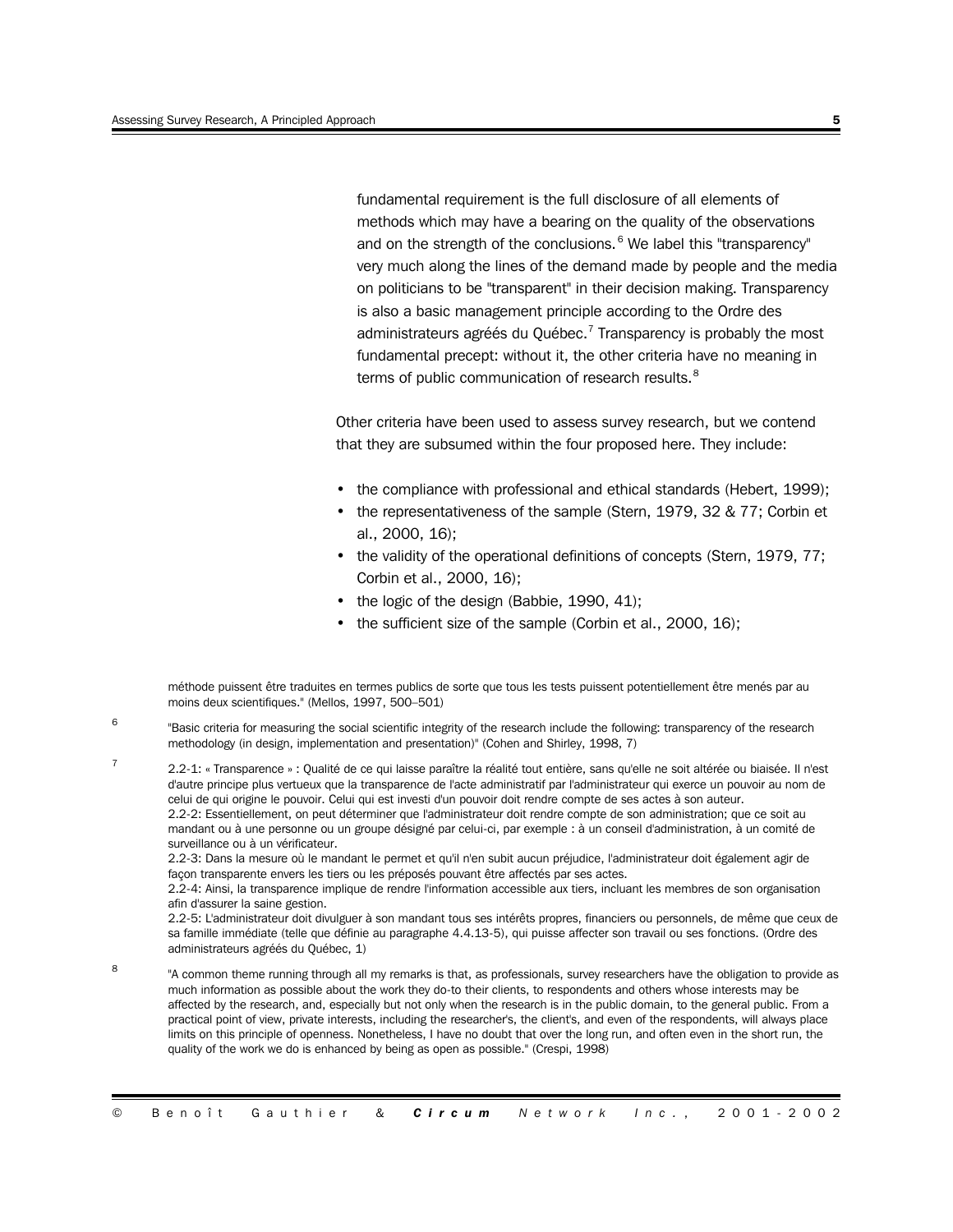fundamental requirement is the full disclosure of all elements of methods which may have a bearing on the quality of the observations and on the strength of the conclusions.<sup>6</sup> We label this "transparency" very much along the lines of the demand made by people and the media on politicians to be "transparent" in their decision making. Transparency is also a basic management principle according to the Ordre des administrateurs agréés du Québec.<sup>7</sup> Transparency is probably the most fundamental precept: without it, the other criteria have no meaning in terms of public communication of research results.<sup>8</sup>

Other criteria have been used to assess survey research, but we contend that they are subsumed within the four proposed here. They include:

- the compliance with professional and ethical standards (Hebert, 1999);
- the representativeness of the sample (Stern, 1979, 32 & 77; Corbin et al., 2000, 16);
- the validity of the operational definitions of concepts (Stern, 1979, 77; Corbin et al., 2000, 16);
- the logic of the design (Babbie, 1990, 41);
- the sufficient size of the sample (Corbin et al., 2000, 16);

méthode puissent être traduites en termes publics de sorte que tous les tests puissent potentiellement être menés par au moins deux scientifiques." (Mellos, 1997, 500–501)

6 "Basic criteria for measuring the social scientific integrity of the research include the following: transparency of the research methodology (in design, implementation and presentation)" (Cohen and Shirley, 1998, 7)

7 2.2-1: « Transparence » : Qualité de ce qui laisse paraître la réalité tout entière, sans qu'elle ne soit altérée ou biaisée. Il n'est d'autre principe plus vertueux que la transparence de l'acte administratif par l'administrateur qui exerce un pouvoir au nom de celui de qui origine le pouvoir. Celui qui est investi d'un pouvoir doit rendre compte de ses actes à son auteur. 2.2-2: Essentiellement, on peut déterminer que l'administrateur doit rendre compte de son administration; que ce soit au mandant ou à une personne ou un groupe désigné par celui-ci, par exemple : à un conseil d'administration, à un comité de surveillance ou à un vérificateur.

2.2-3: Dans la mesure où le mandant le permet et qu'il n'en subit aucun préjudice, l'administrateur doit également agir de façon transparente envers les tiers ou les préposés pouvant être affectés par ses actes.

2.2-4: Ainsi, la transparence implique de rendre l'information accessible aux tiers, incluant les membres de son organisation afin d'assurer la saine gestion.

2.2-5: L'administrateur doit divulguer à son mandant tous ses intérêts propres, financiers ou personnels, de même que ceux de sa famille immédiate (telle que définie au paragraphe 4.4.13-5), qui puisse affecter son travail ou ses fonctions. (Ordre des administrateurs agréés du Québec, 1)

8 "A common theme running through all my remarks is that, as professionals, survey researchers have the obligation to provide as much information as possible about the work they do-to their clients, to respondents and others whose interests may be affected by the research, and, especially but not only when the research is in the public domain, to the general public. From a practical point of view, private interests, including the researcher's, the client's, and even of the respondents, will always place limits on this principle of openness. Nonetheless, I have no doubt that over the long run, and often even in the short run, the quality of the work we do is enhanced by being as open as possible." (Crespi, 1998)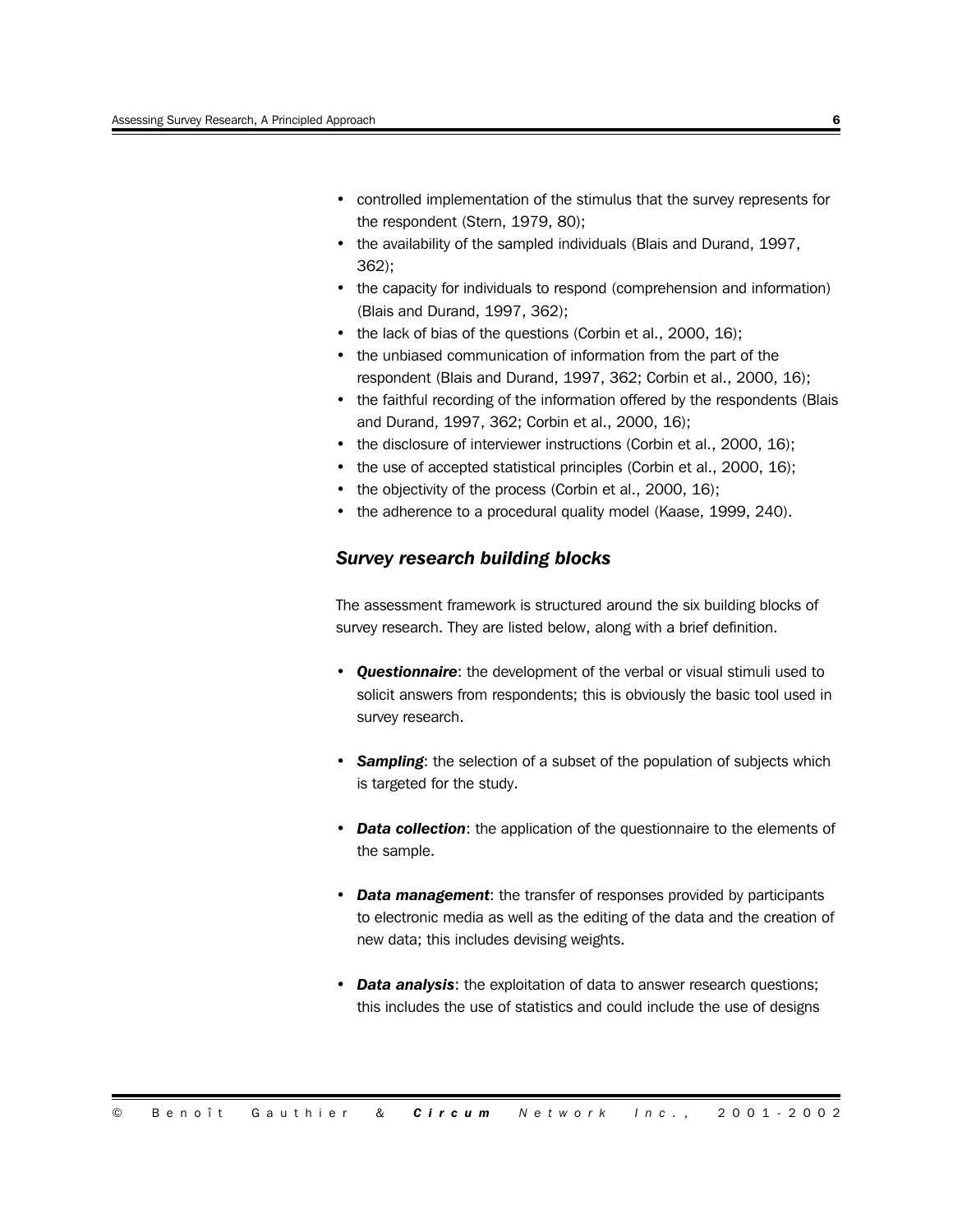- controlled implementation of the stimulus that the survey represents for the respondent (Stern, 1979, 80);
- the availability of the sampled individuals (Blais and Durand, 1997, 362);
- the capacity for individuals to respond (comprehension and information) (Blais and Durand, 1997, 362);
- the lack of bias of the questions (Corbin et al., 2000, 16);
- the unbiased communication of information from the part of the respondent (Blais and Durand, 1997, 362; Corbin et al., 2000, 16);
- the faithful recording of the information offered by the respondents (Blais and Durand, 1997, 362; Corbin et al., 2000, 16);
- the disclosure of interviewer instructions (Corbin et al., 2000, 16);
- the use of accepted statistical principles (Corbin et al., 2000, 16);
- the objectivity of the process (Corbin et al., 2000, 16);
- the adherence to a procedural quality model (Kaase, 1999, 240).

# *Survey research building blocks*

The assessment framework is structured around the six building blocks of survey research. They are listed below, along with a brief definition.

- *Questionnaire*: the development of the verbal or visual stimuli used to solicit answers from respondents; this is obviously the basic tool used in survey research.
- *Sampling*: the selection of a subset of the population of subjects which is targeted for the study.
- *Data collection*: the application of the questionnaire to the elements of the sample.
- *Data management*: the transfer of responses provided by participants to electronic media as well as the editing of the data and the creation of new data; this includes devising weights.
- *Data analysis*: the exploitation of data to answer research questions; this includes the use of statistics and could include the use of designs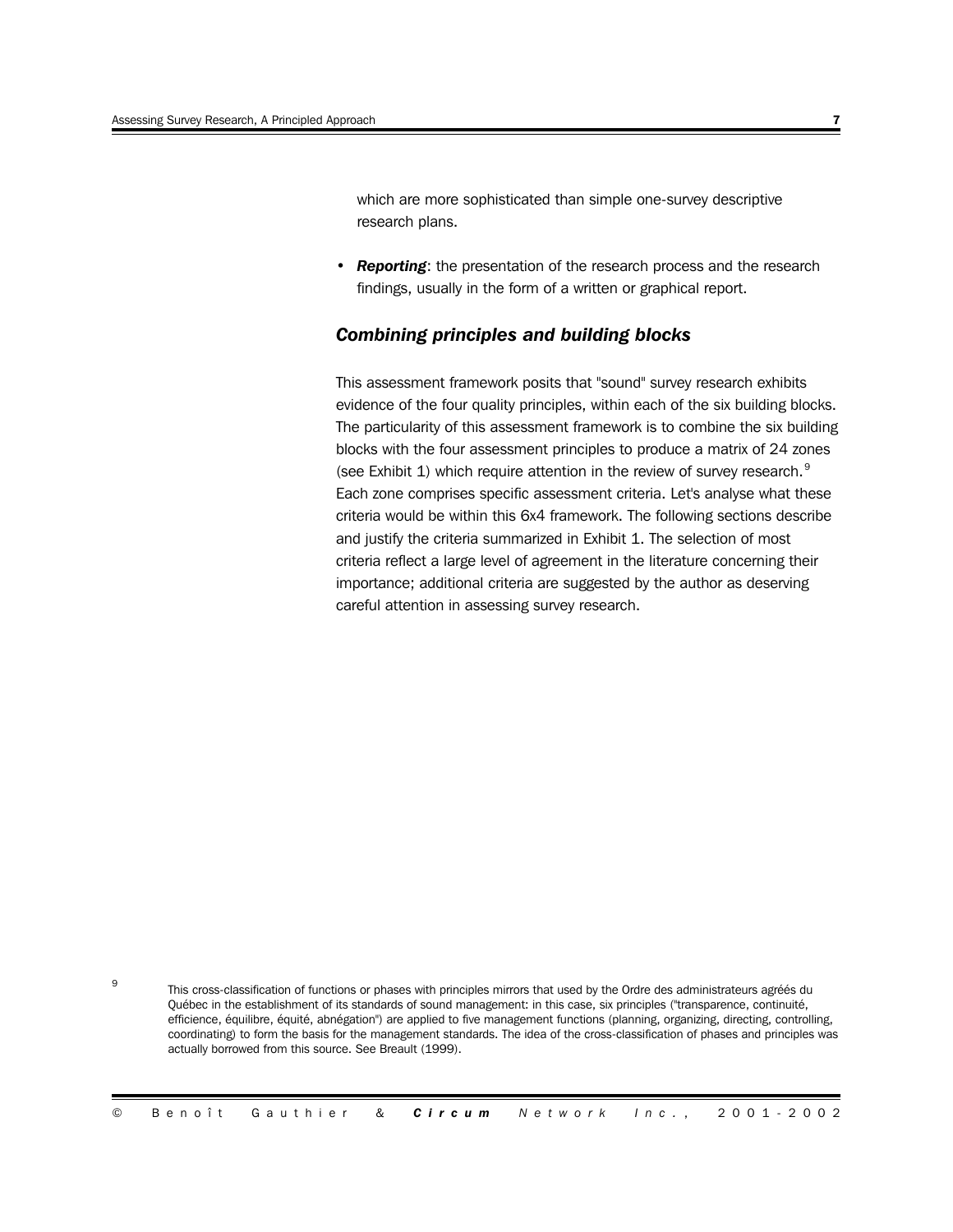9

which are more sophisticated than simple one-survey descriptive research plans.

• *Reporting*: the presentation of the research process and the research findings, usually in the form of a written or graphical report.

# *Combining principles and building blocks*

This assessment framework posits that "sound" survey research exhibits evidence of the four quality principles, within each of the six building blocks. The particularity of this assessment framework is to combine the six building blocks with the four assessment principles to produce a matrix of 24 zones (see Exhibit 1) which require attention in the review of survey research.<sup>9</sup> Each zone comprises specific assessment criteria. Let's analyse what these criteria would be within this 6x4 framework. The following sections describe and justify the criteria summarized in Exhibit 1. The selection of most criteria reflect a large level of agreement in the literature concerning their importance; additional criteria are suggested by the author as deserving careful attention in assessing survey research.

This cross-classification of functions or phases with principles mirrors that used by the Ordre des administrateurs agréés du Québec in the establishment of its standards of sound management: in this case, six principles ("transparence, continuité, efficience, équilibre, équité, abnégation") are applied to five management functions (planning, organizing, directing, controlling, coordinating) to form the basis for the management standards. The idea of the cross-classification of phases and principles was actually borrowed from this source. See Breault (1999).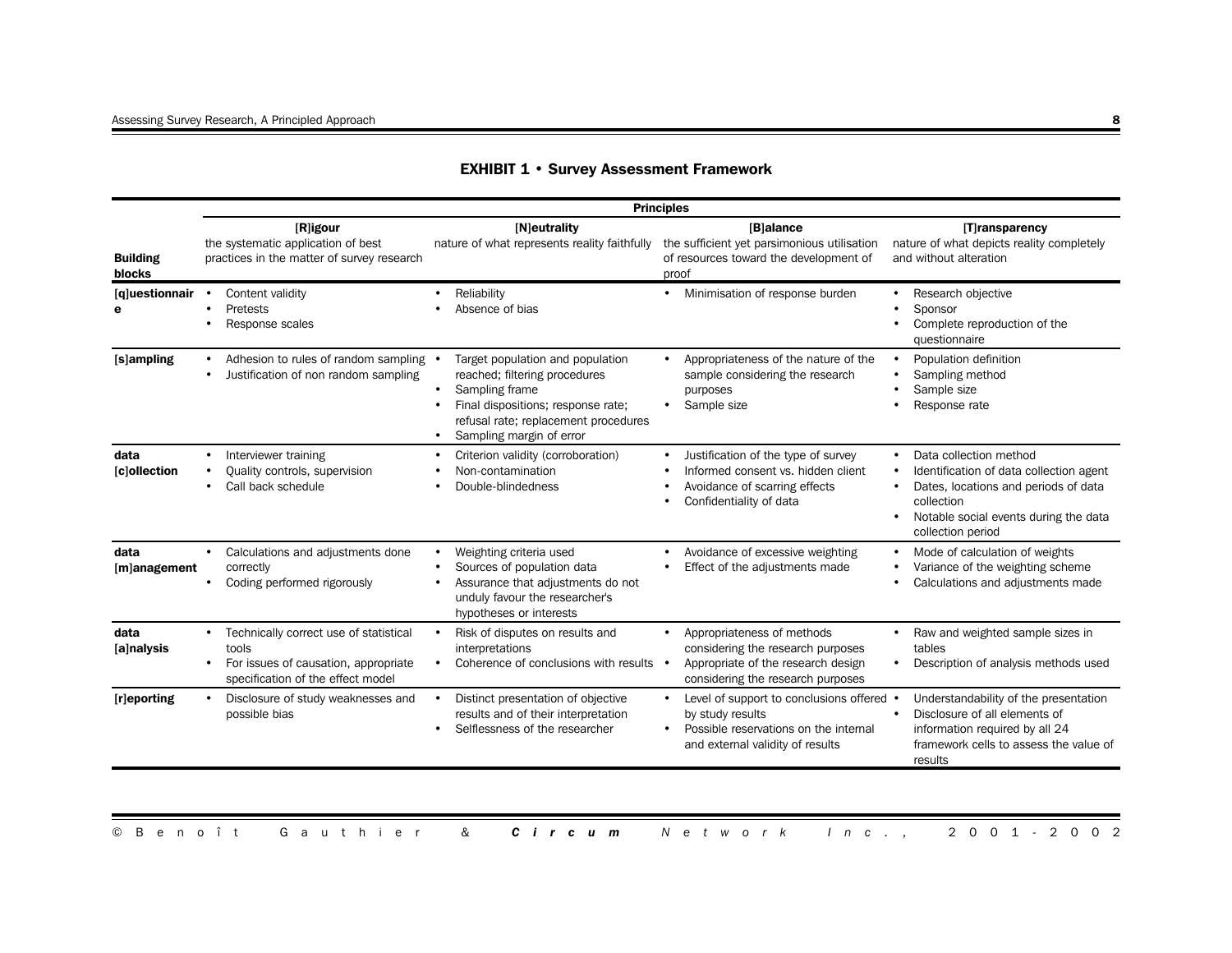|                            |                                                                                                                              | <b>Principles</b>                                                                                                                                                                                                       |                                                                                                                                            |                                                                                                                                                                                       |
|----------------------------|------------------------------------------------------------------------------------------------------------------------------|-------------------------------------------------------------------------------------------------------------------------------------------------------------------------------------------------------------------------|--------------------------------------------------------------------------------------------------------------------------------------------|---------------------------------------------------------------------------------------------------------------------------------------------------------------------------------------|
| <b>Building</b><br>blocks  | [R]igour<br>the systematic application of best<br>practices in the matter of survey research                                 | [N]eutrality<br>nature of what represents reality faithfully                                                                                                                                                            | [B]alance<br>the sufficient yet parsimonious utilisation<br>of resources toward the development of<br>proof                                | [T]ransparency<br>nature of what depicts reality completely<br>and without alteration                                                                                                 |
| <b>[g]uestionnair</b><br>е | Content validity<br>Pretests<br>Response scales                                                                              | Reliability<br>Absence of bias                                                                                                                                                                                          | Minimisation of response burden<br>$\bullet$                                                                                               | Research objective<br>Sponsor<br>Complete reproduction of the<br>questionnaire                                                                                                        |
| [s]ampling                 | Adhesion to rules of random sampling<br>Justification of non random sampling                                                 | Target population and population<br>reached; filtering procedures<br>Sampling frame<br>$\bullet$<br>Final dispositions; response rate;<br>refusal rate; replacement procedures<br>Sampling margin of error<br>$\bullet$ | Appropriateness of the nature of the<br>sample considering the research<br>purposes<br>Sample size<br>$\bullet$                            | Population definition<br>Sampling method<br>Sample size<br>Response rate                                                                                                              |
| data<br>[c]ollection       | Interviewer training<br>Quality controls, supervision<br>Call back schedule                                                  | Criterion validity (corroboration)<br>Non-contamination<br>Double-blindedness                                                                                                                                           | Justification of the type of survey<br>Informed consent vs. hidden client<br>Avoidance of scarring effects<br>Confidentiality of data      | Data collection method<br>Identification of data collection agent<br>Dates, locations and periods of data<br>collection<br>Notable social events during the data<br>collection period |
| data<br>[m]anagement       | Calculations and adjustments done<br>$\bullet$<br>correctly<br>Coding performed rigorously                                   | Weighting criteria used<br>Sources of population data<br>Assurance that adjustments do not<br>unduly favour the researcher's<br>hypotheses or interests                                                                 | Avoidance of excessive weighting<br>Effect of the adjustments made                                                                         | Mode of calculation of weights<br>Variance of the weighting scheme<br>Calculations and adjustments made                                                                               |
| data<br>[a]nalysis         | Technically correct use of statistical<br>tools<br>For issues of causation, appropriate<br>specification of the effect model | Risk of disputes on results and<br>interpretations<br>Coherence of conclusions with results                                                                                                                             | Appropriateness of methods<br>considering the research purposes<br>Appropriate of the research design<br>considering the research purposes | Raw and weighted sample sizes in<br>$\bullet$<br>tables<br>Description of analysis methods used                                                                                       |
| [r]eporting                | Disclosure of study weaknesses and<br>possible bias                                                                          | Distinct presentation of objective<br>results and of their interpretation<br>Selflessness of the researcher                                                                                                             | Level of support to conclusions offered<br>by study results<br>Possible reservations on the internal<br>and external validity of results   | Understandability of the presentation<br>Disclosure of all elements of<br>$\bullet$<br>information required by all 24<br>framework cells to assess the value of<br>results            |

# **EXHIBIT 1 • Survey Assessment Framework**

©Benoît Gauthier & *C i rcum Network I n c .* , 2001-2002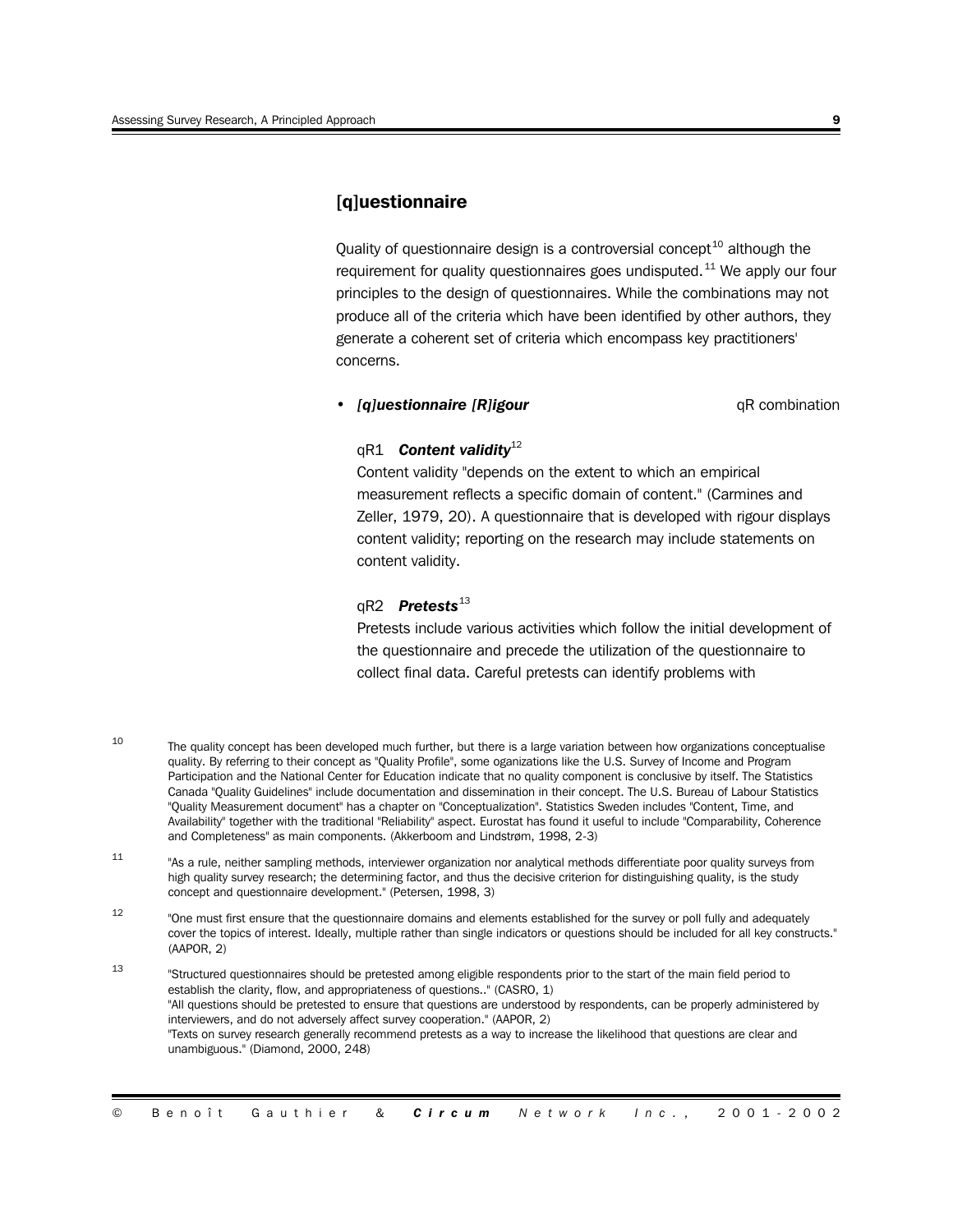# **[q]uestionnaire**

Quality of questionnaire design is a controversial concept<sup>10</sup> although the requirement for quality questionnaires goes undisputed.<sup>11</sup> We apply our four principles to the design of questionnaires. While the combinations may not produce all of the criteria which have been identified by other authors, they generate a coherent set of criteria which encompass key practitioners' concerns.

#### • *[q]uestionnaire [R]igour* and the same of the same of the same of the same of the same of the same of the same of the same of the same of the same of the same of the same of the same of the same of the same of the same

# qR1 *Content validity*<sup>12</sup>

Content validity "depends on the extent to which an empirical measurement reflects a specific domain of content." (Carmines and Zeller, 1979, 20). A questionnaire that is developed with rigour displays content validity; reporting on the research may include statements on content validity.

# qR2 *Pretests*<sup>13</sup>

Pretests include various activities which follow the initial development of the questionnaire and precede the utilization of the questionnaire to collect final data. Careful pretests can identify problems with

- <sup>10</sup> The quality concept has been developed much further, but there is a large variation between how organizations conceptualise quality. By referring to their concept as "Quality Profile", some oganizations like the U.S. Survey of Income and Program Participation and the National Center for Education indicate that no quality component is conclusive by itself. The Statistics Canada "Quality Guidelines" include documentation and dissemination in their concept. The U.S. Bureau of Labour Statistics "Quality Measurement document" has a chapter on "Conceptualization". Statistics Sweden includes "Content, Time, and Availability" together with the traditional "Reliability" aspect. Eurostat has found it useful to include "Comparability, Coherence and Completeness" as main components. (Akkerboom and Lindstrøm, 1998, 2-3)
- <sup>11</sup> "As a rule, neither sampling methods, interviewer organization nor analytical methods differentiate poor quality surveys from high quality survey research; the determining factor, and thus the decisive criterion for distinguishing quality, is the study concept and questionnaire development." (Petersen, 1998, 3)
- <sup>12</sup> "One must first ensure that the questionnaire domains and elements established for the survey or poll fully and adequately cover the topics of interest. Ideally, multiple rather than single indicators or questions should be included for all key constructs." (AAPOR, 2)
- <sup>13</sup> Structured questionnaires should be pretested among eligible respondents prior to the start of the main field period to establish the clarity, flow, and appropriateness of questions.." (CASRO, 1) "All questions should be pretested to ensure that questions are understood by respondents, can be properly administered by interviewers, and do not adversely affect survey cooperation." (AAPOR, 2) "Texts on survey research generally recommend pretests as a way to increase the likelihood that questions are clear and unambiguous." (Diamond, 2000, 248)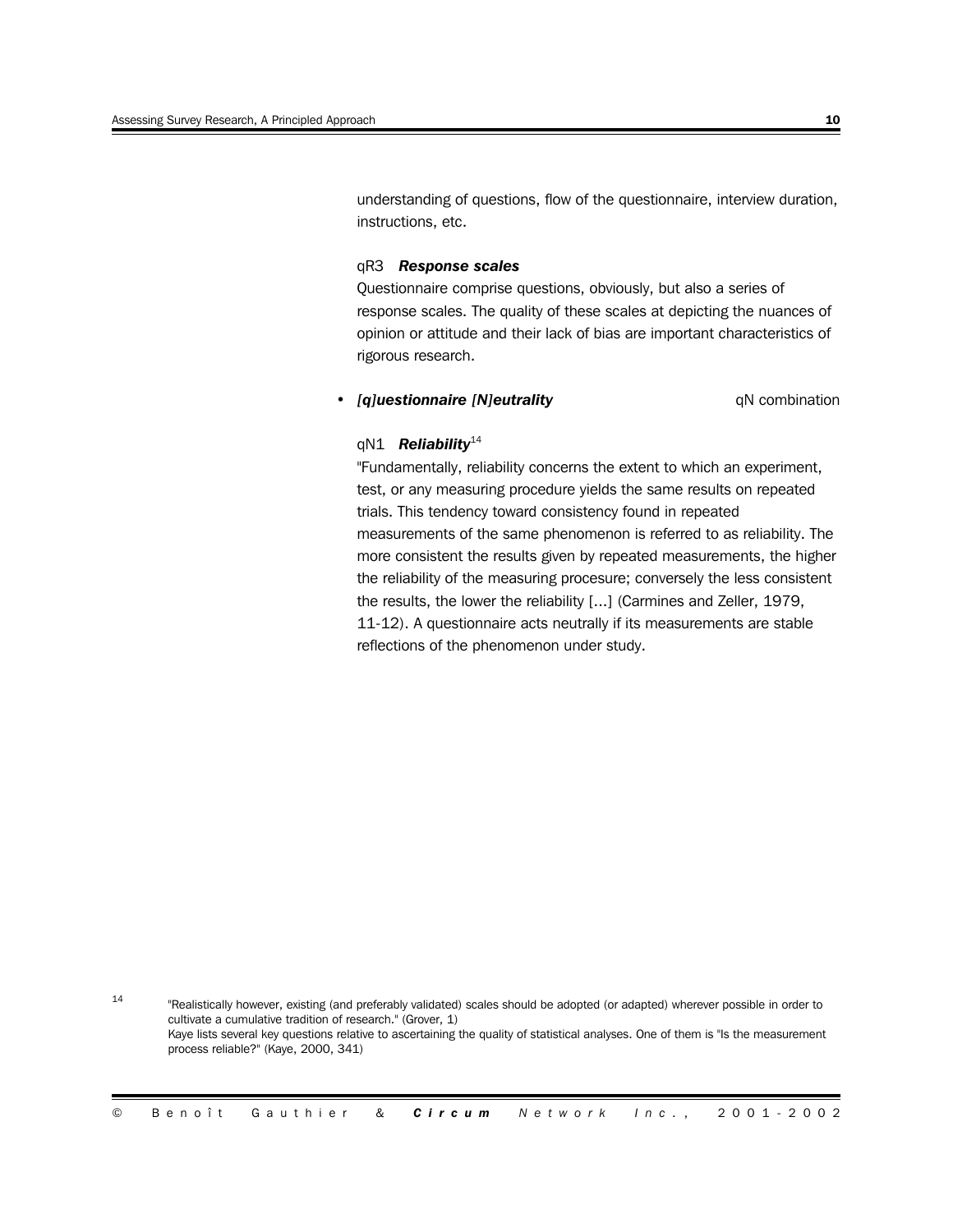understanding of questions, flow of the questionnaire, interview duration, instructions, etc.

#### qR3 *Response scales*

Questionnaire comprise questions, obviously, but also a series of response scales. The quality of these scales at depicting the nuances of opinion or attitude and their lack of bias are important characteristics of rigorous research.

#### • *[q]uestionnaire [N]eutrality* and the setting qN combination

#### qN1 **Reliability**<sup>14</sup>

"Fundamentally, reliability concerns the extent to which an experiment, test, or any measuring procedure yields the same results on repeated trials. This tendency toward consistency found in repeated measurements of the same phenomenon is referred to as reliability. The more consistent the results given by repeated measurements, the higher the reliability of the measuring procesure; conversely the less consistent the results, the lower the reliability [...] (Carmines and Zeller, 1979, 11-12). A questionnaire acts neutrally if its measurements are stable reflections of the phenomenon under study.

<sup>14</sup> "Realistically however, existing (and preferably validated) scales should be adopted (or adapted) wherever possible in order to cultivate a cumulative tradition of research." (Grover, 1) Kaye lists several key questions relative to ascertaining the quality of statistical analyses. One of them is "Is the measurement process reliable?" (Kaye, 2000, 341)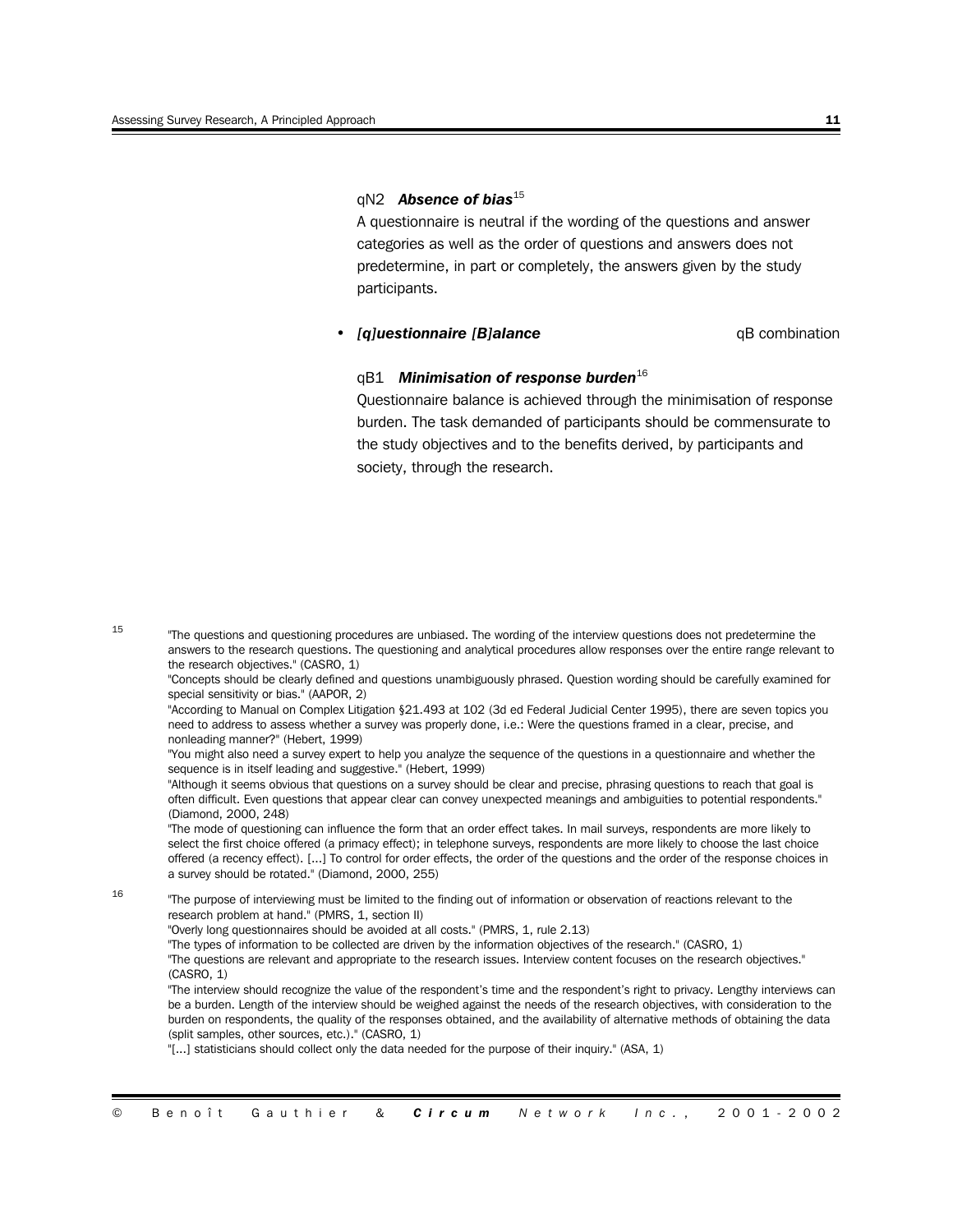# qN2 *Absence of bias*<sup>15</sup>

A questionnaire is neutral if the wording of the questions and answer categories as well as the order of questions and answers does not predetermine, in part or completely, the answers given by the study participants.

• *[q]uestionnaire [B]alance* **qB** combination

#### qB1 *Minimisation of response burden*<sup>16</sup>

Questionnaire balance is achieved through the minimisation of response burden. The task demanded of participants should be commensurate to the study objectives and to the benefits derived, by participants and society, through the research.

<sup>15</sup> The questions and questioning procedures are unbiased. The wording of the interview questions does not predetermine the answers to the research questions. The questioning and analytical procedures allow responses over the entire range relevant to the research objectives." (CASRO, 1)

"Concepts should be clearly defined and questions unambiguously phrased. Question wording should be carefully examined for special sensitivity or bias." (AAPOR, 2)

"According to Manual on Complex Litigation §21.493 at 102 (3d ed Federal Judicial Center 1995), there are seven topics you need to address to assess whether a survey was properly done, i.e.: Were the questions framed in a clear, precise, and nonleading manner?" (Hebert, 1999)

"You might also need a survey expert to help you analyze the sequence of the questions in a questionnaire and whether the sequence is in itself leading and suggestive." (Hebert, 1999)

"Although it seems obvious that questions on a survey should be clear and precise, phrasing questions to reach that goal is often difficult. Even questions that appear clear can convey unexpected meanings and ambiguities to potential respondents." (Diamond, 2000, 248)

"The mode of questioning can influence the form that an order effect takes. In mail surveys, respondents are more likely to select the first choice offered (a primacy effect); in telephone surveys, respondents are more likely to choose the last choice offered (a recency effect). [...] To control for order effects, the order of the questions and the order of the response choices in a survey should be rotated." (Diamond, 2000, 255)

<sup>16</sup> The purpose of interviewing must be limited to the finding out of information or observation of reactions relevant to the research problem at hand." (PMRS, 1, section II)

"Overly long questionnaires should be avoided at all costs." (PMRS, 1, rule 2.13)

"The types of information to be collected are driven by the information objectives of the research." (CASRO, 1) "The questions are relevant and appropriate to the research issues. Interview content focuses on the research objectives." (CASRO, 1)

"The interview should recognize the value of the respondent's time and the respondent's right to privacy. Lengthy interviews can be a burden. Length of the interview should be weighed against the needs of the research objectives, with consideration to the burden on respondents, the quality of the responses obtained, and the availability of alternative methods of obtaining the data (split samples, other sources, etc.)." (CASRO, 1)

"[...] statisticians should collect only the data needed for the purpose of their inquiry." (ASA, 1)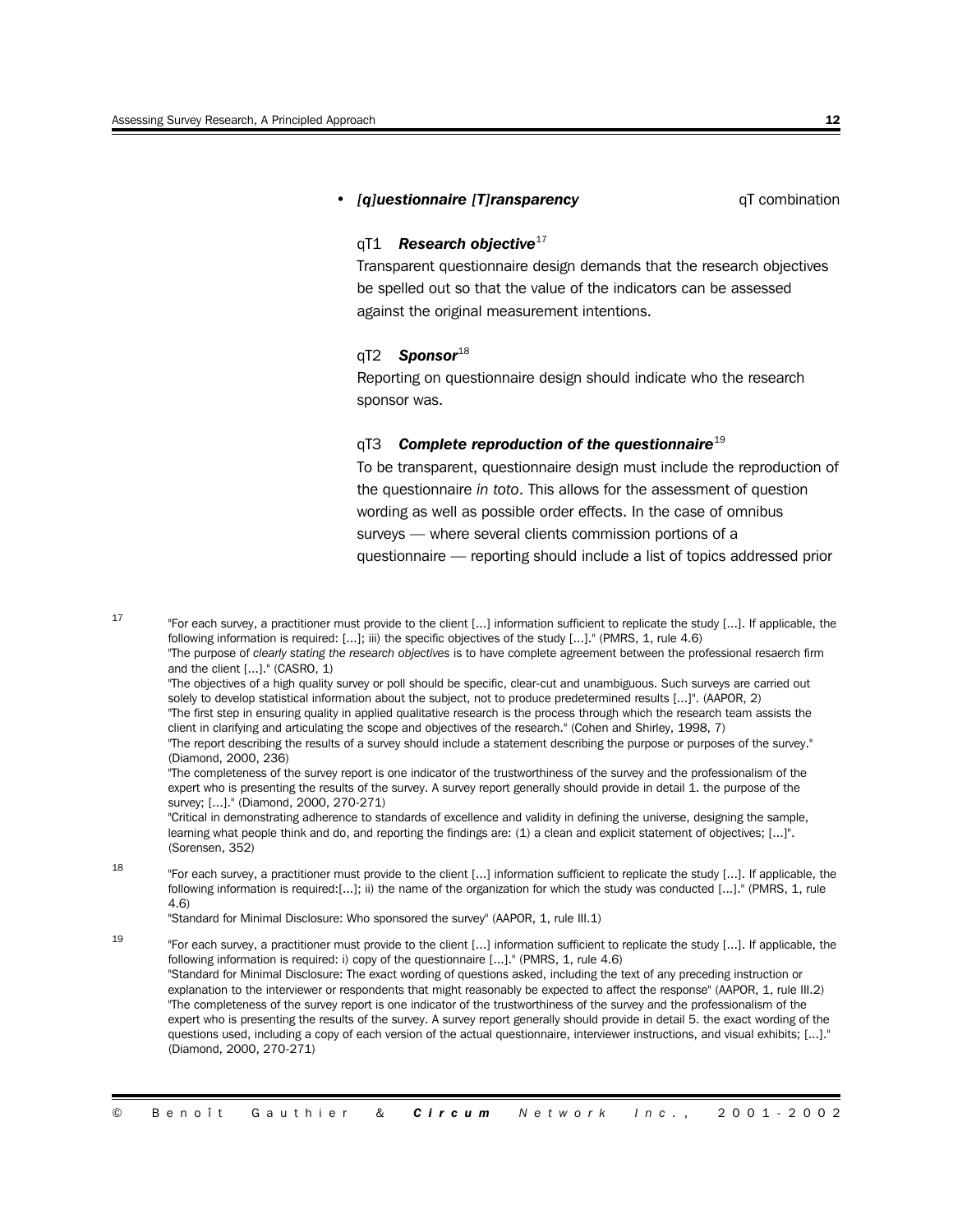# • *[q]uestionnaire [T]ransparency* example the qT combination

# qT1 *Research objective*<sup>17</sup>

Transparent questionnaire design demands that the research objectives be spelled out so that the value of the indicators can be assessed against the original measurement intentions.

#### qT2 *Sponsor*<sup>18</sup>

Reporting on questionnaire design should indicate who the research sponsor was.

### qT3 *Complete reproduction of the questionnaire*<sup>19</sup>

To be transparent, questionnaire design must include the reproduction of the questionnaire *in toto*. This allows for the assessment of question wording as well as possible order effects. In the case of omnibus surveys — where several clients commission portions of a questionnaire — reporting should include a list of topics addressed prior

<sup>17</sup> "For each survey, a practitioner must provide to the client [...] information sufficient to replicate the study [...]. If applicable, the following information is required: [...]; iii) the specific objectives of the study [...]." (PMRS, 1, rule 4.6)

"The purpose of *clearly stating the research objectives* is to have complete agreement between the professional resaerch firm and the client [...]." (CASRO, 1)

"The objectives of a high quality survey or poll should be specific, clear-cut and unambiguous. Such surveys are carried out solely to develop statistical information about the subject, not to produce predetermined results [...]". (AAPOR, 2)

"The first step in ensuring quality in applied qualitative research is the process through which the research team assists the client in clarifying and articulating the scope and objectives of the research." (Cohen and Shirley, 1998, 7)

"The report describing the results of a survey should include a statement describing the purpose or purposes of the survey." (Diamond, 2000, 236)

"The completeness of the survey report is one indicator of the trustworthiness of the survey and the professionalism of the expert who is presenting the results of the survey. A survey report generally should provide in detail 1. the purpose of the survey; [...]." (Diamond, 2000, 270-271)

"Critical in demonstrating adherence to standards of excellence and validity in defining the universe, designing the sample, learning what people think and do, and reporting the findings are: (1) a clean and explicit statement of objectives; [...]". (Sorensen, 352)

<sup>18</sup> "For each survey, a practitioner must provide to the client [...] information sufficient to replicate the study [...]. If applicable, the following information is required:[...]; ii) the name of the organization for which the study was conducted [...]." (PMRS, 1, rule 4.6)

"Standard for Minimal Disclosure: Who sponsored the survey" (AAPOR, 1, rule III.1)

<sup>19</sup> "For each survey, a practitioner must provide to the client [...] information sufficient to replicate the study [...]. If applicable, the following information is required: i) copy of the questionnaire [...]." (PMRS, 1, rule 4.6) "Standard for Minimal Disclosure: The exact wording of questions asked, including the text of any preceding instruction or explanation to the interviewer or respondents that might reasonably be expected to affect the response" (AAPOR, 1, rule III.2) "The completeness of the survey report is one indicator of the trustworthiness of the survey and the professionalism of the expert who is presenting the results of the survey. A survey report generally should provide in detail 5. the exact wording of the questions used, including a copy of each version of the actual questionnaire, interviewer instructions, and visual exhibits; [...]." (Diamond, 2000, 270-271)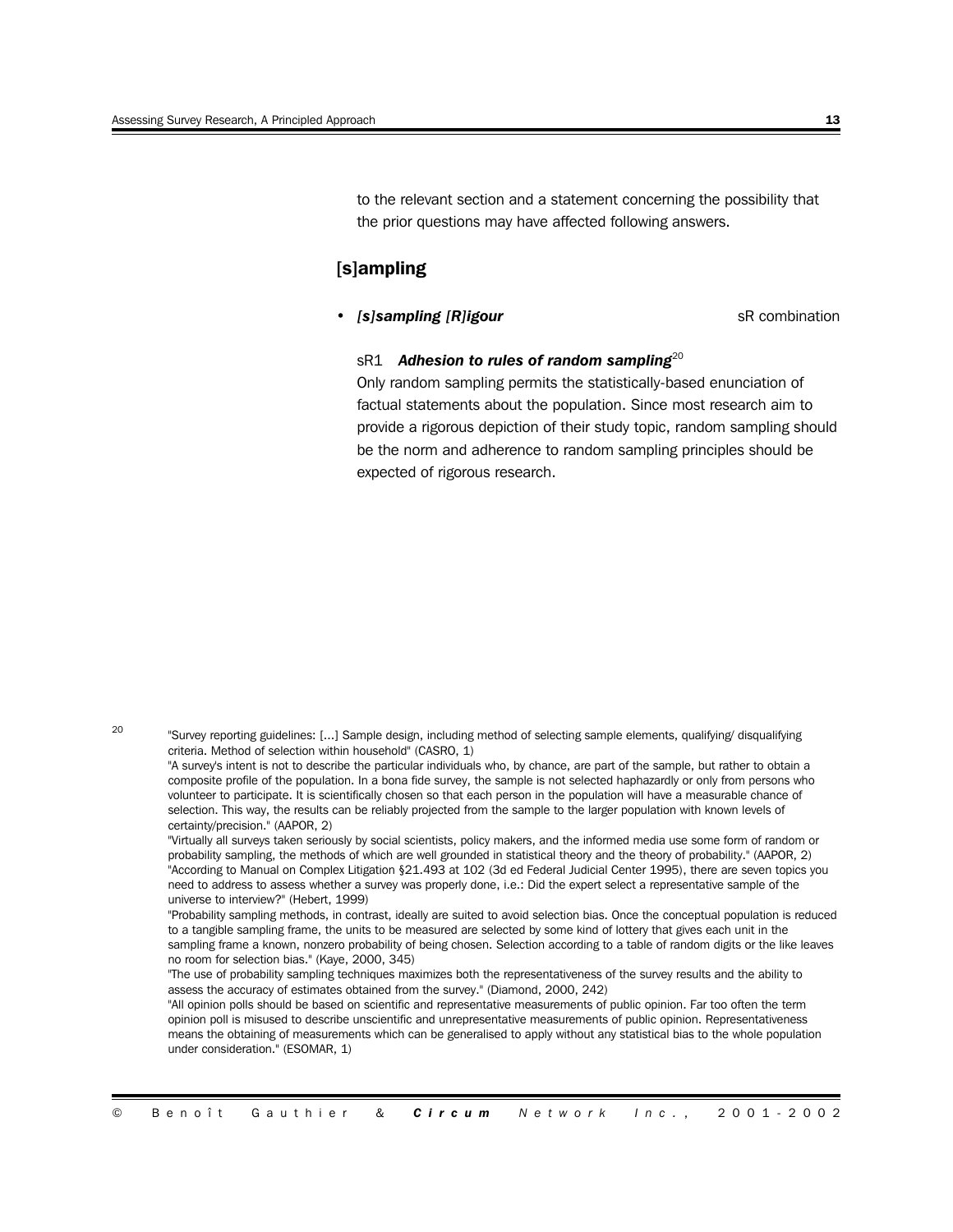to the relevant section and a statement concerning the possibility that the prior questions may have affected following answers.

# **[s]ampling**

• *ssampling [R]igour* sR combination

#### sR1 **Adhesion to rules of random sampling**<sup>20</sup>

Only random sampling permits the statistically-based enunciation of factual statements about the population. Since most research aim to provide a rigorous depiction of their study topic, random sampling should be the norm and adherence to random sampling principles should be expected of rigorous research.

<sup>20</sup> "Survey reporting guidelines: [...] Sample design, including method of selecting sample elements, qualifying/ disqualifying criteria. Method of selection within household" (CASRO, 1)

"A survey's intent is not to describe the particular individuals who, by chance, are part of the sample, but rather to obtain a composite profile of the population. In a bona fide survey, the sample is not selected haphazardly or only from persons who volunteer to participate. It is scientifically chosen so that each person in the population will have a measurable chance of selection. This way, the results can be reliably projected from the sample to the larger population with known levels of certainty/precision." (AAPOR, 2)

"Virtually all surveys taken seriously by social scientists, policy makers, and the informed media use some form of random or probability sampling, the methods of which are well grounded in statistical theory and the theory of probability." (AAPOR, 2) "According to Manual on Complex Litigation §21.493 at 102 (3d ed Federal Judicial Center 1995), there are seven topics you need to address to assess whether a survey was properly done, i.e.: Did the expert select a representative sample of the universe to interview?" (Hebert, 1999)

"Probability sampling methods, in contrast, ideally are suited to avoid selection bias. Once the conceptual population is reduced to a tangible sampling frame, the units to be measured are selected by some kind of lottery that gives each unit in the sampling frame a known, nonzero probability of being chosen. Selection according to a table of random digits or the like leaves no room for selection bias." (Kaye, 2000, 345)

"The use of probability sampling techniques maximizes both the representativeness of the survey results and the ability to assess the accuracy of estimates obtained from the survey." (Diamond, 2000, 242)

"All opinion polls should be based on scientific and representative measurements of public opinion. Far too often the term opinion poll is misused to describe unscientific and unrepresentative measurements of public opinion. Representativeness means the obtaining of measurements which can be generalised to apply without any statistical bias to the whole population under consideration." (ESOMAR, 1)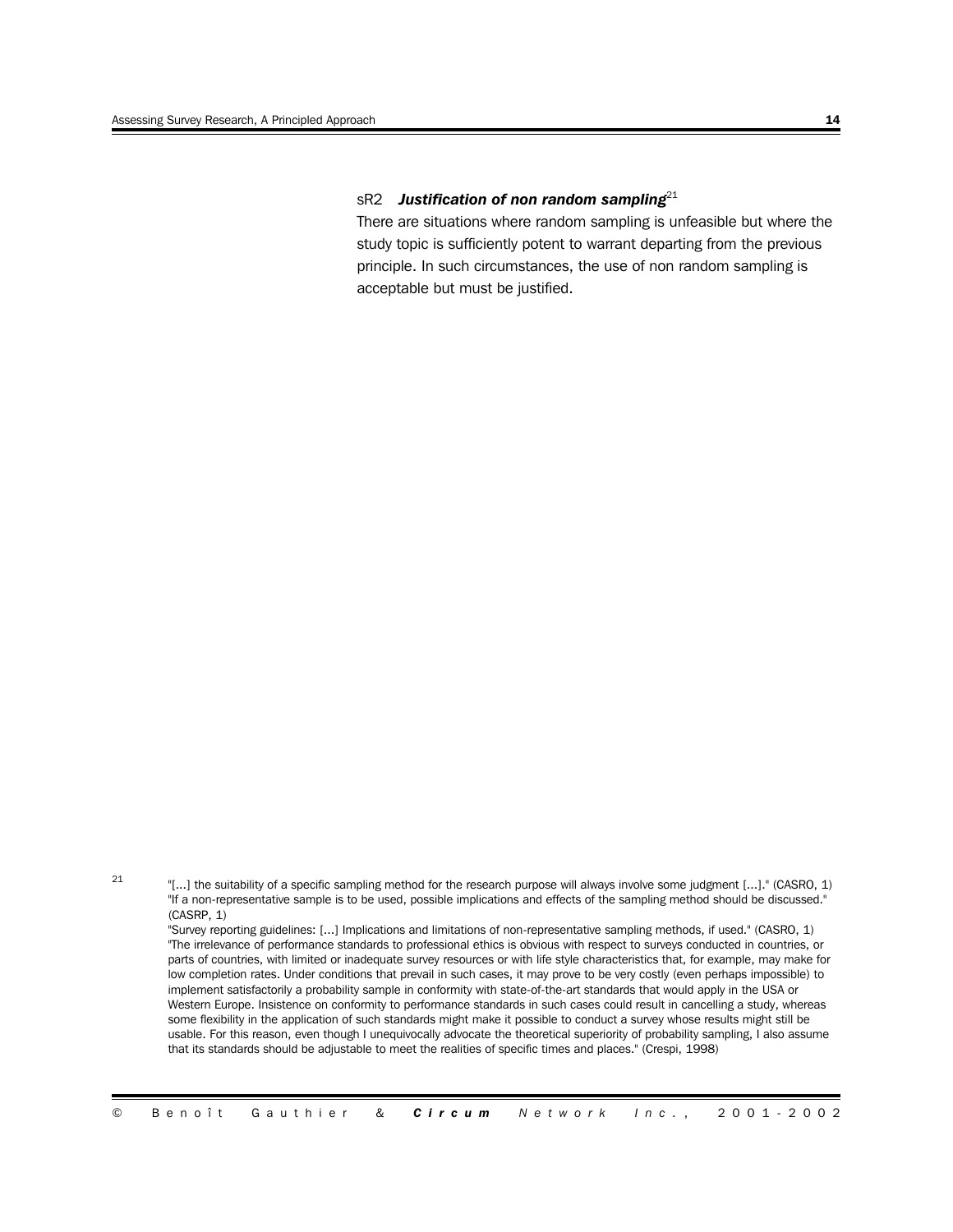# sR2 **Justification of non random sampling**<sup>21</sup>

There are situations where random sampling is unfeasible but where the study topic is sufficiently potent to warrant departing from the previous principle. In such circumstances, the use of non random sampling is acceptable but must be justified.

<sup>21</sup>  $\ldots$  the suitability of a specific sampling method for the research purpose will always involve some judgment [...]. (CASRO, 1) "If a non-representative sample is to be used, possible implications and effects of the sampling method should be discussed." (CASRP, 1)

"Survey reporting guidelines: [...] Implications and limitations of non-representative sampling methods, if used." (CASRO, 1) "The irrelevance of performance standards to professional ethics is obvious with respect to surveys conducted in countries, or parts of countries, with limited or inadequate survey resources or with life style characteristics that, for example, may make for low completion rates. Under conditions that prevail in such cases, it may prove to be very costly (even perhaps impossible) to implement satisfactorily a probability sample in conformity with state-of-the-art standards that would apply in the USA or Western Europe. Insistence on conformity to performance standards in such cases could result in cancelling a study, whereas some flexibility in the application of such standards might make it possible to conduct a survey whose results might still be usable. For this reason, even though I unequivocally advocate the theoretical superiority of probability sampling, I also assume that its standards should be adjustable to meet the realities of specific times and places." (Crespi, 1998)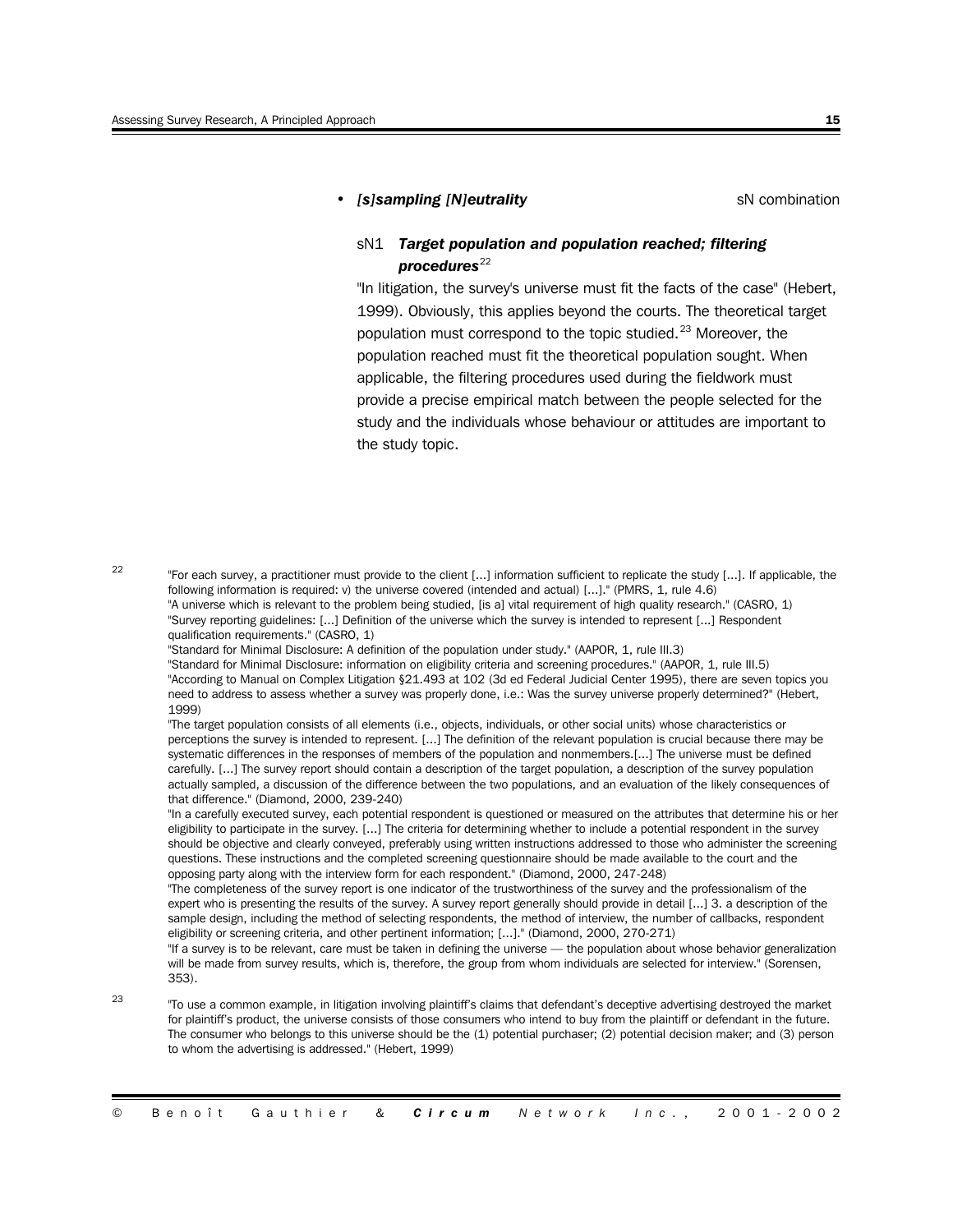#### • *[s]sampling [N]eutrality* sN combination

# sN1 *Target population and population reached; filtering procedures*<sup>22</sup>

"In litigation, the survey's universe must fit the facts of the case" (Hebert, 1999). Obviously, this applies beyond the courts. The theoretical target population must correspond to the topic studied.<sup>23</sup> Moreover, the population reached must fit the theoretical population sought. When applicable, the filtering procedures used during the fieldwork must provide a precise empirical match between the people selected for the study and the individuals whose behaviour or attitudes are important to the study topic.

<sup>22</sup> "For each survey, a practitioner must provide to the client [...] information sufficient to replicate the study [...]. If applicable, the following information is required: v) the universe covered (intended and actual) [...]." (PMRS, 1, rule 4.6) "A universe which is relevant to the problem being studied, [is a] vital requirement of high quality research." (CASRO, 1) "Survey reporting guidelines: [...] Definition of the universe which the survey is intended to represent [...] Respondent qualification requirements." (CASRO, 1)

"Standard for Minimal Disclosure: A definition of the population under study." (AAPOR, 1, rule III.3)

"Standard for Minimal Disclosure: information on eligibility criteria and screening procedures." (AAPOR, 1, rule III.5) "According to Manual on Complex Litigation §21.493 at 102 (3d ed Federal Judicial Center 1995), there are seven topics you need to address to assess whether a survey was properly done, i.e.: Was the survey universe properly determined?" (Hebert, 1999)

"The target population consists of all elements (i.e., objects, individuals, or other social units) whose characteristics or perceptions the survey is intended to represent. [...] The definition of the relevant population is crucial because there may be systematic differences in the responses of members of the population and nonmembers.[...] The universe must be defined carefully. [...] The survey report should contain a description of the target population, a description of the survey population actually sampled, a discussion of the difference between the two populations, and an evaluation of the likely consequences of that difference." (Diamond, 2000, 239-240)

"In a carefully executed survey, each potential respondent is questioned or measured on the attributes that determine his or her eligibility to participate in the survey. [...] The criteria for determining whether to include a potential respondent in the survey should be objective and clearly conveyed, preferably using written instructions addressed to those who administer the screening questions. These instructions and the completed screening questionnaire should be made available to the court and the opposing party along with the interview form for each respondent." (Diamond, 2000, 247-248)

"The completeness of the survey report is one indicator of the trustworthiness of the survey and the professionalism of the expert who is presenting the results of the survey. A survey report generally should provide in detail [...] 3. a description of the sample design, including the method of selecting respondents, the method of interview, the number of callbacks, respondent eligibility or screening criteria, and other pertinent information; [...]." (Diamond, 2000, 270-271)

"If a survey is to be relevant, care must be taken in defining the universe — the population about whose behavior generalization will be made from survey results, which is, therefore, the group from whom individuals are selected for interview." (Sorensen, 353).

<sup>23</sup> "To use a common example, in litigation involving plaintiff's claims that defendant's deceptive advertising destroyed the market for plaintiff's product, the universe consists of those consumers who intend to buy from the plaintiff or defendant in the future. The consumer who belongs to this universe should be the (1) potential purchaser; (2) potential decision maker; and (3) person to whom the advertising is addressed." (Hebert, 1999)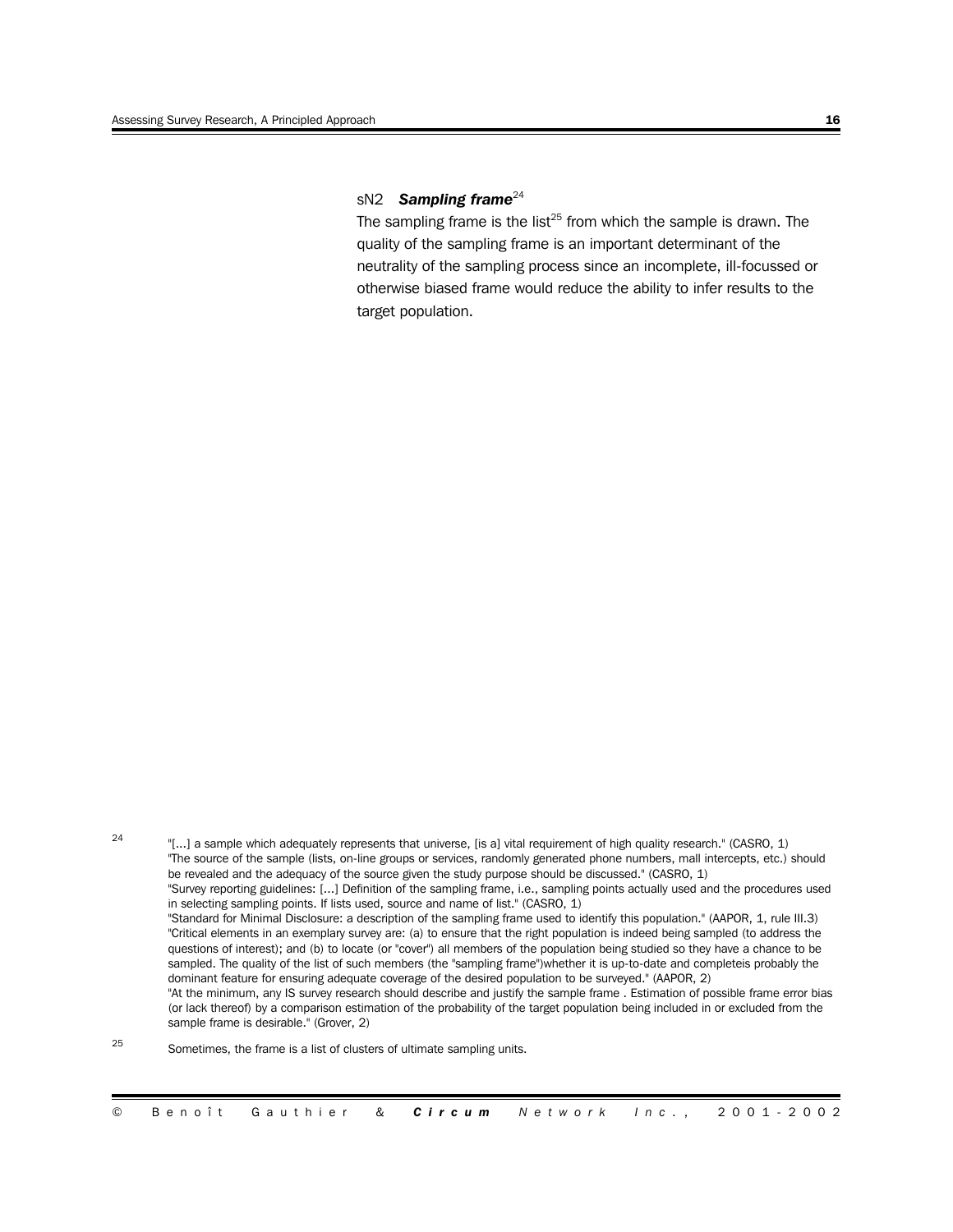# sN2 **Sampling frame**<sup>24</sup>

The sampling frame is the list<sup>25</sup> from which the sample is drawn. The quality of the sampling frame is an important determinant of the neutrality of the sampling process since an incomplete, ill-focussed or otherwise biased frame would reduce the ability to infer results to the target population.

 $^{24}$   $\ldots$  a sample which adequately represents that universe, [is a] vital requirement of high quality research." (CASRO, 1) "The source of the sample (lists, on-line groups or services, randomly generated phone numbers, mall intercepts, etc.) should be revealed and the adequacy of the source given the study purpose should be discussed." (CASRO, 1) "Survey reporting guidelines: [...] Definition of the sampling frame, i.e., sampling points actually used and the procedures used in selecting sampling points. If lists used, source and name of list." (CASRO, 1) "Standard for Minimal Disclosure: a description of the sampling frame used to identify this population." (AAPOR, 1, rule III.3) "Critical elements in an exemplary survey are: (a) to ensure that the right population is indeed being sampled (to address the questions of interest); and (b) to locate (or "cover") all members of the population being studied so they have a chance to be sampled. The quality of the list of such members (the "sampling frame")whether it is up-to-date and completeis probably the dominant feature for ensuring adequate coverage of the desired population to be surveyed." (AAPOR, 2) "At the minimum, any IS survey research should describe and justify the sample frame . Estimation of possible frame error bias (or lack thereof) by a comparison estimation of the probability of the target population being included in or excluded from the sample frame is desirable." (Grover, 2)

<sup>&</sup>lt;sup>25</sup> Sometimes, the frame is a list of clusters of ultimate sampling units.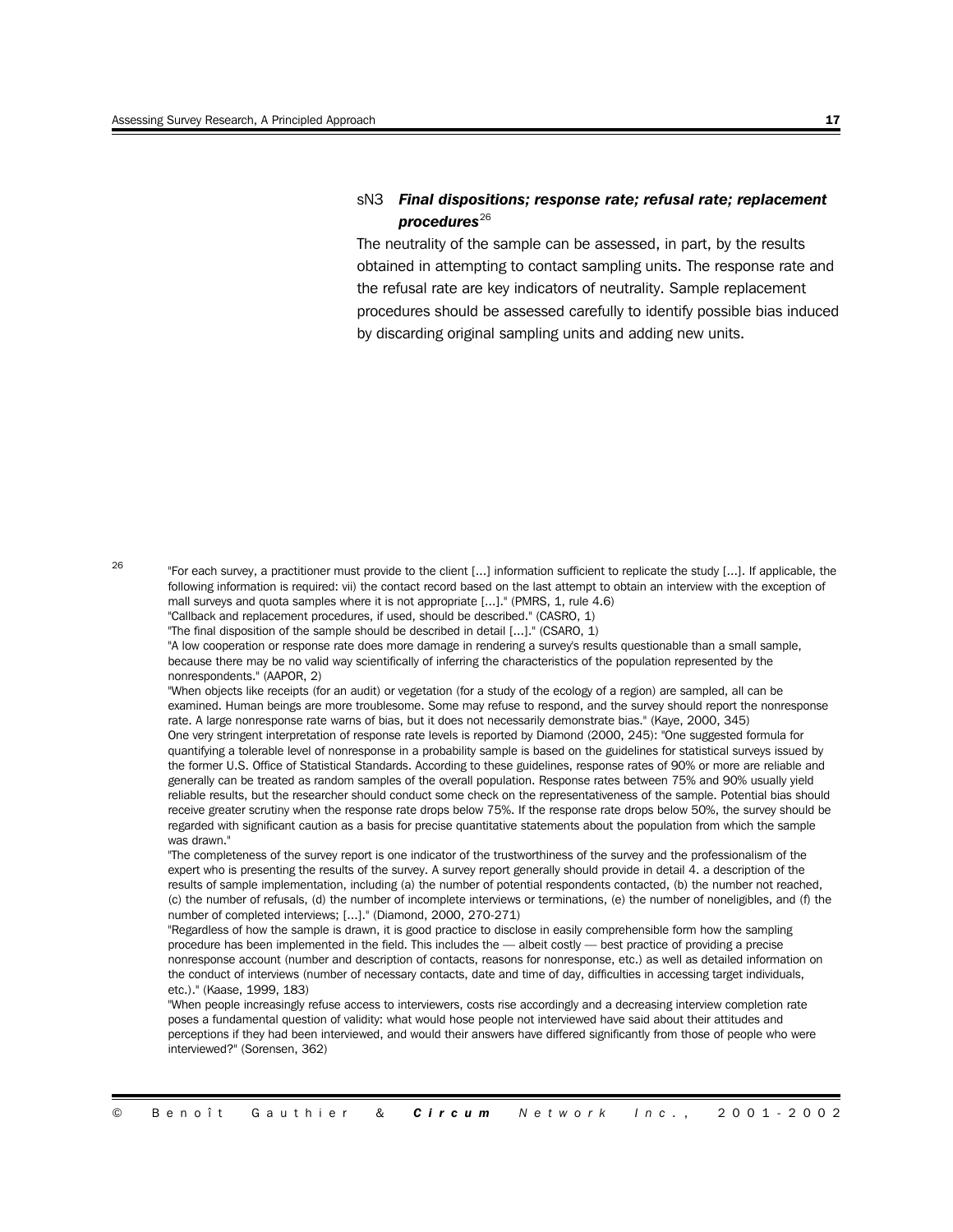# sN3 *Final dispositions; response rate; refusal rate; replacement procedures*<sup>26</sup>

The neutrality of the sample can be assessed, in part, by the results obtained in attempting to contact sampling units. The response rate and the refusal rate are key indicators of neutrality. Sample replacement procedures should be assessed carefully to identify possible bias induced by discarding original sampling units and adding new units.

<sup>26</sup> "For each survey, a practitioner must provide to the client [...] information sufficient to replicate the study [...]. If applicable, the following information is required: vii) the contact record based on the last attempt to obtain an interview with the exception of mall surveys and quota samples where it is not appropriate [...]." (PMRS, 1, rule 4.6)

"Callback and replacement procedures, if used, should be described." (CASRO, 1)

"The final disposition of the sample should be described in detail [...]." (CSARO, 1)

"A low cooperation or response rate does more damage in rendering a survey's results questionable than a small sample, because there may be no valid way scientifically of inferring the characteristics of the population represented by the nonrespondents." (AAPOR, 2)

"When objects like receipts (for an audit) or vegetation (for a study of the ecology of a region) are sampled, all can be examined. Human beings are more troublesome. Some may refuse to respond, and the survey should report the nonresponse rate. A large nonresponse rate warns of bias, but it does not necessarily demonstrate bias." (Kaye, 2000, 345) One very stringent interpretation of response rate levels is reported by Diamond (2000, 245): "One suggested formula for quantifying a tolerable level of nonresponse in a probability sample is based on the guidelines for statistical surveys issued by the former U.S. Office of Statistical Standards. According to these guidelines, response rates of 90% or more are reliable and generally can be treated as random samples of the overall population. Response rates between 75% and 90% usually yield reliable results, but the researcher should conduct some check on the representativeness of the sample. Potential bias should receive greater scrutiny when the response rate drops below 75%. If the response rate drops below 50%, the survey should be regarded with significant caution as a basis for precise quantitative statements about the population from which the sample was drawn."

"The completeness of the survey report is one indicator of the trustworthiness of the survey and the professionalism of the expert who is presenting the results of the survey. A survey report generally should provide in detail 4. a description of the results of sample implementation, including (a) the number of potential respondents contacted, (b) the number not reached, (c) the number of refusals, (d) the number of incomplete interviews or terminations, (e) the number of noneligibles, and (f) the number of completed interviews; [...]." (Diamond, 2000, 270-271)

"Regardless of how the sample is drawn, it is good practice to disclose in easily comprehensible form how the sampling procedure has been implemented in the field. This includes the — albeit costly — best practice of providing a precise nonresponse account (number and description of contacts, reasons for nonresponse, etc.) as well as detailed information on the conduct of interviews (number of necessary contacts, date and time of day, difficulties in accessing target individuals, etc.)." (Kaase, 1999, 183)

"When people increasingly refuse access to interviewers, costs rise accordingly and a decreasing interview completion rate poses a fundamental question of validity: what would hose people not interviewed have said about their attitudes and perceptions if they had been interviewed, and would their answers have differed significantly from those of people who were interviewed?" (Sorensen, 362)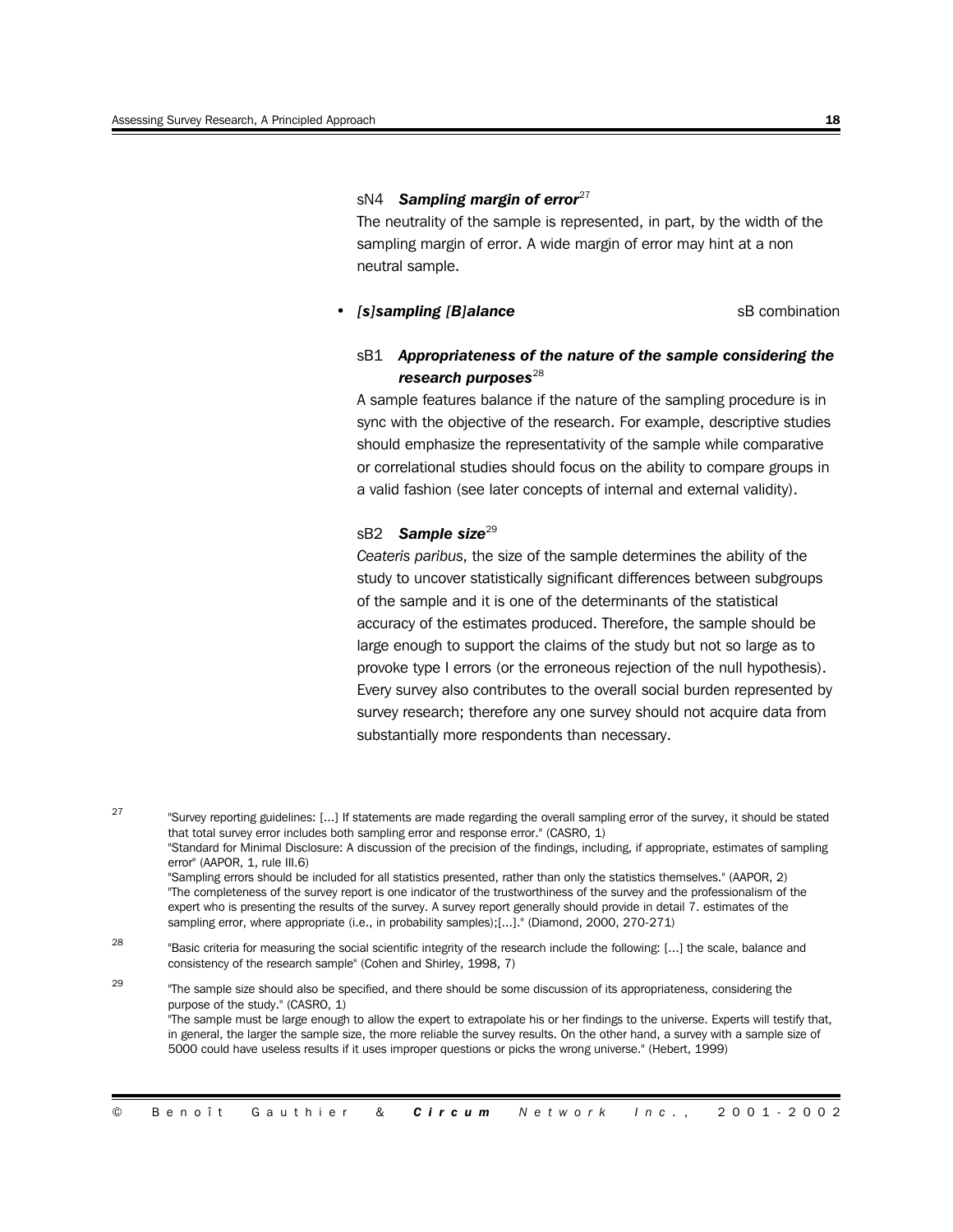# sN4 **Sampling margin of error**<sup>27</sup>

The neutrality of the sample is represented, in part, by the width of the sampling margin of error. A wide margin of error may hint at a non neutral sample.

• *ssampling [B]alance* sB combination

# sB1 *Appropriateness of the nature of the sample considering the research purposes*<sup>28</sup>

A sample features balance if the nature of the sampling procedure is in sync with the objective of the research. For example, descriptive studies should emphasize the representativity of the sample while comparative or correlational studies should focus on the ability to compare groups in a valid fashion (see later concepts of internal and external validity).

#### sB2 **Sample size**<sup>29</sup>

*Ceateris paribus*, the size of the sample determines the ability of the study to uncover statistically significant differences between subgroups of the sample and it is one of the determinants of the statistical accuracy of the estimates produced. Therefore, the sample should be large enough to support the claims of the study but not so large as to provoke type I errors (or the erroneous rejection of the null hypothesis). Every survey also contributes to the overall social burden represented by survey research; therefore any one survey should not acquire data from substantially more respondents than necessary.

<sup>27</sup> "Survey reporting guidelines: [...] If statements are made regarding the overall sampling error of the survey, it should be stated that total survey error includes both sampling error and response error." (CASRO, 1) "Standard for Minimal Disclosure: A discussion of the precision of the findings, including, if appropriate, estimates of sampling

error" (AAPOR, 1, rule III.6) "Sampling errors should be included for all statistics presented, rather than only the statistics themselves." (AAPOR, 2) "The completeness of the survey report is one indicator of the trustworthiness of the survey and the professionalism of the expert who is presenting the results of the survey. A survey report generally should provide in detail 7. estimates of the sampling error, where appropriate (i.e., in probability samples);[...]." (Diamond, 2000, 270-271)

<sup>28</sup> "Basic criteria for measuring the social scientific integrity of the research include the following: [...] the scale, balance and consistency of the research sample" (Cohen and Shirley, 1998, 7)

<sup>29</sup> "The sample size should also be specified, and there should be some discussion of its appropriateness, considering the purpose of the study." (CASRO, 1) "The sample must be large enough to allow the expert to extrapolate his or her findings to the universe. Experts will testify that, in general, the larger the sample size, the more reliable the survey results. On the other hand, a survey with a sample size of 5000 could have useless results if it uses improper questions or picks the wrong universe." (Hebert, 1999)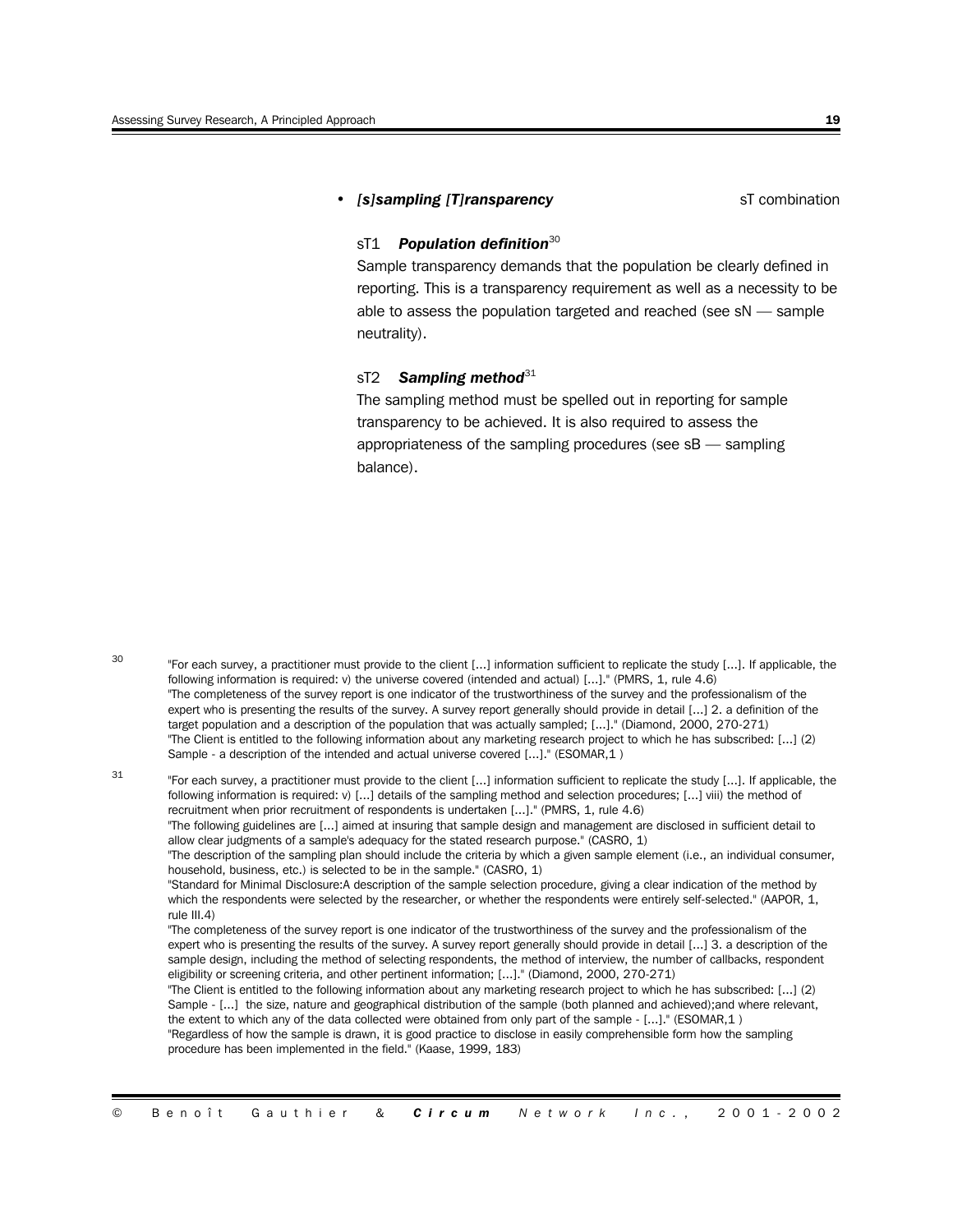#### • *[s]sampling [T]ransparency* strain straining straining straining straining straining straining straining straining straining straining straining straining straining straining straining straining straining straining stra

# sT1 **Population definition**<sup>30</sup>

Sample transparency demands that the population be clearly defined in reporting. This is a transparency requirement as well as a necessity to be able to assess the population targeted and reached (see sN — sample neutrality).

#### sT2 **Sampling method**<sup>31</sup>

The sampling method must be spelled out in reporting for sample transparency to be achieved. It is also required to assess the appropriateness of the sampling procedures (see sB — sampling balance).

 $30$  "For each survey, a practitioner must provide to the client [...] information sufficient to replicate the study [...]. If applicable, the following information is required: v) the universe covered (intended and actual) [...]." (PMRS, 1, rule 4.6) "The completeness of the survey report is one indicator of the trustworthiness of the survey and the professionalism of the expert who is presenting the results of the survey. A survey report generally should provide in detail [...] 2. a definition of the target population and a description of the population that was actually sampled; [...]." (Diamond, 2000, 270-271) "The Client is entitled to the following information about any marketing research project to which he has subscribed: [...] (2) Sample - a description of the intended and actual universe covered [...]." (ESOMAR,1 )

 $31$  "For each survey, a practitioner must provide to the client [...] information sufficient to replicate the study [...]. If applicable, the following information is required: v) [...] details of the sampling method and selection procedures; [...] viii) the method of recruitment when prior recruitment of respondents is undertaken [...]." (PMRS, 1, rule 4.6) "The following guidelines are [...] aimed at insuring that sample design and management are disclosed in sufficient detail to

allow clear judgments of a sample's adequacy for the stated research purpose." (CASRO, 1)

"The description of the sampling plan should include the criteria by which a given sample element (i.e., an individual consumer, household, business, etc.) is selected to be in the sample." (CASRO, 1)

"Standard for Minimal Disclosure:A description of the sample selection procedure, giving a clear indication of the method by which the respondents were selected by the researcher, or whether the respondents were entirely self-selected." (AAPOR, 1, rule III.4)

"The completeness of the survey report is one indicator of the trustworthiness of the survey and the professionalism of the expert who is presenting the results of the survey. A survey report generally should provide in detail [...] 3. a description of the sample design, including the method of selecting respondents, the method of interview, the number of callbacks, respondent eligibility or screening criteria, and other pertinent information; [...]." (Diamond, 2000, 270-271)

"The Client is entitled to the following information about any marketing research project to which he has subscribed: [...] (2) Sample - [...] the size, nature and geographical distribution of the sample (both planned and achieved);and where relevant, the extent to which any of the data collected were obtained from only part of the sample - [...]." (ESOMAR,1 ) "Regardless of how the sample is drawn, it is good practice to disclose in easily comprehensible form how the sampling procedure has been implemented in the field." (Kaase, 1999, 183)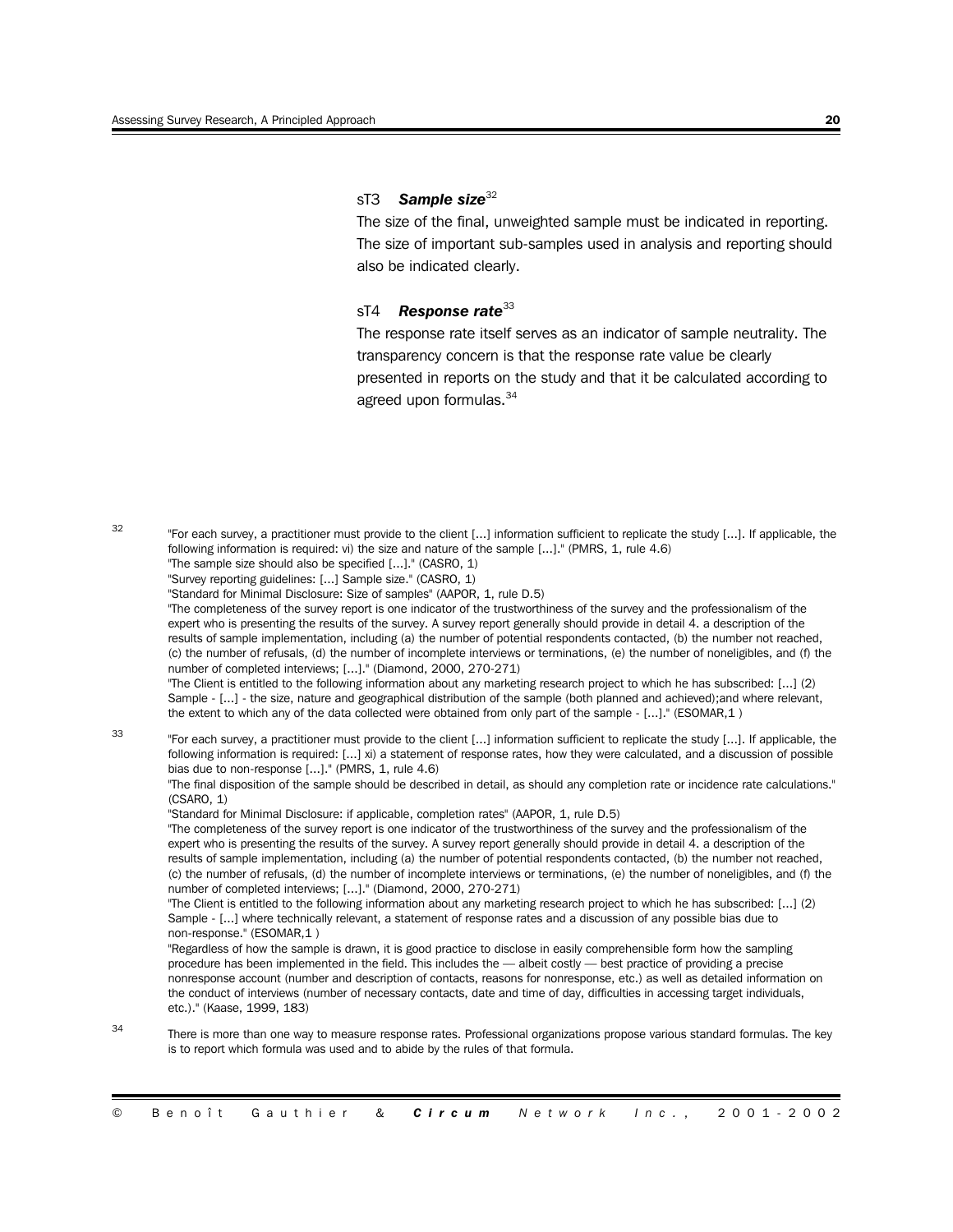#### sT3 **Sample size**<sup>32</sup>

The size of the final, unweighted sample must be indicated in reporting. The size of important sub-samples used in analysis and reporting should also be indicated clearly.

#### sT4 **Response rate**<sup>33</sup>

The response rate itself serves as an indicator of sample neutrality. The transparency concern is that the response rate value be clearly presented in reports on the study and that it be calculated according to agreed upon formulas.<sup>34</sup>

<sup>32</sup> "For each survey, a practitioner must provide to the client [...] information sufficient to replicate the study [...]. If applicable, the following information is required: vi) the size and nature of the sample [...]." (PMRS, 1, rule 4.6)

"The sample size should also be specified [...]." (CASRO, 1)

"Survey reporting guidelines: [...] Sample size." (CASRO, 1)

"Standard for Minimal Disclosure: Size of samples" (AAPOR, 1, rule D.5)

"The completeness of the survey report is one indicator of the trustworthiness of the survey and the professionalism of the expert who is presenting the results of the survey. A survey report generally should provide in detail 4. a description of the results of sample implementation, including (a) the number of potential respondents contacted, (b) the number not reached, (c) the number of refusals, (d) the number of incomplete interviews or terminations, (e) the number of noneligibles, and (f) the number of completed interviews; [...]." (Diamond, 2000, 270-271)

"The Client is entitled to the following information about any marketing research project to which he has subscribed: [...] (2) Sample - [...] - the size, nature and geographical distribution of the sample (both planned and achieved);and where relevant, the extent to which any of the data collected were obtained from only part of the sample - [...]." (ESOMAR,1 )

<sup>33</sup> "For each survey, a practitioner must provide to the client [...] information sufficient to replicate the study [...]. If applicable, the following information is required: [...] xi) a statement of response rates, how they were calculated, and a discussion of possible bias due to non-response [...]." (PMRS, 1, rule 4.6)

"The final disposition of the sample should be described in detail, as should any completion rate or incidence rate calculations." (CSARO, 1)

"Standard for Minimal Disclosure: if applicable, completion rates" (AAPOR, 1, rule D.5)

"The completeness of the survey report is one indicator of the trustworthiness of the survey and the professionalism of the expert who is presenting the results of the survey. A survey report generally should provide in detail 4. a description of the results of sample implementation, including (a) the number of potential respondents contacted, (b) the number not reached, (c) the number of refusals, (d) the number of incomplete interviews or terminations, (e) the number of noneligibles, and (f) the number of completed interviews; [...]." (Diamond, 2000, 270-271)

"The Client is entitled to the following information about any marketing research project to which he has subscribed: [...] (2) Sample - [...] where technically relevant, a statement of response rates and a discussion of any possible bias due to non-response." (ESOMAR,1 )

"Regardless of how the sample is drawn, it is good practice to disclose in easily comprehensible form how the sampling procedure has been implemented in the field. This includes the — albeit costly — best practice of providing a precise nonresponse account (number and description of contacts, reasons for nonresponse, etc.) as well as detailed information on the conduct of interviews (number of necessary contacts, date and time of day, difficulties in accessing target individuals, etc.)." (Kaase, 1999, 183)

<sup>34</sup> There is more than one way to measure response rates. Professional organizations propose various standard formulas. The key is to report which formula was used and to abide by the rules of that formula.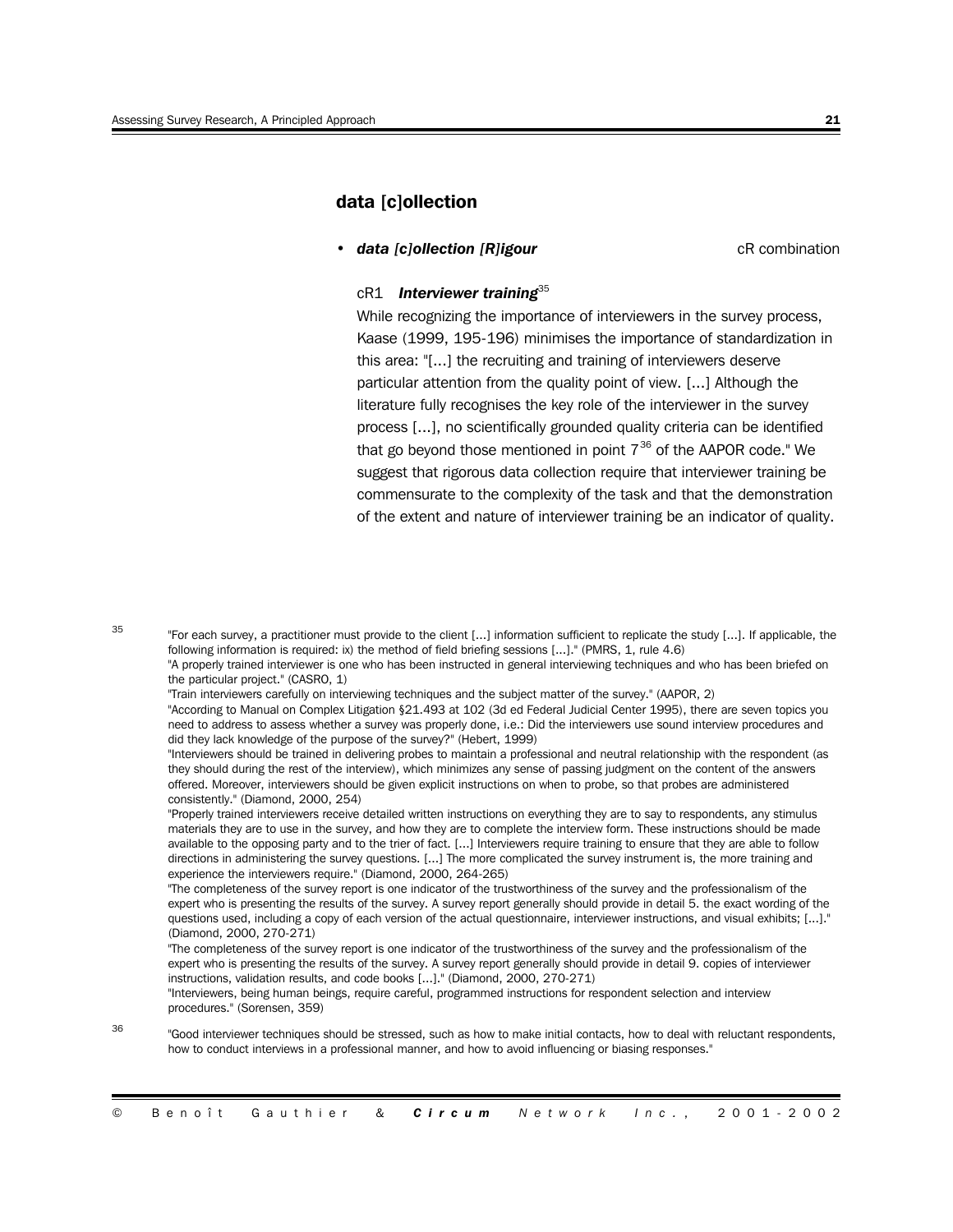#### **data [c]ollection**

• **data [c]ollection [R]igour** cR combination

#### cR1 *Interviewer training*<sup>35</sup>

While recognizing the importance of interviewers in the survey process, Kaase (1999, 195-196) minimises the importance of standardization in this area: "[...] the recruiting and training of interviewers deserve particular attention from the quality point of view. [...] Although the literature fully recognises the key role of the interviewer in the survey process [...], no scientifically grounded quality criteria can be identified that go beyond those mentioned in point  $7^{36}$  of the AAPOR code." We suggest that rigorous data collection require that interviewer training be commensurate to the complexity of the task and that the demonstration of the extent and nature of interviewer training be an indicator of quality.

<sup>35</sup> "For each survey, a practitioner must provide to the client [...] information sufficient to replicate the study [...]. If applicable, the following information is required: ix) the method of field briefing sessions [...]." (PMRS, 1, rule 4.6)

"A properly trained interviewer is one who has been instructed in general interviewing techniques and who has been briefed on the particular project." (CASRO, 1)

"Train interviewers carefully on interviewing techniques and the subject matter of the survey." (AAPOR, 2)

"According to Manual on Complex Litigation §21.493 at 102 (3d ed Federal Judicial Center 1995), there are seven topics you need to address to assess whether a survey was properly done, i.e.: Did the interviewers use sound interview procedures and did they lack knowledge of the purpose of the survey?" (Hebert, 1999)

"Interviewers should be trained in delivering probes to maintain a professional and neutral relationship with the respondent (as they should during the rest of the interview), which minimizes any sense of passing judgment on the content of the answers offered. Moreover, interviewers should be given explicit instructions on when to probe, so that probes are administered consistently." (Diamond, 2000, 254)

"Properly trained interviewers receive detailed written instructions on everything they are to say to respondents, any stimulus materials they are to use in the survey, and how they are to complete the interview form. These instructions should be made available to the opposing party and to the trier of fact. [...] Interviewers require training to ensure that they are able to follow directions in administering the survey questions. [...] The more complicated the survey instrument is, the more training and experience the interviewers require." (Diamond, 2000, 264-265)

"The completeness of the survey report is one indicator of the trustworthiness of the survey and the professionalism of the expert who is presenting the results of the survey. A survey report generally should provide in detail 5. the exact wording of the questions used, including a copy of each version of the actual questionnaire, interviewer instructions, and visual exhibits; [...]." (Diamond, 2000, 270-271)

"The completeness of the survey report is one indicator of the trustworthiness of the survey and the professionalism of the expert who is presenting the results of the survey. A survey report generally should provide in detail 9. copies of interviewer instructions, validation results, and code books [...]." (Diamond, 2000, 270-271)

"Interviewers, being human beings, require careful, programmed instructions for respondent selection and interview procedures." (Sorensen, 359)

<sup>36</sup> "Good interviewer techniques should be stressed, such as how to make initial contacts, how to deal with reluctant respondents, how to conduct interviews in a professional manner, and how to avoid influencing or biasing responses."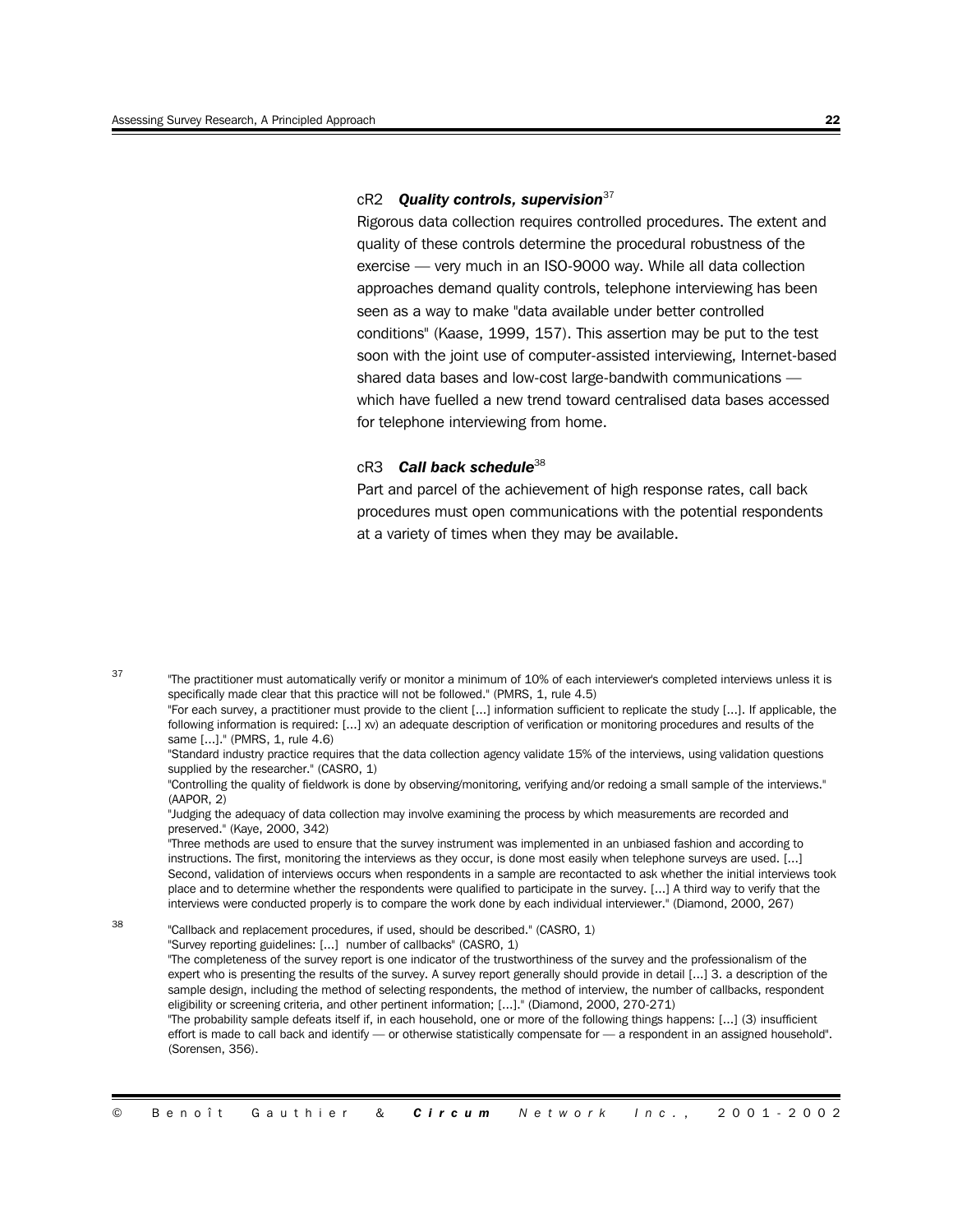# cR2 *Quality controls, supervision*<sup>37</sup>

Rigorous data collection requires controlled procedures. The extent and quality of these controls determine the procedural robustness of the exercise — very much in an ISO-9000 way. While all data collection approaches demand quality controls, telephone interviewing has been seen as a way to make "data available under better controlled conditions" (Kaase, 1999, 157). This assertion may be put to the test soon with the joint use of computer-assisted interviewing, Internet-based shared data bases and low-cost large-bandwith communications which have fuelled a new trend toward centralised data bases accessed for telephone interviewing from home.

#### cR3 **Call back schedule**<sup>38</sup>

Part and parcel of the achievement of high response rates, call back procedures must open communications with the potential respondents at a variety of times when they may be available.

<sup>37</sup> The practitioner must automatically verify or monitor a minimum of 10% of each interviewer's completed interviews unless it is specifically made clear that this practice will not be followed." (PMRS, 1, rule 4.5)

"For each survey, a practitioner must provide to the client [...] information sufficient to replicate the study [...]. If applicable, the following information is required: [...] xv) an adequate description of verification or monitoring procedures and results of the same [...]." (PMRS, 1, rule 4.6)

"Standard industry practice requires that the data collection agency validate 15% of the interviews, using validation questions supplied by the researcher." (CASRO, 1)

"Controlling the quality of fieldwork is done by observing/monitoring, verifying and/or redoing a small sample of the interviews." (AAPOR, 2)

"Judging the adequacy of data collection may involve examining the process by which measurements are recorded and preserved." (Kaye, 2000, 342)

"Three methods are used to ensure that the survey instrument was implemented in an unbiased fashion and according to instructions. The first, monitoring the interviews as they occur, is done most easily when telephone surveys are used. [...] Second, validation of interviews occurs when respondents in a sample are recontacted to ask whether the initial interviews took place and to determine whether the respondents were qualified to participate in the survey. [...] A third way to verify that the interviews were conducted properly is to compare the work done by each individual interviewer." (Diamond, 2000, 267)

<sup>38</sup> "Callback and replacement procedures, if used, should be described." (CASRO, 1)

"Survey reporting guidelines: [...] number of callbacks" (CASRO, 1) "The completeness of the survey report is one indicator of the trustworthiness of the survey and the professionalism of the

expert who is presenting the results of the survey. A survey report generally should provide in detail [...] 3. a description of the sample design, including the method of selecting respondents, the method of interview, the number of callbacks, respondent eligibility or screening criteria, and other pertinent information; [...]." (Diamond, 2000, 270-271)

"The probability sample defeats itself if, in each household, one or more of the following things happens: [...] (3) insufficient effort is made to call back and identify — or otherwise statistically compensate for — a respondent in an assigned household". (Sorensen, 356).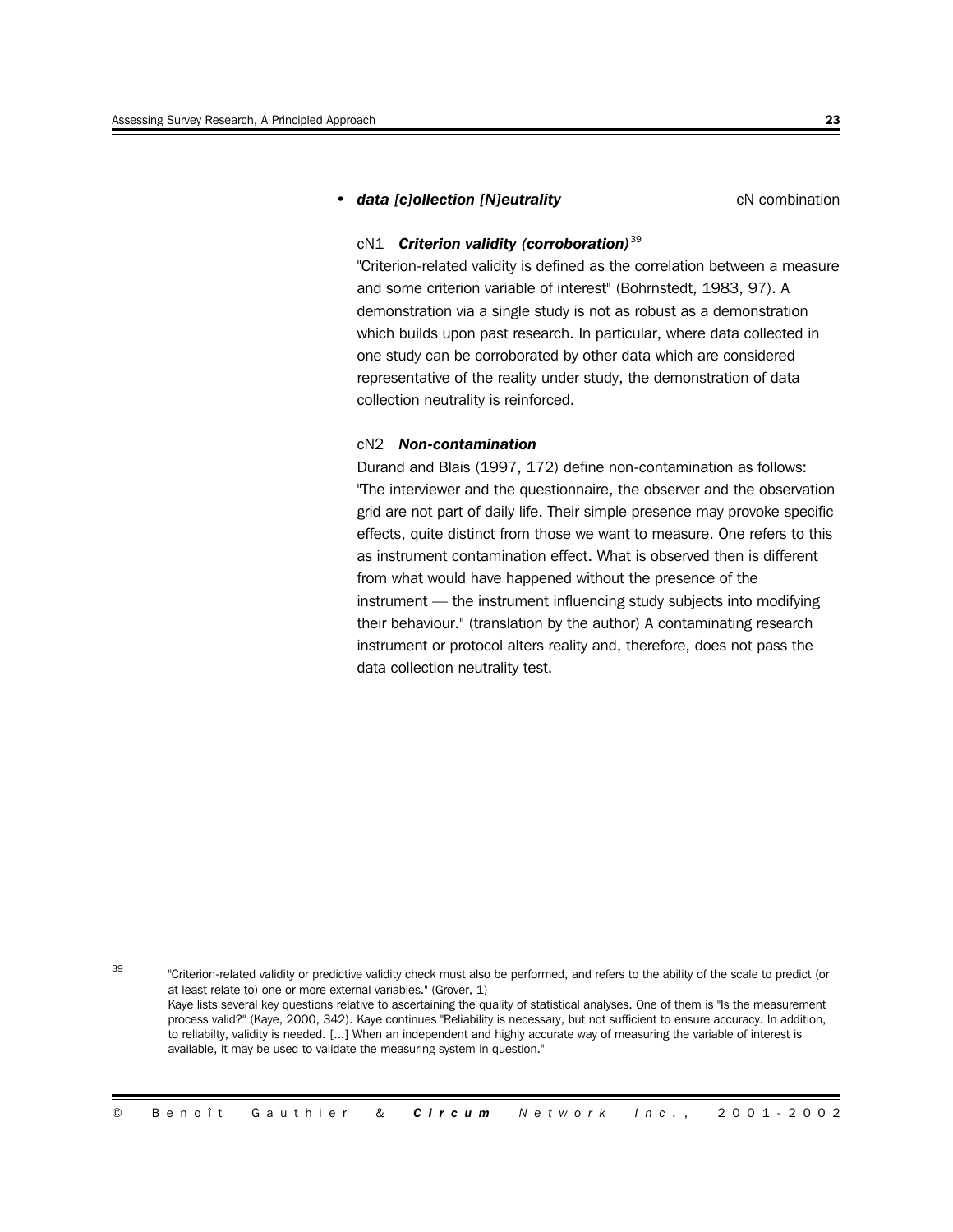#### • **data [c]ollection [N]eutrality cN** combination

# cN1 *Criterion validity (corroboration)*<sup>39</sup>

"Criterion-related validity is defined as the correlation between a measure and some criterion variable of interest" (Bohrnstedt, 1983, 97). A demonstration via a single study is not as robust as a demonstration which builds upon past research. In particular, where data collected in one study can be corroborated by other data which are considered representative of the reality under study, the demonstration of data collection neutrality is reinforced.

#### cN2 *Non-contamination*

Durand and Blais (1997, 172) define non-contamination as follows: "The interviewer and the questionnaire, the observer and the observation grid are not part of daily life. Their simple presence may provoke specific effects, quite distinct from those we want to measure. One refers to this as instrument contamination effect. What is observed then is different from what would have happened without the presence of the instrument — the instrument influencing study subjects into modifying their behaviour." (translation by the author) A contaminating research instrument or protocol alters reality and, therefore, does not pass the data collection neutrality test.

<sup>39</sup> "Criterion-related validity or predictive validity check must also be performed, and refers to the ability of the scale to predict (or at least relate to) one or more external variables." (Grover, 1) Kaye lists several key questions relative to ascertaining the quality of statistical analyses. One of them is "Is the measurement process valid?" (Kaye, 2000, 342). Kaye continues "Reliability is necessary, but not sufficient to ensure accuracy. In addition, to reliabilty, validity is needed. [...] When an independent and highly accurate way of measuring the variable of interest is available, it may be used to validate the measuring system in question."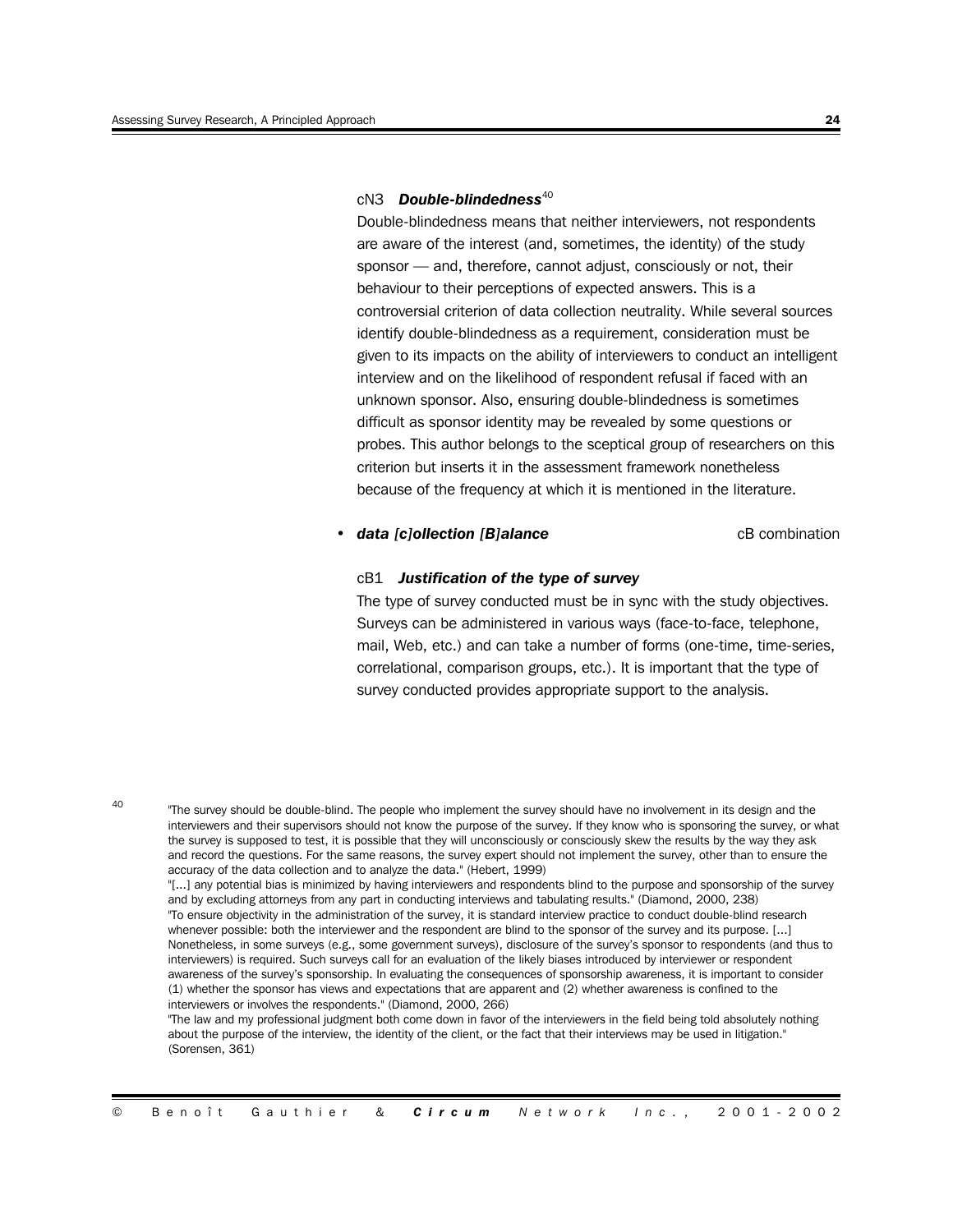# cN3 *Double-blindedness*<sup>40</sup>

Double-blindedness means that neither interviewers, not respondents are aware of the interest (and, sometimes, the identity) of the study sponsor — and, therefore, cannot adjust, consciously or not, their behaviour to their perceptions of expected answers. This is a controversial criterion of data collection neutrality. While several sources identify double-blindedness as a requirement, consideration must be given to its impacts on the ability of interviewers to conduct an intelligent interview and on the likelihood of respondent refusal if faced with an unknown sponsor. Also, ensuring double-blindedness is sometimes difficult as sponsor identity may be revealed by some questions or probes. This author belongs to the sceptical group of researchers on this criterion but inserts it in the assessment framework nonetheless because of the frequency at which it is mentioned in the literature.

• **data [c]ollection [B]alance** cB combination

#### cB1 *Justification of the type of survey*

The type of survey conducted must be in sync with the study objectives. Surveys can be administered in various ways (face-to-face, telephone, mail, Web, etc.) and can take a number of forms (one-time, time-series, correlational, comparison groups, etc.). It is important that the type of survey conducted provides appropriate support to the analysis.

<sup>40</sup> "The survey should be double-blind. The people who implement the survey should have no involvement in its design and the interviewers and their supervisors should not know the purpose of the survey. If they know who is sponsoring the survey, or what the survey is supposed to test, it is possible that they will unconsciously or consciously skew the results by the way they ask and record the questions. For the same reasons, the survey expert should not implement the survey, other than to ensure the accuracy of the data collection and to analyze the data." (Hebert, 1999)

"[...] any potential bias is minimized by having interviewers and respondents blind to the purpose and sponsorship of the survey and by excluding attorneys from any part in conducting interviews and tabulating results." (Diamond, 2000, 238) "To ensure objectivity in the administration of the survey, it is standard interview practice to conduct double-blind research whenever possible: both the interviewer and the respondent are blind to the sponsor of the survey and its purpose. [...] Nonetheless, in some surveys (e.g., some government surveys), disclosure of the survey's sponsor to respondents (and thus to interviewers) is required. Such surveys call for an evaluation of the likely biases introduced by interviewer or respondent awareness of the survey's sponsorship. In evaluating the consequences of sponsorship awareness, it is important to consider (1) whether the sponsor has views and expectations that are apparent and (2) whether awareness is confined to the interviewers or involves the respondents." (Diamond, 2000, 266)

"The law and my professional judgment both come down in favor of the interviewers in the field being told absolutely nothing about the purpose of the interview, the identity of the client, or the fact that their interviews may be used in litigation." (Sorensen, 361)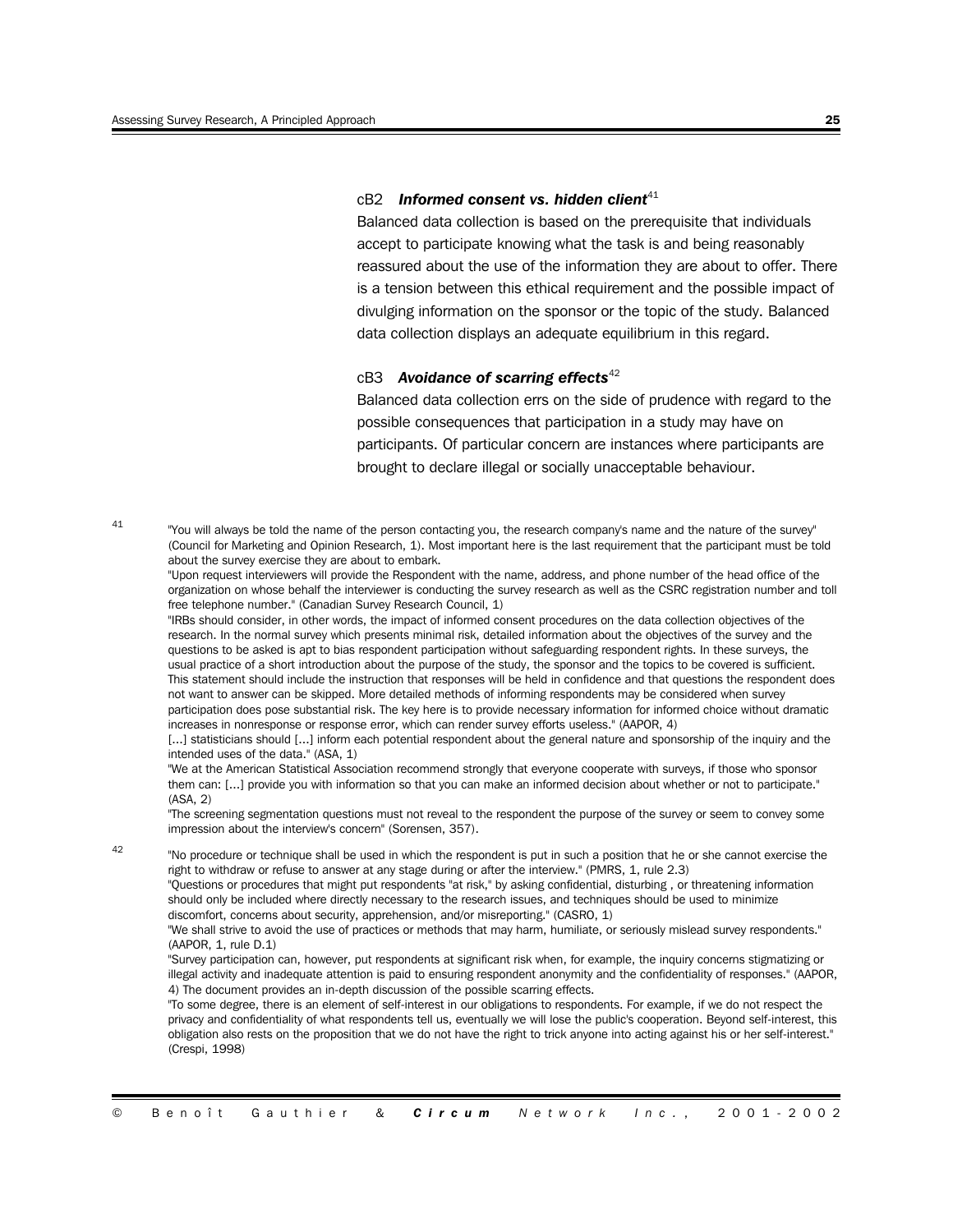#### cB2 **Informed consent vs. hidden client**<sup>41</sup>

Balanced data collection is based on the prerequisite that individuals accept to participate knowing what the task is and being reasonably reassured about the use of the information they are about to offer. There is a tension between this ethical requirement and the possible impact of divulging information on the sponsor or the topic of the study. Balanced data collection displays an adequate equilibrium in this regard.

#### cB3 **Avoidance of scarring effects**<sup>42</sup>

Balanced data collection errs on the side of prudence with regard to the possible consequences that participation in a study may have on participants. Of particular concern are instances where participants are brought to declare illegal or socially unacceptable behaviour.

 $41$  "You will always be told the name of the person contacting you, the research company's name and the nature of the survey" (Council for Marketing and Opinion Research, 1). Most important here is the last requirement that the participant must be told about the survey exercise they are about to embark.

"Upon request interviewers will provide the Respondent with the name, address, and phone number of the head office of the organization on whose behalf the interviewer is conducting the survey research as well as the CSRC registration number and toll free telephone number." (Canadian Survey Research Council, 1)

"IRBs should consider, in other words, the impact of informed consent procedures on the data collection objectives of the research. In the normal survey which presents minimal risk, detailed information about the objectives of the survey and the questions to be asked is apt to bias respondent participation without safeguarding respondent rights. In these surveys, the usual practice of a short introduction about the purpose of the study, the sponsor and the topics to be covered is sufficient. This statement should include the instruction that responses will be held in confidence and that questions the respondent does not want to answer can be skipped. More detailed methods of informing respondents may be considered when survey participation does pose substantial risk. The key here is to provide necessary information for informed choice without dramatic increases in nonresponse or response error, which can render survey efforts useless." (AAPOR, 4)

[...] statisticians should [...] inform each potential respondent about the general nature and sponsorship of the inquiry and the intended uses of the data." (ASA, 1)

"We at the American Statistical Association recommend strongly that everyone cooperate with surveys, if those who sponsor them can: [...] provide you with information so that you can make an informed decision about whether or not to participate." (ASA, 2)

"The screening segmentation questions must not reveal to the respondent the purpose of the survey or seem to convey some impression about the interview's concern" (Sorensen, 357).

<sup>42</sup> "No procedure or technique shall be used in which the respondent is put in such a position that he or she cannot exercise the right to withdraw or refuse to answer at any stage during or after the interview." (PMRS, 1, rule 2.3)

"Questions or procedures that might put respondents "at risk," by asking confidential, disturbing , or threatening information should only be included where directly necessary to the research issues, and techniques should be used to minimize discomfort, concerns about security, apprehension, and/or misreporting." (CASRO, 1)

"We shall strive to avoid the use of practices or methods that may harm, humiliate, or seriously mislead survey respondents." (AAPOR, 1, rule D.1)

"Survey participation can, however, put respondents at significant risk when, for example, the inquiry concerns stigmatizing or illegal activity and inadequate attention is paid to ensuring respondent anonymity and the confidentiality of responses." (AAPOR, 4) The document provides an in-depth discussion of the possible scarring effects.

"To some degree, there is an element of self-interest in our obligations to respondents. For example, if we do not respect the privacy and confidentiality of what respondents tell us, eventually we will lose the public's cooperation. Beyond self-interest, this obligation also rests on the proposition that we do not have the right to trick anyone into acting against his or her self-interest." (Crespi, 1998)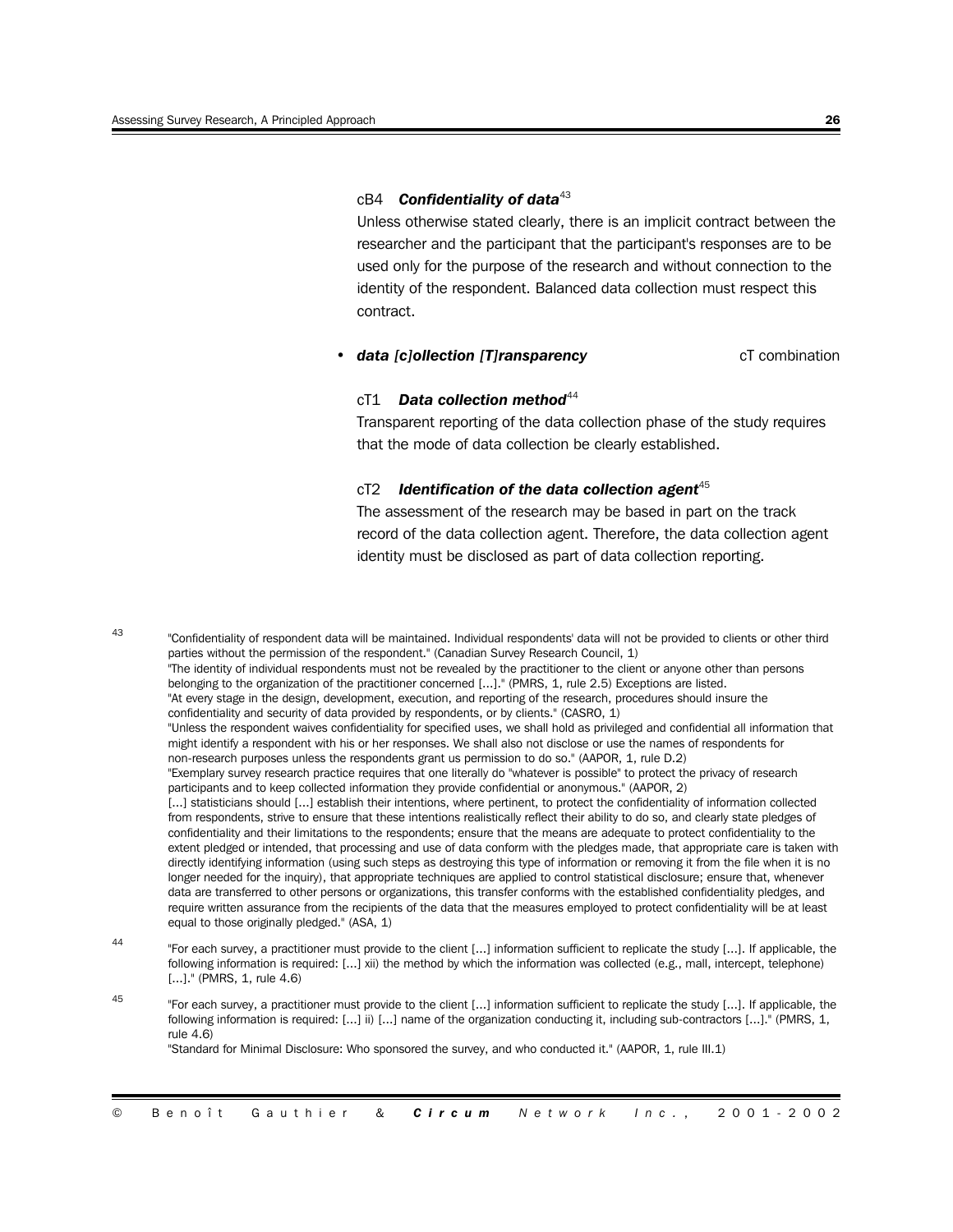# cB4 **Confidentiality of data**<sup>43</sup>

Unless otherwise stated clearly, there is an implicit contract between the researcher and the participant that the participant's responses are to be used only for the purpose of the research and without connection to the identity of the respondent. Balanced data collection must respect this contract.

• **data [c]ollection [T]ransparency** example the combination

# cT1 **Data collection method**<sup>44</sup>

Transparent reporting of the data collection phase of the study requires that the mode of data collection be clearly established.

#### cT2 **Identification of the data collection agent**<sup>45</sup>

The assessment of the research may be based in part on the track record of the data collection agent. Therefore, the data collection agent identity must be disclosed as part of data collection reporting.

<sup>43</sup> "Confidentiality of respondent data will be maintained. Individual respondents' data will not be provided to clients or other third

parties without the permission of the respondent." (Canadian Survey Research Council, 1) "The identity of individual respondents must not be revealed by the practitioner to the client or anyone other than persons belonging to the organization of the practitioner concerned [...]." (PMRS, 1, rule 2.5) Exceptions are listed. "At every stage in the design, development, execution, and reporting of the research, procedures should insure the confidentiality and security of data provided by respondents, or by clients." (CASRO, 1) "Unless the respondent waives confidentiality for specified uses, we shall hold as privileged and confidential all information that might identify a respondent with his or her responses. We shall also not disclose or use the names of respondents for non-research purposes unless the respondents grant us permission to do so." (AAPOR, 1, rule D.2) "Exemplary survey research practice requires that one literally do "whatever is possible" to protect the privacy of research participants and to keep collected information they provide confidential or anonymous." (AAPOR, 2) [...] statisticians should [...] establish their intentions, where pertinent, to protect the confidentiality of information collected from respondents, strive to ensure that these intentions realistically reflect their ability to do so, and clearly state pledges of confidentiality and their limitations to the respondents; ensure that the means are adequate to protect confidentiality to the extent pledged or intended, that processing and use of data conform with the pledges made, that appropriate care is taken with directly identifying information (using such steps as destroying this type of information or removing it from the file when it is no longer needed for the inquiry), that appropriate techniques are applied to control statistical disclosure; ensure that, whenever data are transferred to other persons or organizations, this transfer conforms with the established confidentiality pledges, and require written assurance from the recipients of the data that the measures employed to protect confidentiality will be at least equal to those originally pledged." (ASA, 1)

- <sup>44</sup> "For each survey, a practitioner must provide to the client [...] information sufficient to replicate the study [...]. If applicable, the following information is required: [...] xii) the method by which the information was collected (e.g., mall, intercept, telephone) [...]." (PMRS, 1, rule 4.6)
- <sup>45</sup> "For each survey, a practitioner must provide to the client [...] information sufficient to replicate the study [...]. If applicable, the following information is required: [...] ii) [...] name of the organization conducting it, including sub-contractors [...]." (PMRS, 1, rule 4.6)

"Standard for Minimal Disclosure: Who sponsored the survey, and who conducted it." (AAPOR, 1, rule III.1)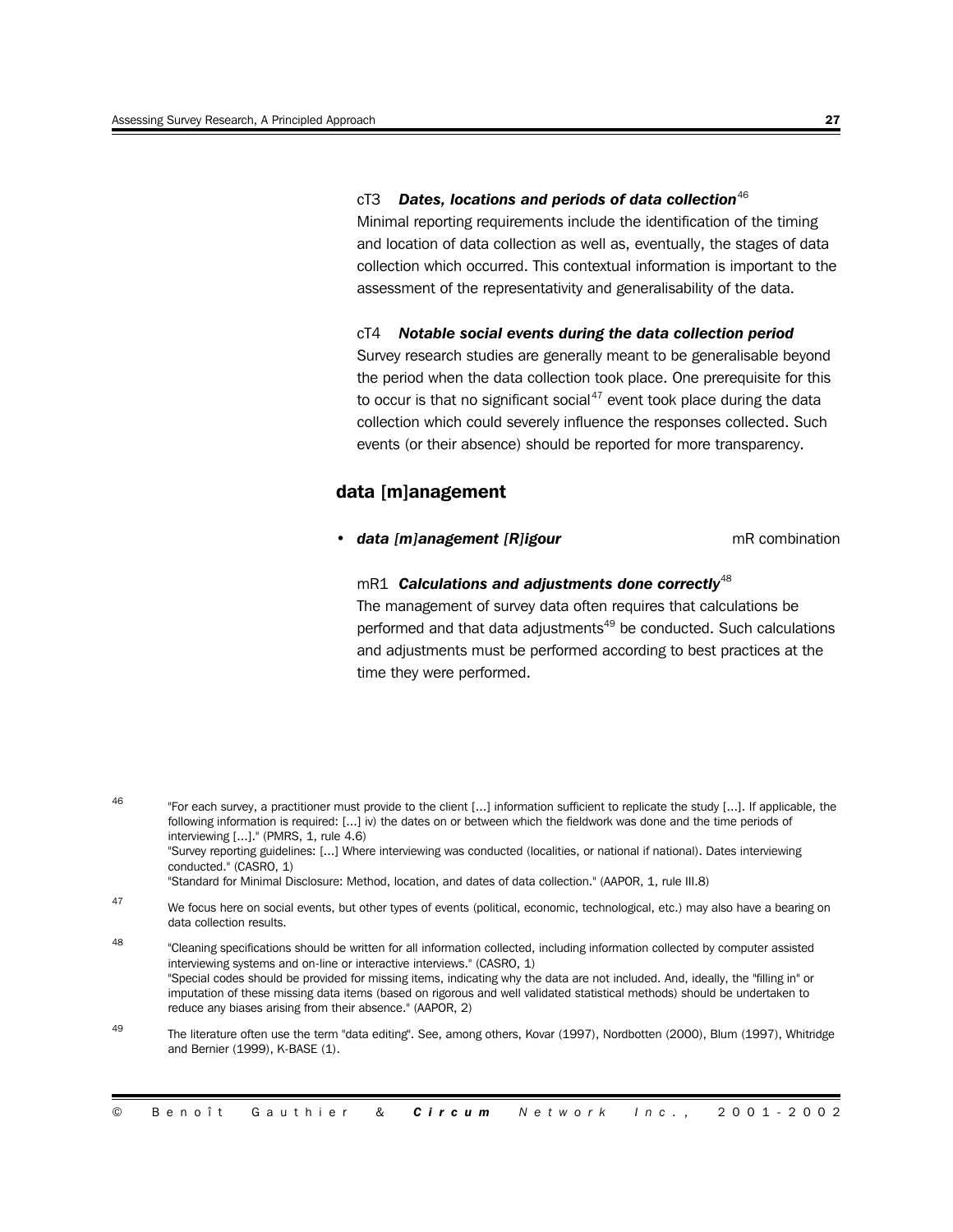# cT3 **Dates, locations and periods of data collection**<sup>46</sup>

Minimal reporting requirements include the identification of the timing and location of data collection as well as, eventually, the stages of data collection which occurred. This contextual information is important to the assessment of the representativity and generalisability of the data.

# cT4 *Notable social events during the data collection period*

Survey research studies are generally meant to be generalisable beyond the period when the data collection took place. One prerequisite for this to occur is that no significant social $47$  event took place during the data collection which could severely influence the responses collected. Such events (or their absence) should be reported for more transparency.

# **data [m]anagement**

• **data [m]anagement [R]igour** mR combination

#### mR1 **Calculations and adjustments done correctly**<sup>48</sup>

The management of survey data often requires that calculations be performed and that data adjustments<sup>49</sup> be conducted. Such calculations and adjustments must be performed according to best practices at the time they were performed.

<sup>46</sup> "For each survey, a practitioner must provide to the client [...] information sufficient to replicate the study [...]. If applicable, the following information is required: [...] iv) the dates on or between which the fieldwork was done and the time periods of interviewing [...]." (PMRS, 1, rule 4.6) "Survey reporting guidelines: [...] Where interviewing was conducted (localities, or national if national). Dates interviewing conducted." (CASRO, 1) "Standard for Minimal Disclosure: Method, location, and dates of data collection." (AAPOR, 1, rule III.8)

47 We focus here on social events, but other types of events (political, economic, technological, etc.) may also have a bearing on data collection results.

#### <sup>48</sup> "Cleaning specifications should be written for all information collected, including information collected by computer assisted interviewing systems and on-line or interactive interviews." (CASRO, 1) "Special codes should be provided for missing items, indicating why the data are not included. And, ideally, the "filling in" or imputation of these missing data items (based on rigorous and well validated statistical methods) should be undertaken to reduce any biases arising from their absence." (AAPOR, 2)

49 The literature often use the term "data editing". See, among others, Kovar (1997), Nordbotten (2000), Blum (1997), Whitridge and Bernier (1999), K-BASE (1).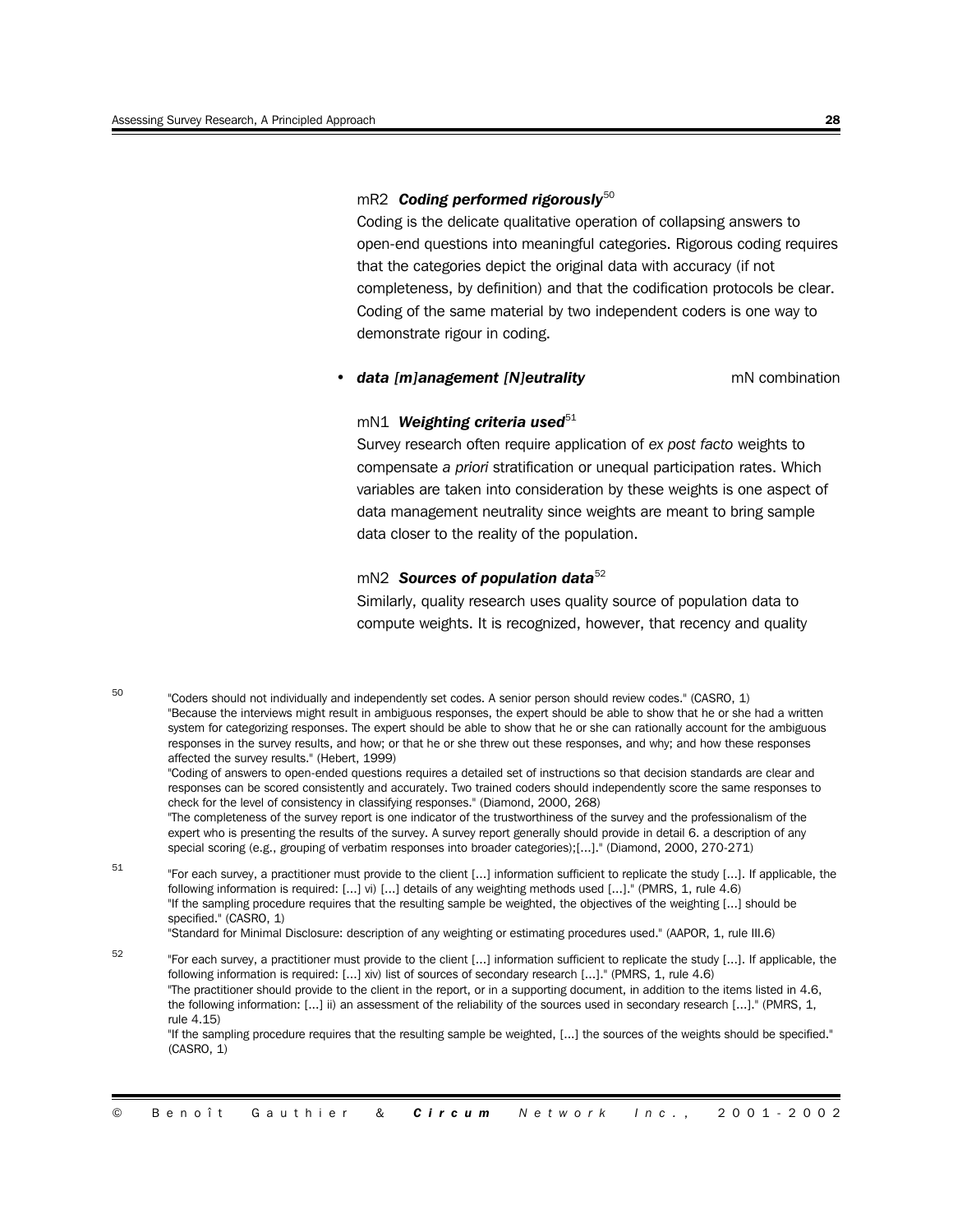# mR2 *Coding performed rigorously*<sup>50</sup>

Coding is the delicate qualitative operation of collapsing answers to open-end questions into meaningful categories. Rigorous coding requires that the categories depict the original data with accuracy (if not completeness, by definition) and that the codification protocols be clear. Coding of the same material by two independent coders is one way to demonstrate rigour in coding.

• **data [m]anagement [N]eutrality** mN combination

#### mN1 Weighting criteria used<sup>51</sup>

Survey research often require application of *ex post facto* weights to compensate *a priori* stratification or unequal participation rates. Which variables are taken into consideration by these weights is one aspect of data management neutrality since weights are meant to bring sample data closer to the reality of the population.

#### mN2 **Sources of population data**<sup>52</sup>

Similarly, quality research uses quality source of population data to compute weights. It is recognized, however, that recency and quality

<sup>50</sup> "Coders should not individually and independently set codes. A senior person should review codes." (CASRO, 1) "Because the interviews might result in ambiguous responses, the expert should be able to show that he or she had a written system for categorizing responses. The expert should be able to show that he or she can rationally account for the ambiguous responses in the survey results, and how; or that he or she threw out these responses, and why; and how these responses affected the survey results." (Hebert, 1999)

"Coding of answers to open-ended questions requires a detailed set of instructions so that decision standards are clear and responses can be scored consistently and accurately. Two trained coders should independently score the same responses to check for the level of consistency in classifying responses." (Diamond, 2000, 268)

"The completeness of the survey report is one indicator of the trustworthiness of the survey and the professionalism of the expert who is presenting the results of the survey. A survey report generally should provide in detail 6. a description of any special scoring (e.g., grouping of verbatim responses into broader categories);[...]." (Diamond, 2000, 270-271)

 $51$  "For each survey, a practitioner must provide to the client [...] information sufficient to replicate the study [...]. If applicable, the following information is required: [...] vi) [...] details of any weighting methods used [...]." (PMRS, 1, rule 4.6) "If the sampling procedure requires that the resulting sample be weighted, the objectives of the weighting [...] should be specified." (CASRO, 1)

"Standard for Minimal Disclosure: description of any weighting or estimating procedures used." (AAPOR, 1, rule III.6)

<sup>52</sup> "For each survey, a practitioner must provide to the client [...] information sufficient to replicate the study [...]. If applicable, the following information is required: [...] xiv) list of sources of secondary research [...]." (PMRS, 1, rule 4.6) "The practitioner should provide to the client in the report, or in a supporting document, in addition to the items listed in 4.6, the following information: [...] ii) an assessment of the reliability of the sources used in secondary research [...]." (PMRS, 1, rule 4.15) "If the sampling procedure requires that the resulting sample be weighted, [...] the sources of the weights should be specified."

(CASRO, 1)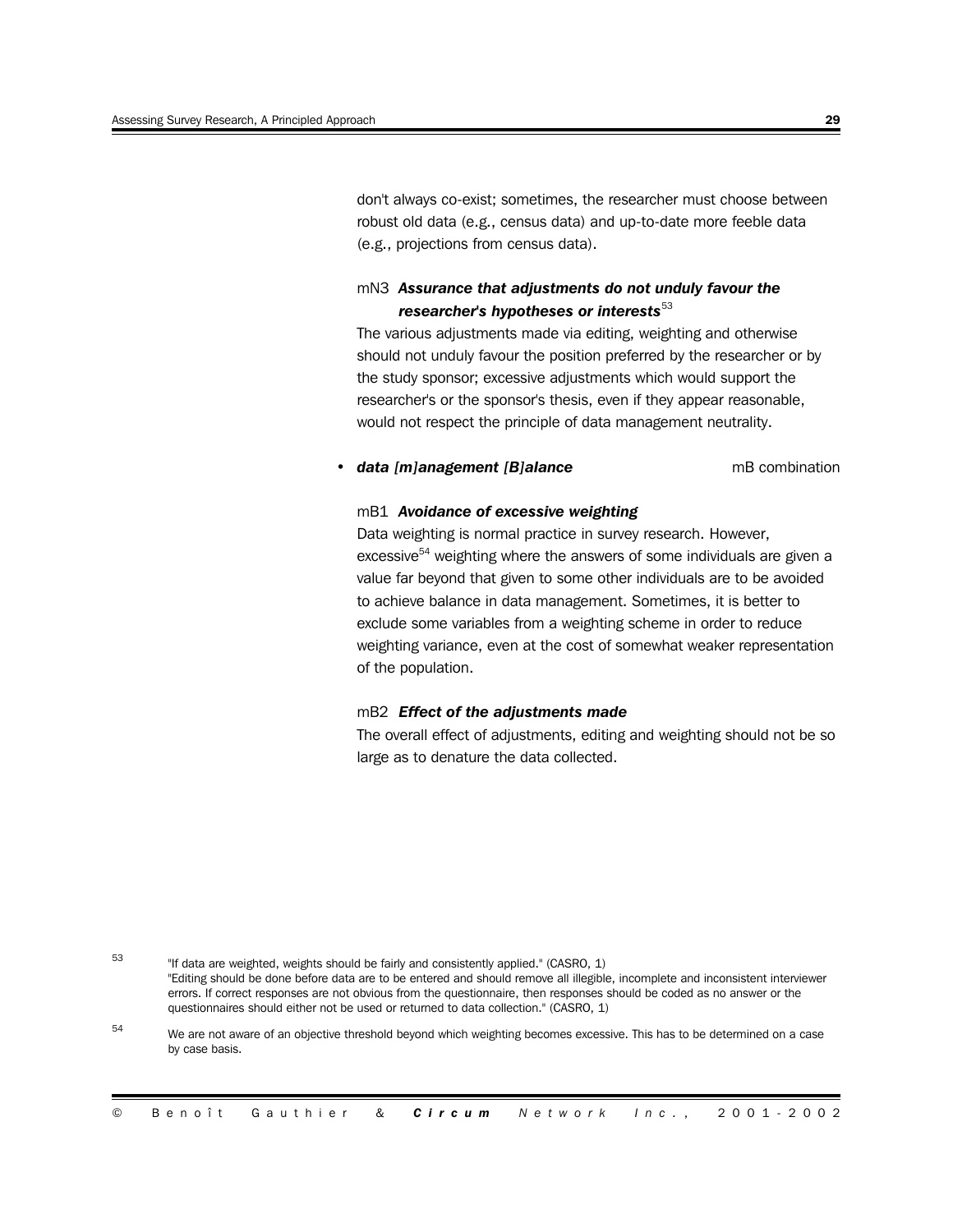don't always co-exist; sometimes, the researcher must choose between robust old data (e.g., census data) and up-to-date more feeble data (e.g., projections from census data).

# mN3 *Assurance that adjustments do not unduly favour the researcher's hypotheses or interests*<sup>53</sup>

The various adjustments made via editing, weighting and otherwise should not unduly favour the position preferred by the researcher or by the study sponsor; excessive adjustments which would support the researcher's or the sponsor's thesis, even if they appear reasonable, would not respect the principle of data management neutrality.

#### • **data [m]anagement [B]alance** mB combination

#### mB1 *Avoidance of excessive weighting*

Data weighting is normal practice in survey research. However, excessive $54$  weighting where the answers of some individuals are given a value far beyond that given to some other individuals are to be avoided to achieve balance in data management. Sometimes, it is better to exclude some variables from a weighting scheme in order to reduce weighting variance, even at the cost of somewhat weaker representation of the population.

#### mB2 *Effect of the adjustments made*

The overall effect of adjustments, editing and weighting should not be so large as to denature the data collected.

<sup>53</sup> "If data are weighted, weights should be fairly and consistently applied." (CASRO, 1) "Editing should be done before data are to be entered and should remove all illegible, incomplete and inconsistent interviewer errors. If correct responses are not obvious from the questionnaire, then responses should be coded as no answer or the questionnaires should either not be used or returned to data collection." (CASRO, 1)

54 We are not aware of an objective threshold beyond which weighting becomes excessive. This has to be determined on a case by case basis.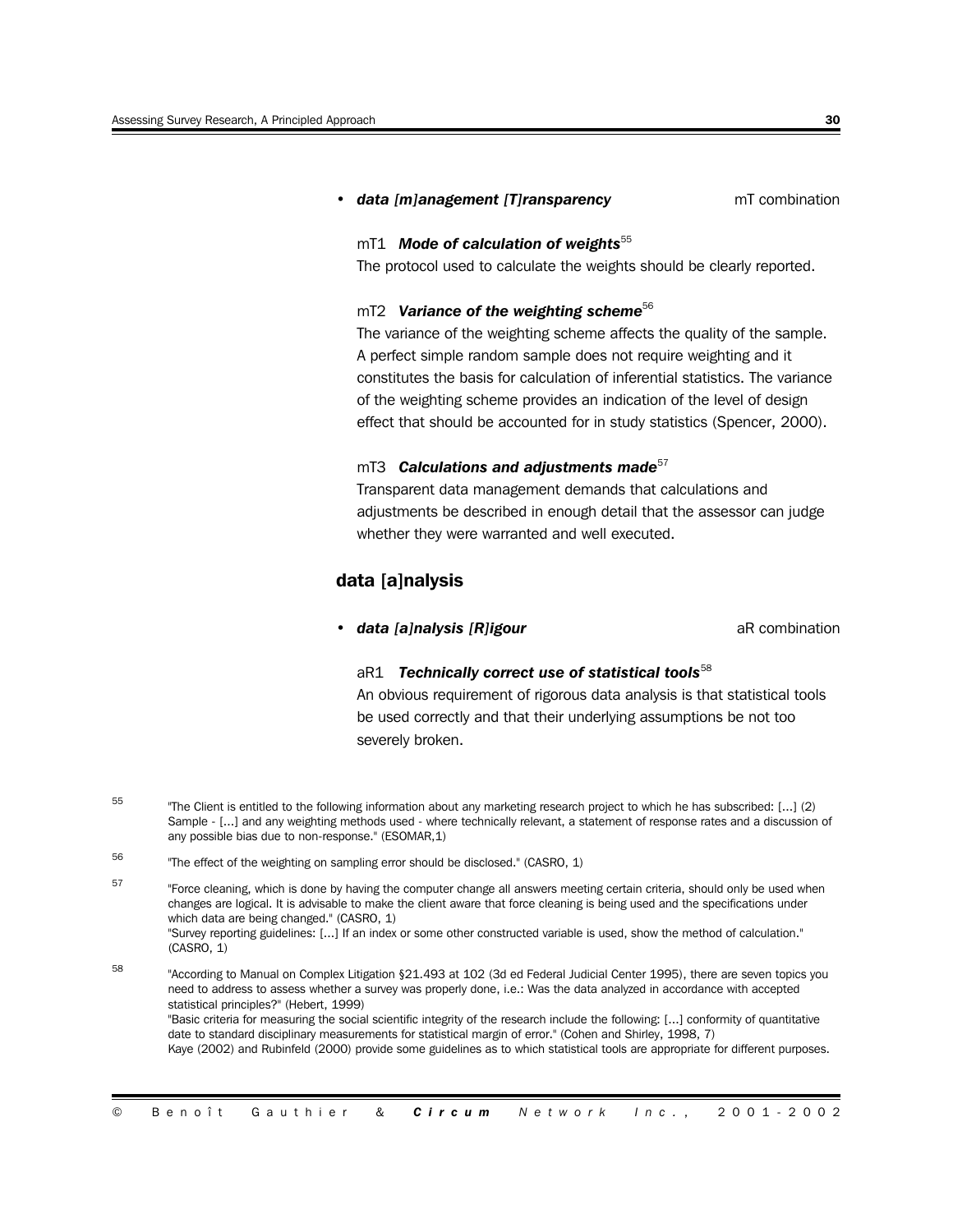• **data [m]anagement [T]ransparency** mT combination

## mT1 *Mode of calculation of weights*<sup>55</sup>

The protocol used to calculate the weights should be clearly reported.

### mT2 **Variance of the weighting scheme**<sup>56</sup>

The variance of the weighting scheme affects the quality of the sample. A perfect simple random sample does not require weighting and it constitutes the basis for calculation of inferential statistics. The variance of the weighting scheme provides an indication of the level of design effect that should be accounted for in study statistics (Spencer, 2000).

#### mT3 **Calculations and adjustments made**<sup>57</sup>

Transparent data management demands that calculations and adjustments be described in enough detail that the assessor can judge whether they were warranted and well executed.

# **data [a]nalysis**

• **data [a]nalysis [R]igour** aR combination

#### aR1 **Technically correct use of statistical tools**<sup>58</sup>

An obvious requirement of rigorous data analysis is that statistical tools be used correctly and that their underlying assumptions be not too severely broken.

- <sup>55</sup> "The Client is entitled to the following information about any marketing research project to which he has subscribed: [...] (2) Sample - [...] and any weighting methods used - where technically relevant, a statement of response rates and a discussion of any possible bias due to non-response." (ESOMAR,1)
- <sup>56</sup> "The effect of the weighting on sampling error should be disclosed." (CASRO, 1)
- <sup>57</sup> "Force cleaning, which is done by having the computer change all answers meeting certain criteria, should only be used when changes are logical. It is advisable to make the client aware that force cleaning is being used and the specifications under which data are being changed." (CASRO, 1)

"Survey reporting guidelines: [...] If an index or some other constructed variable is used, show the method of calculation." (CASRO, 1)

<sup>58</sup> "According to Manual on Complex Litigation §21.493 at 102 (3d ed Federal Judicial Center 1995), there are seven topics you need to address to assess whether a survey was properly done, i.e.: Was the data analyzed in accordance with accepted statistical principles?" (Hebert, 1999)

"Basic criteria for measuring the social scientific integrity of the research include the following: [...] conformity of quantitative date to standard disciplinary measurements for statistical margin of error." (Cohen and Shirley, 1998, 7)

Kaye (2002) and Rubinfeld (2000) provide some guidelines as to which statistical tools are appropriate for different purposes.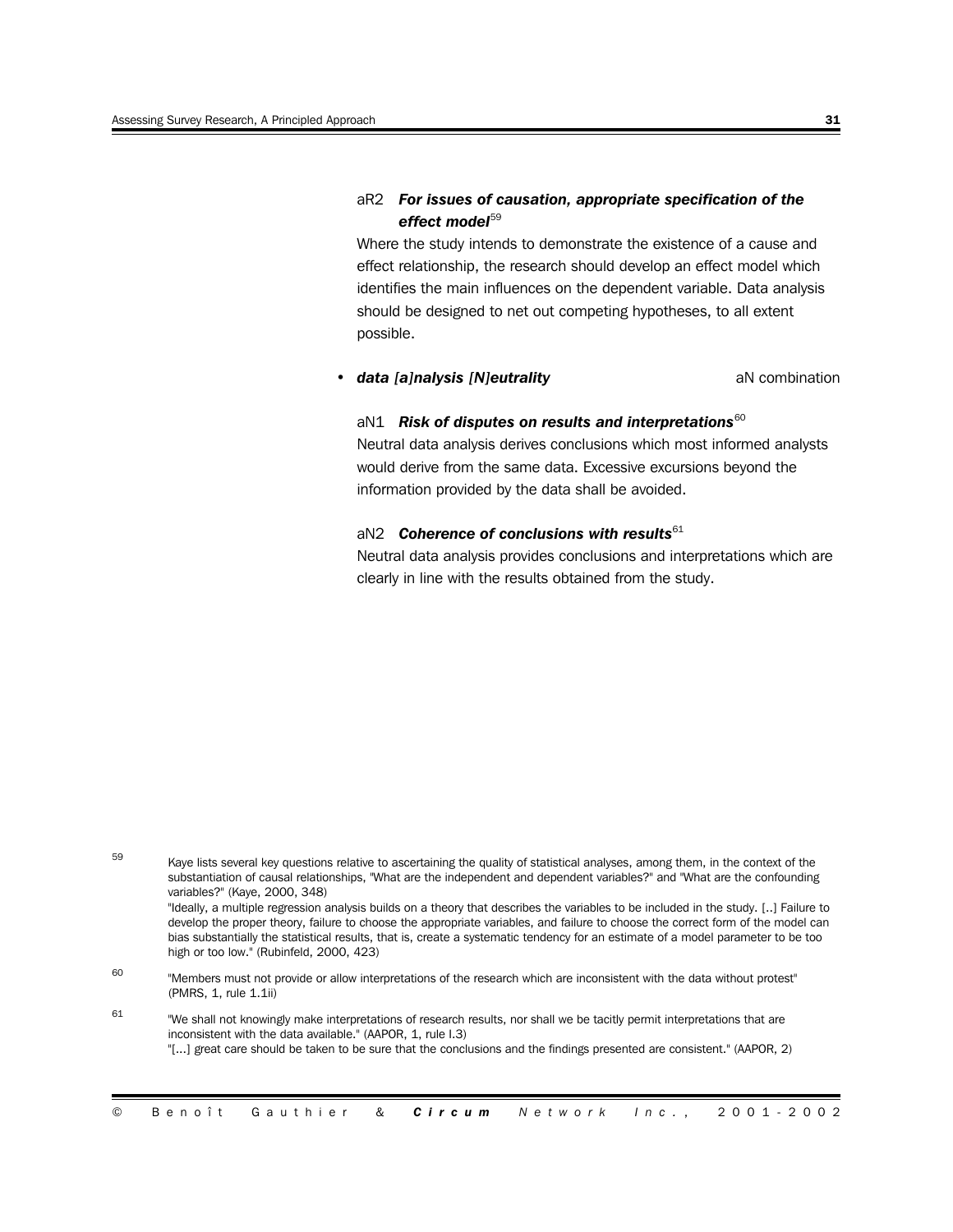# aR2 *For issues of causation, appropriate specification of the* effect model<sup>59</sup>

Where the study intends to demonstrate the existence of a cause and effect relationship, the research should develop an effect model which identifies the main influences on the dependent variable. Data analysis should be designed to net out competing hypotheses, to all extent possible.

#### • **data [a]nalysis [N]eutrality** and the same and combination

#### aN1 **Risk of disputes on results and interpretations**<sup>60</sup>

Neutral data analysis derives conclusions which most informed analysts would derive from the same data. Excessive excursions beyond the information provided by the data shall be avoided.

# aN2 **Coherence of conclusions with results**<sup>61</sup>

Neutral data analysis provides conclusions and interpretations which are clearly in line with the results obtained from the study.

<sup>59</sup> Kaye lists several key questions relative to ascertaining the quality of statistical analyses, among them, in the context of the substantiation of causal relationships, "What are the independent and dependent variables?" and "What are the confounding variables?" (Kaye, 2000, 348) "Ideally, a multiple regression analysis builds on a theory that describes the variables to be included in the study. [..] Failure to

develop the proper theory, failure to choose the appropriate variables, and failure to choose the correct form of the model can bias substantially the statistical results, that is, create a systematic tendency for an estimate of a model parameter to be too high or too low." (Rubinfeld, 2000, 423)

<sup>60</sup> "Members must not provide or allow interpretations of the research which are inconsistent with the data without protest" (PMRS, 1, rule 1.1ii)

 $61$  "We shall not knowingly make interpretations of research results, nor shall we be tacitly permit interpretations that are inconsistent with the data available." (AAPOR, 1, rule I.3)

"[...] great care should be taken to be sure that the conclusions and the findings presented are consistent." (AAPOR, 2)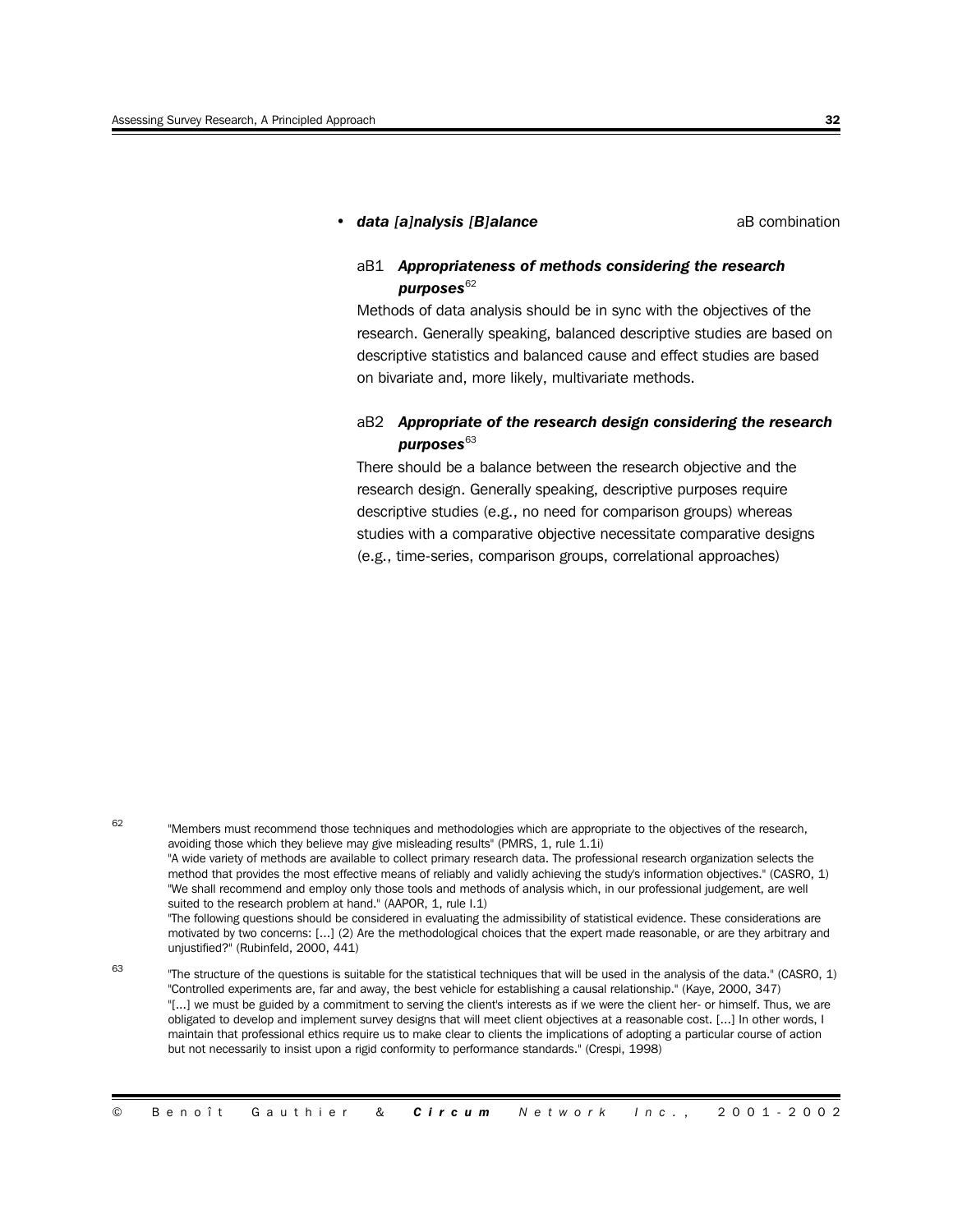#### • **data [a]nalysis [B]alance** aB combination

# aB1 *Appropriateness of methods considering the research purposes*<sup>62</sup>

Methods of data analysis should be in sync with the objectives of the research. Generally speaking, balanced descriptive studies are based on descriptive statistics and balanced cause and effect studies are based on bivariate and, more likely, multivariate methods.

# aB2 *Appropriate of the research design considering the research* **purposes**<sup>63</sup>

There should be a balance between the research objective and the research design. Generally speaking, descriptive purposes require descriptive studies (e.g., no need for comparison groups) whereas studies with a comparative objective necessitate comparative designs (e.g., time-series, comparison groups, correlational approaches)

 $62$  "Members must recommend those techniques and methodologies which are appropriate to the objectives of the research, avoiding those which they believe may give misleading results" (PMRS, 1, rule 1.1i) "A wide variety of methods are available to collect primary research data. The professional research organization selects the method that provides the most effective means of reliably and validly achieving the study's information objectives." (CASRO, 1) "We shall recommend and employ only those tools and methods of analysis which, in our professional judgement, are well suited to the research problem at hand." (AAPOR, 1, rule I.1) "The following questions should be considered in evaluating the admissibility of statistical evidence. These considerations are motivated by two concerns: [...] (2) Are the methodological choices that the expert made reasonable, or are they arbitrary and unjustified?" (Rubinfeld, 2000, 441)  $63$  "The structure of the questions is suitable for the statistical techniques that will be used in the analysis of the data." (CASRO, 1)

"Controlled experiments are, far and away, the best vehicle for establishing a causal relationship." (Kaye, 2000, 347) "[...] we must be guided by a commitment to serving the client's interests as if we were the client her- or himself. Thus, we are obligated to develop and implement survey designs that will meet client objectives at a reasonable cost. [...] In other words, I maintain that professional ethics require us to make clear to clients the implications of adopting a particular course of action but not necessarily to insist upon a rigid conformity to performance standards." (Crespi, 1998)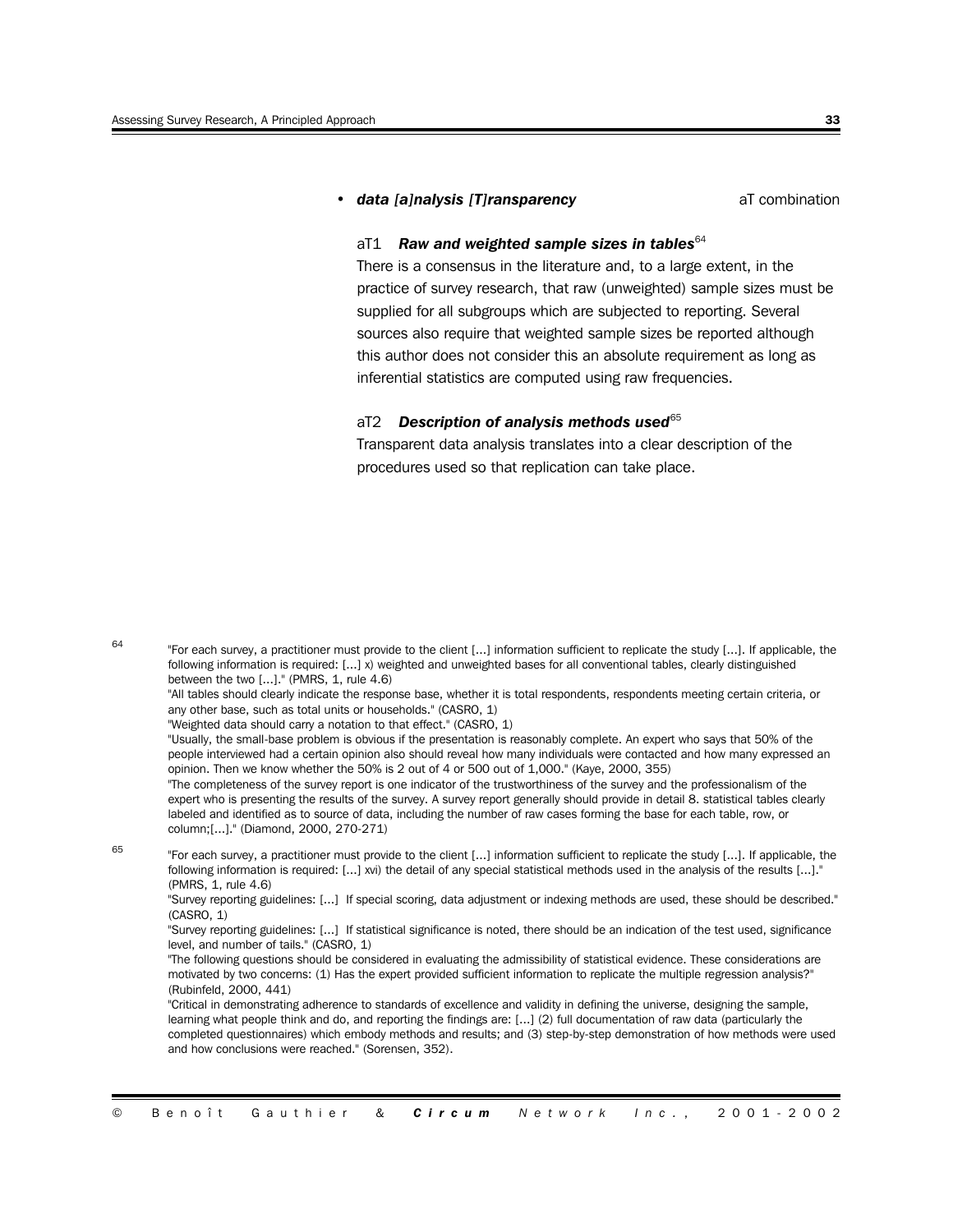#### • **data [a]nalysis [T]ransparency** at the combination **at a**

# aT1 **Raw and weighted sample sizes in tables**<sup>64</sup>

There is a consensus in the literature and, to a large extent, in the practice of survey research, that raw (unweighted) sample sizes must be supplied for all subgroups which are subjected to reporting. Several sources also require that weighted sample sizes be reported although this author does not consider this an absolute requirement as long as inferential statistics are computed using raw frequencies.

#### aT2 **Description of analysis methods used**<sup>65</sup>

Transparent data analysis translates into a clear description of the procedures used so that replication can take place.

 $64$  "For each survey, a practitioner must provide to the client [...] information sufficient to replicate the study [...]. If applicable, the following information is required: [...] x) weighted and unweighted bases for all conventional tables, clearly distinguished between the two  $[...]$ ." (PMRS, 1, rule 4.6)

"All tables should clearly indicate the response base, whether it is total respondents, respondents meeting certain criteria, or any other base, such as total units or households." (CASRO, 1)

"Weighted data should carry a notation to that effect." (CASRO, 1)

"Usually, the small-base problem is obvious if the presentation is reasonably complete. An expert who says that 50% of the people interviewed had a certain opinion also should reveal how many individuals were contacted and how many expressed an opinion. Then we know whether the 50% is 2 out of 4 or 500 out of 1,000." (Kaye, 2000, 355)

"The completeness of the survey report is one indicator of the trustworthiness of the survey and the professionalism of the expert who is presenting the results of the survey. A survey report generally should provide in detail 8. statistical tables clearly labeled and identified as to source of data, including the number of raw cases forming the base for each table, row, or column;[...]." (Diamond, 2000, 270-271)

 $^{65}$  "For each survey, a practitioner must provide to the client [...] information sufficient to replicate the study [...]. If applicable, the following information is required: [...] xvi) the detail of any special statistical methods used in the analysis of the results [...]." (PMRS, 1, rule 4.6)

"Survey reporting guidelines: [...] If special scoring, data adjustment or indexing methods are used, these should be described." (CASRO, 1)

"Survey reporting guidelines: [...] If statistical significance is noted, there should be an indication of the test used, significance level, and number of tails." (CASRO, 1)

"The following questions should be considered in evaluating the admissibility of statistical evidence. These considerations are motivated by two concerns: (1) Has the expert provided sufficient information to replicate the multiple regression analysis?" (Rubinfeld, 2000, 441)

"Critical in demonstrating adherence to standards of excellence and validity in defining the universe, designing the sample, learning what people think and do, and reporting the findings are: [...] (2) full documentation of raw data (particularly the completed questionnaires) which embody methods and results; and (3) step-by-step demonstration of how methods were used and how conclusions were reached." (Sorensen, 352).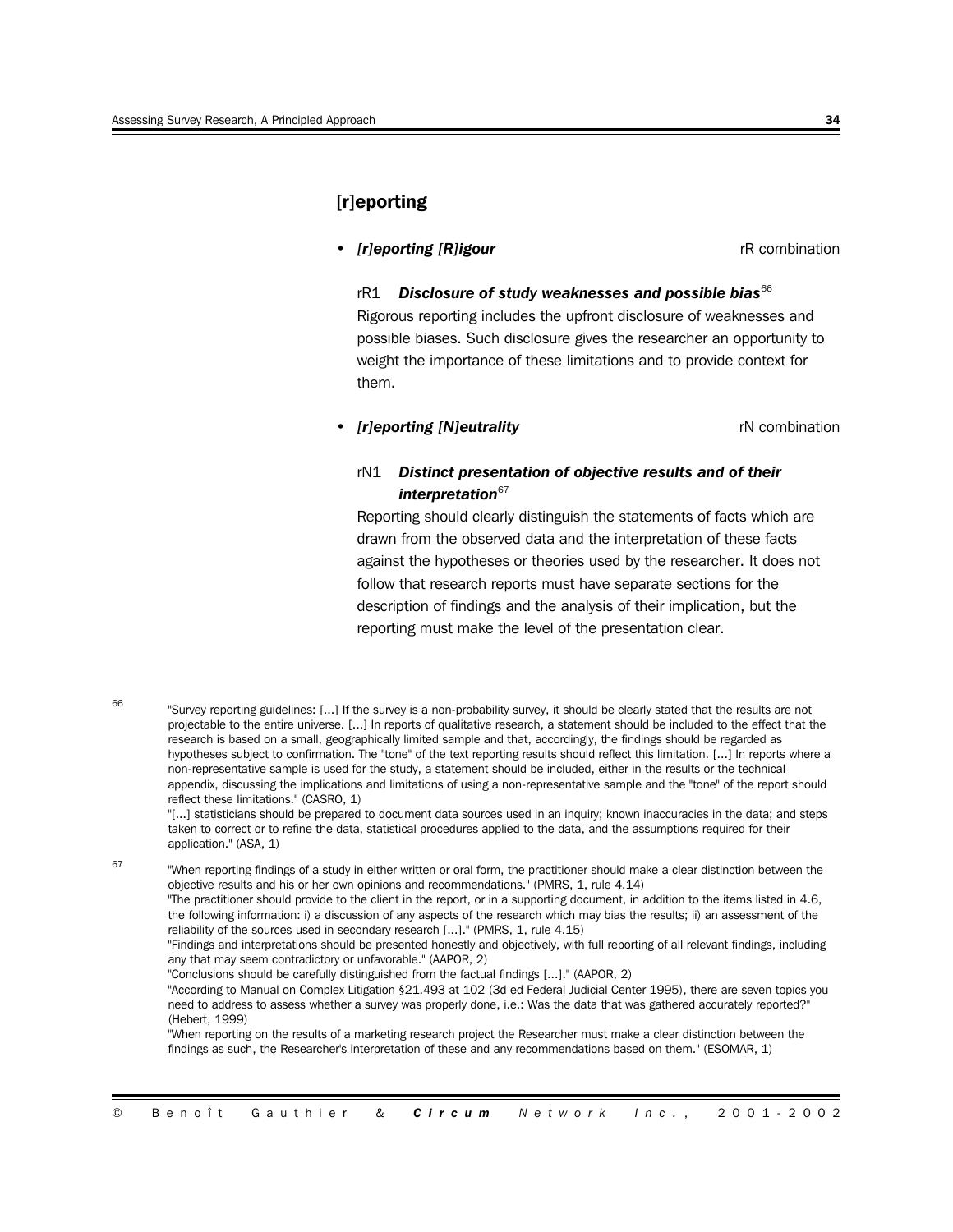# **[r]eporting**

• *[r]eporting [R]igour* rR combination

rR1 **Disclosure of study weaknesses and possible bias**<sup>66</sup> Rigorous reporting includes the upfront disclosure of weaknesses and possible biases. Such disclosure gives the researcher an opportunity to weight the importance of these limitations and to provide context for them.

• *[r]eporting [N]eutrality* rN combination

# rN1 *Distinct presentation of objective results and of their interpretation*<sup>67</sup>

Reporting should clearly distinguish the statements of facts which are drawn from the observed data and the interpretation of these facts against the hypotheses or theories used by the researcher. It does not follow that research reports must have separate sections for the description of findings and the analysis of their implication, but the reporting must make the level of the presentation clear.

<sup>66</sup> "Survey reporting guidelines: [...] If the survey is a non-probability survey, it should be clearly stated that the results are not projectable to the entire universe. [...] In reports of qualitative research, a statement should be included to the effect that the research is based on a small, geographically limited sample and that, accordingly, the findings should be regarded as hypotheses subject to confirmation. The "tone" of the text reporting results should reflect this limitation. [...] In reports where a non-representative sample is used for the study, a statement should be included, either in the results or the technical appendix, discussing the implications and limitations of using a non-representative sample and the "tone" of the report should reflect these limitations." (CASRO, 1)

"[...] statisticians should be prepared to document data sources used in an inquiry; known inaccuracies in the data; and steps taken to correct or to refine the data, statistical procedures applied to the data, and the assumptions required for their application." (ASA, 1)

 $67$  "When reporting findings of a study in either written or oral form, the practitioner should make a clear distinction between the objective results and his or her own opinions and recommendations." (PMRS, 1, rule 4.14)

"The practitioner should provide to the client in the report, or in a supporting document, in addition to the items listed in 4.6, the following information: i) a discussion of any aspects of the research which may bias the results; ii) an assessment of the reliability of the sources used in secondary research [...]." (PMRS, 1, rule 4.15)

"Findings and interpretations should be presented honestly and objectively, with full reporting of all relevant findings, including any that may seem contradictory or unfavorable." (AAPOR, 2)

"Conclusions should be carefully distinguished from the factual findings [...]." (AAPOR, 2)

"According to Manual on Complex Litigation §21.493 at 102 (3d ed Federal Judicial Center 1995), there are seven topics you need to address to assess whether a survey was properly done, i.e.: Was the data that was gathered accurately reported?" (Hebert, 1999)

"When reporting on the results of a marketing research project the Researcher must make a clear distinction between the findings as such, the Researcher's interpretation of these and any recommendations based on them." (ESOMAR, 1)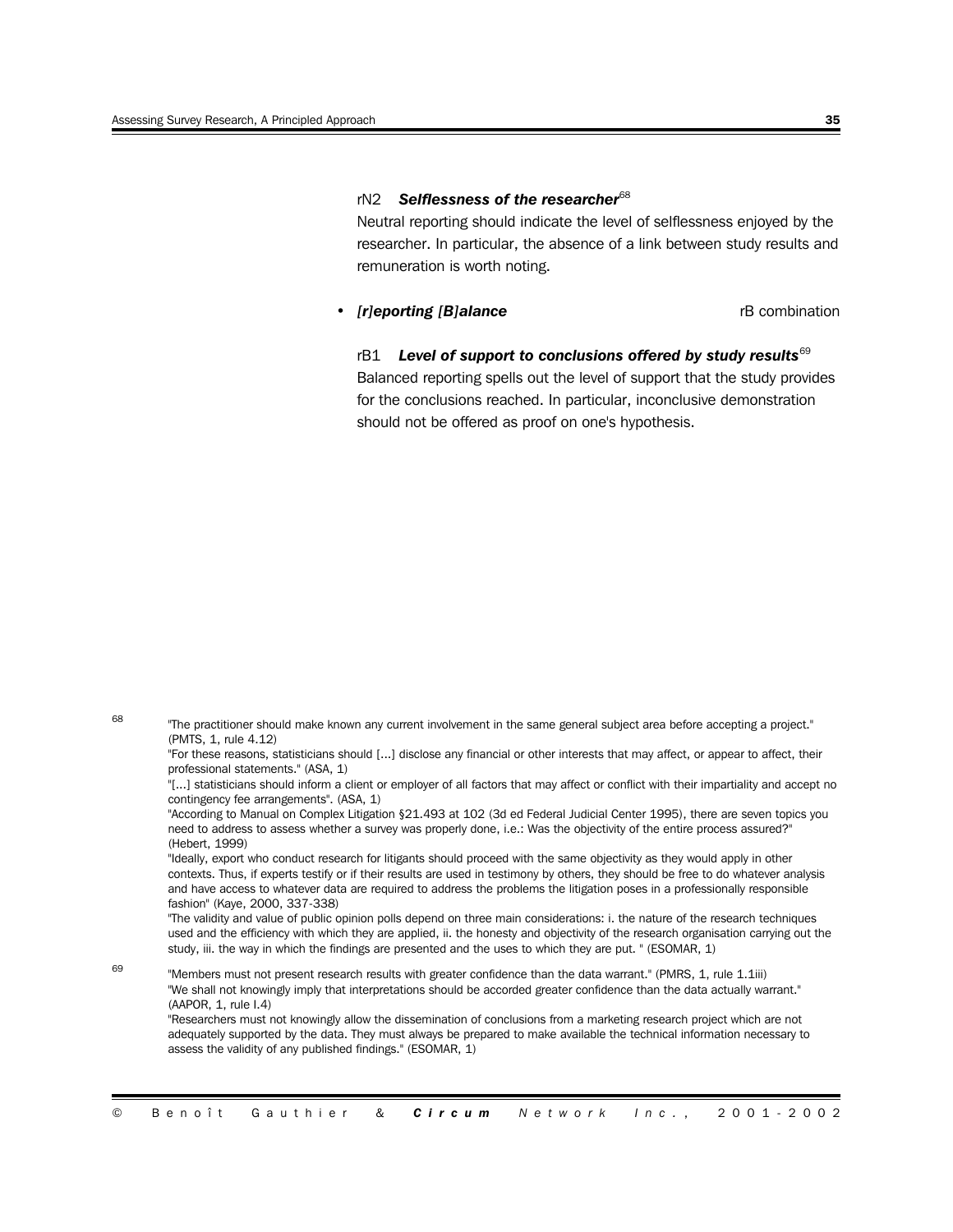# rN2 **Selflessness of the researcher**<sup>68</sup>

Neutral reporting should indicate the level of selflessness enjoyed by the researcher. In particular, the absence of a link between study results and remuneration is worth noting.

• *[r]eporting [B]alance* rB combination

rB1 Level of support to conclusions offered by study results<sup>69</sup> Balanced reporting spells out the level of support that the study provides for the conclusions reached. In particular, inconclusive demonstration should not be offered as proof on one's hypothesis.

<sup>68</sup> "The practitioner should make known any current involvement in the same general subject area before accepting a project." (PMTS, 1, rule 4.12)

"For these reasons, statisticians should [...] disclose any financial or other interests that may affect, or appear to affect, their professional statements." (ASA, 1)

"[...] statisticians should inform a client or employer of all factors that may affect or conflict with their impartiality and accept no contingency fee arrangements". (ASA, 1)

"According to Manual on Complex Litigation §21.493 at 102 (3d ed Federal Judicial Center 1995), there are seven topics you need to address to assess whether a survey was properly done, i.e.: Was the objectivity of the entire process assured?" (Hebert, 1999)

"Ideally, export who conduct research for litigants should proceed with the same objectivity as they would apply in other contexts. Thus, if experts testify or if their results are used in testimony by others, they should be free to do whatever analysis and have access to whatever data are required to address the problems the litigation poses in a professionally responsible fashion" (Kaye, 2000, 337-338)

"The validity and value of public opinion polls depend on three main considerations: i. the nature of the research techniques used and the efficiency with which they are applied, ii. the honesty and objectivity of the research organisation carrying out the study, iii. the way in which the findings are presented and the uses to which they are put. " (ESOMAR, 1)

 $69$  "Members must not present research results with greater confidence than the data warrant." (PMRS, 1, rule 1.1iii) "We shall not knowingly imply that interpretations should be accorded greater confidence than the data actually warrant." (AAPOR, 1, rule I.4)

"Researchers must not knowingly allow the dissemination of conclusions from a marketing research project which are not adequately supported by the data. They must always be prepared to make available the technical information necessary to assess the validity of any published findings." (ESOMAR, 1)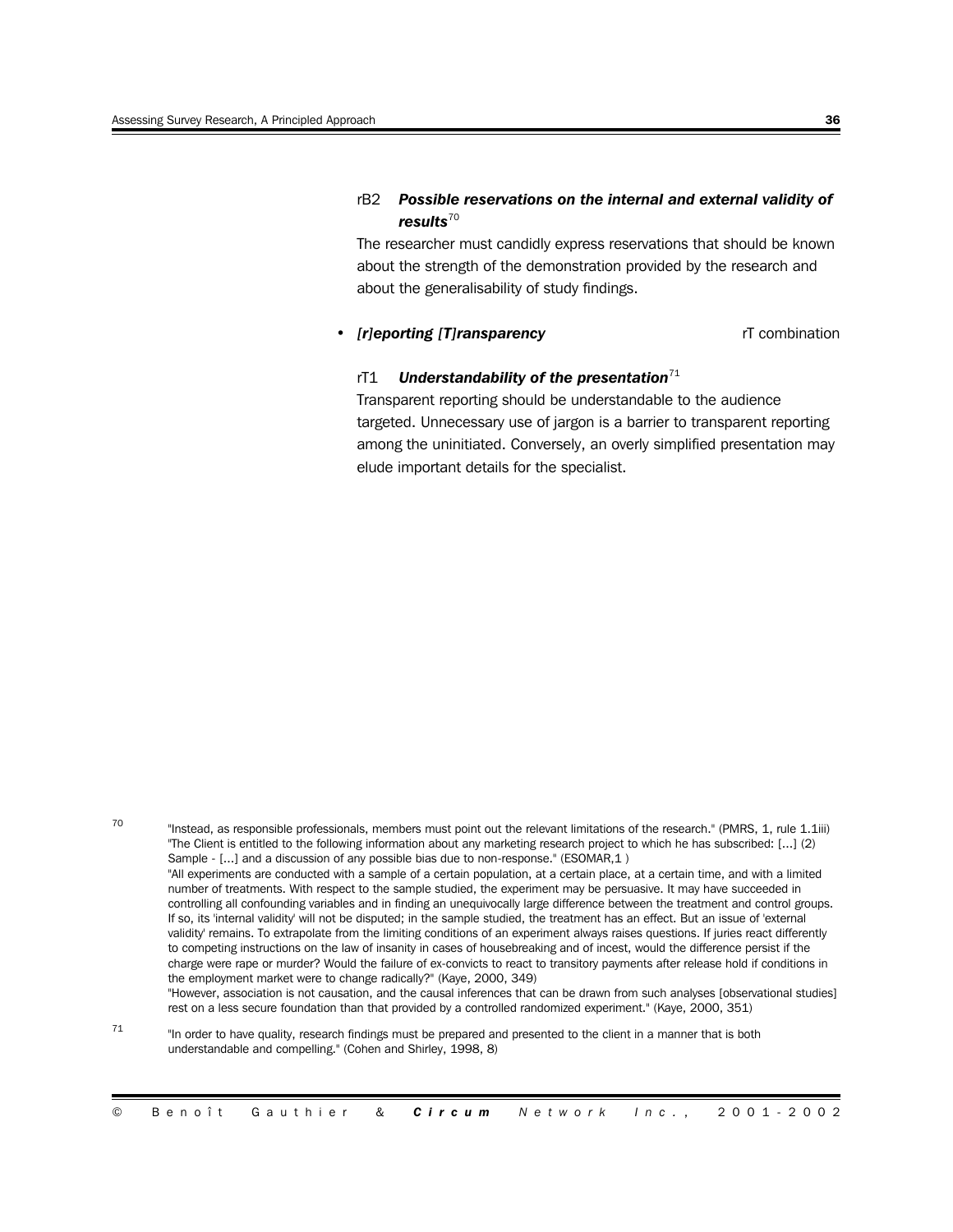# rB2 *Possible reservations on the internal and external validity of results*<sup>70</sup>

The researcher must candidly express reservations that should be known about the strength of the demonstration provided by the research and about the generalisability of study findings.

• *[r]eporting [T]ransparency* rT combination

# rT1 **Understandability of the presentation**<sup>71</sup>

Transparent reporting should be understandable to the audience targeted. Unnecessary use of jargon is a barrier to transparent reporting among the uninitiated. Conversely, an overly simplified presentation may elude important details for the specialist.

<sup>70</sup> "Instead, as responsible professionals, members must point out the relevant limitations of the research." (PMRS, 1, rule 1.1iii) "The Client is entitled to the following information about any marketing research project to which he has subscribed: [...] (2) Sample - [...] and a discussion of any possible bias due to non-response." (ESOMAR,1 ) "All experiments are conducted with a sample of a certain population, at a certain place, at a certain time, and with a limited number of treatments. With respect to the sample studied, the experiment may be persuasive. It may have succeeded in controlling all confounding variables and in finding an unequivocally large difference between the treatment and control groups. If so, its 'internal validity' will not be disputed; in the sample studied, the treatment has an effect. But an issue of 'external validity' remains. To extrapolate from the limiting conditions of an experiment always raises questions. If juries react differently

to competing instructions on the law of insanity in cases of housebreaking and of incest, would the difference persist if the charge were rape or murder? Would the failure of ex-convicts to react to transitory payments after release hold if conditions in the employment market were to change radically?" (Kaye, 2000, 349)

"However, association is not causation, and the causal inferences that can be drawn from such analyses [observational studies] rest on a less secure foundation than that provided by a controlled randomized experiment." (Kaye, 2000, 351)

 $71$  "In order to have quality, research findings must be prepared and presented to the client in a manner that is both understandable and compelling." (Cohen and Shirley, 1998, 8)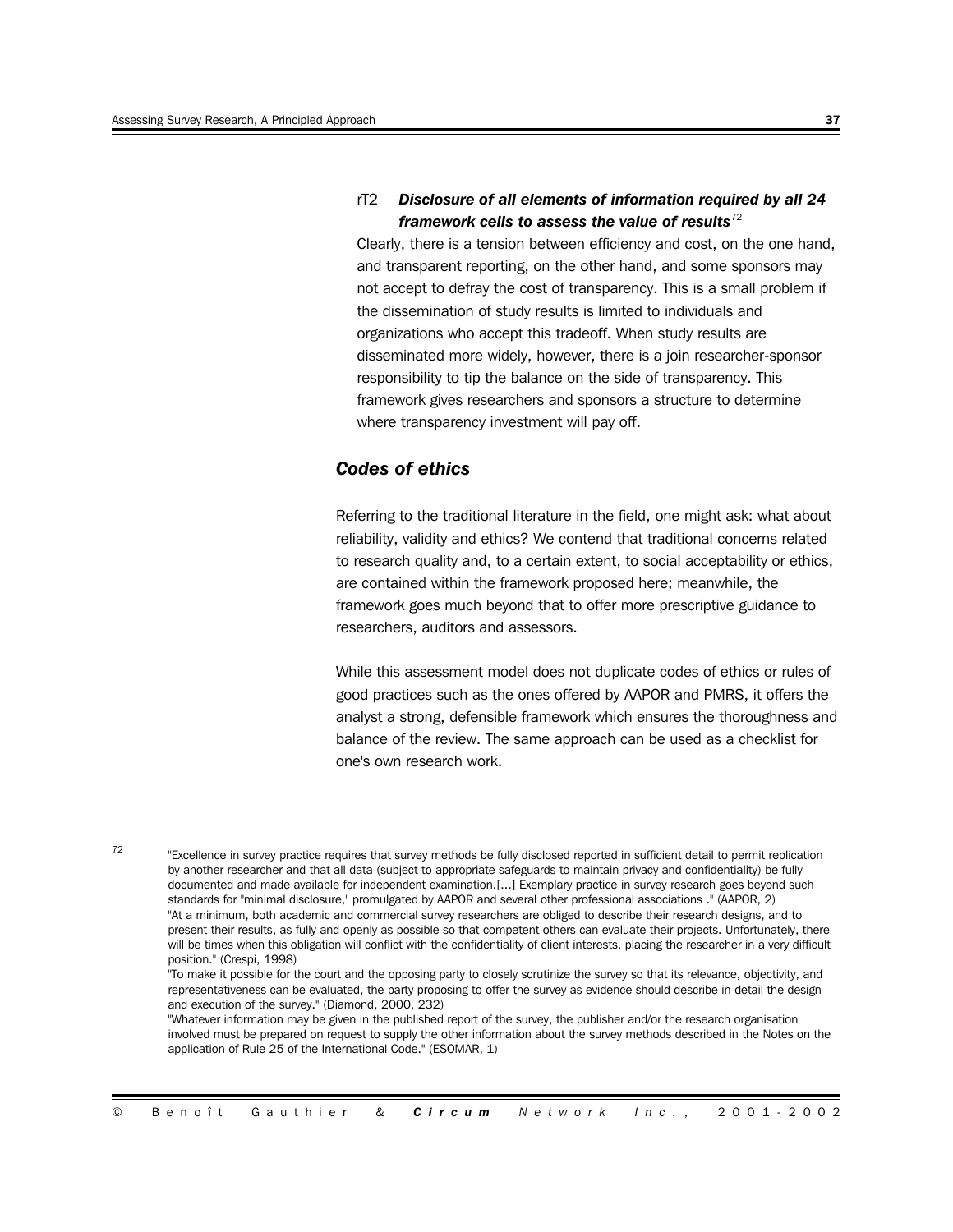# rT2 *Disclosure of all elements of information required by all 24 framework cells to assess the value of results*<sup>72</sup>

Clearly, there is a tension between efficiency and cost, on the one hand, and transparent reporting, on the other hand, and some sponsors may not accept to defray the cost of transparency. This is a small problem if the dissemination of study results is limited to individuals and organizations who accept this tradeoff. When study results are disseminated more widely, however, there is a join researcher-sponsor responsibility to tip the balance on the side of transparency. This framework gives researchers and sponsors a structure to determine where transparency investment will pay off.

# *Codes of ethics*

Referring to the traditional literature in the field, one might ask: what about reliability, validity and ethics? We contend that traditional concerns related to research quality and, to a certain extent, to social acceptability or ethics, are contained within the framework proposed here; meanwhile, the framework goes much beyond that to offer more prescriptive guidance to researchers, auditors and assessors.

While this assessment model does not duplicate codes of ethics or rules of good practices such as the ones offered by AAPOR and PMRS, it offers the analyst a strong, defensible framework which ensures the thoroughness and balance of the review. The same approach can be used as a checklist for one's own research work.

<sup>72</sup> "Excellence in survey practice requires that survey methods be fully disclosed reported in sufficient detail to permit replication by another researcher and that all data (subject to appropriate safeguards to maintain privacy and confidentiality) be fully documented and made available for independent examination.[...] Exemplary practice in survey research goes beyond such standards for "minimal disclosure," promulgated by AAPOR and several other professional associations ." (AAPOR, 2) "At a minimum, both academic and commercial survey researchers are obliged to describe their research designs, and to present their results, as fully and openly as possible so that competent others can evaluate their projects. Unfortunately, there will be times when this obligation will conflict with the confidentiality of client interests, placing the researcher in a very difficult position." (Crespi, 1998)

"To make it possible for the court and the opposing party to closely scrutinize the survey so that its relevance, objectivity, and representativeness can be evaluated, the party proposing to offer the survey as evidence should describe in detail the design and execution of the survey." (Diamond, 2000, 232)

"Whatever information may be given in the published report of the survey, the publisher and/or the research organisation involved must be prepared on request to supply the other information about the survey methods described in the Notes on the application of Rule 25 of the International Code." (ESOMAR, 1)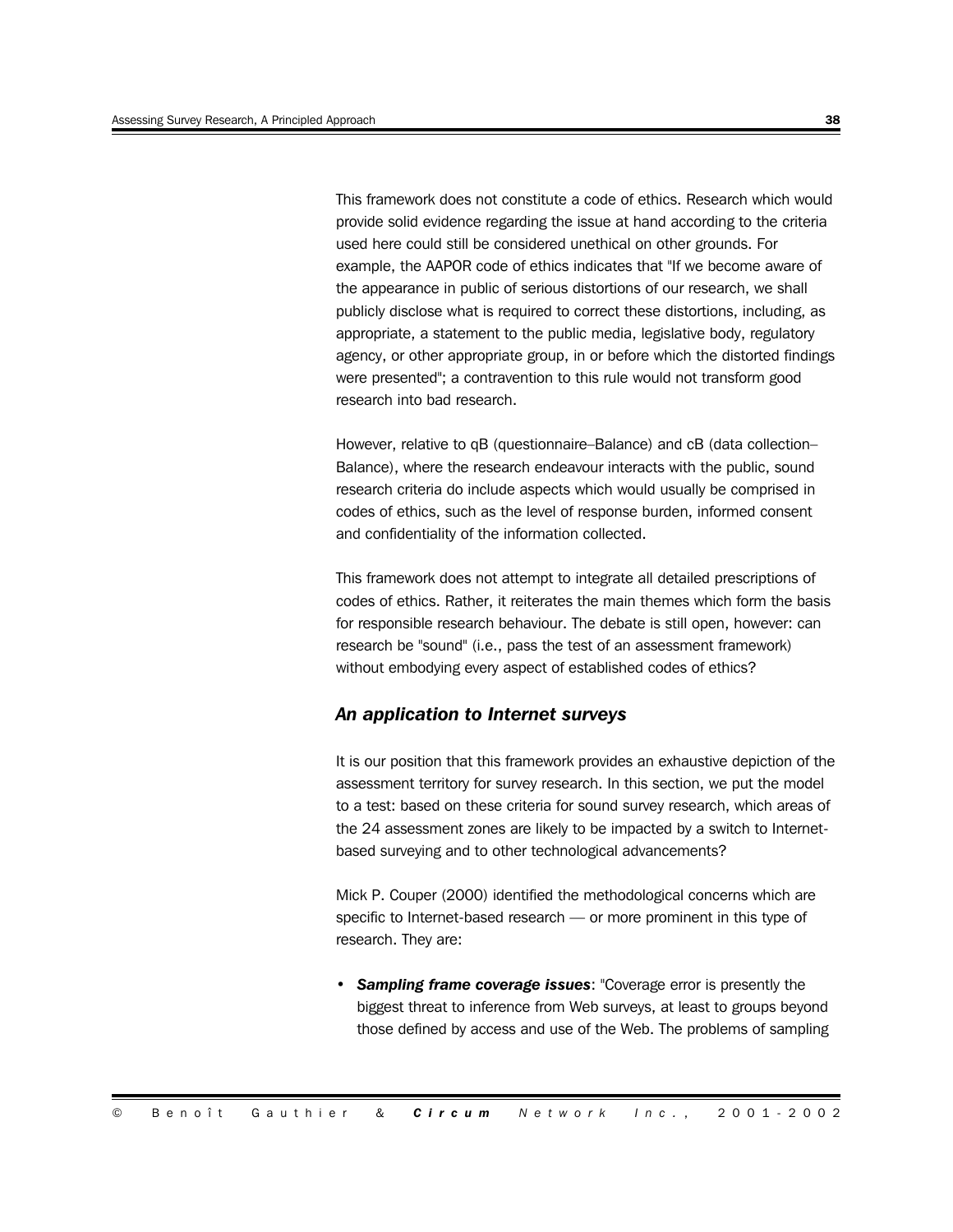This framework does not constitute a code of ethics. Research which would provide solid evidence regarding the issue at hand according to the criteria used here could still be considered unethical on other grounds. For example, the AAPOR code of ethics indicates that "If we become aware of the appearance in public of serious distortions of our research, we shall publicly disclose what is required to correct these distortions, including, as appropriate, a statement to the public media, legislative body, regulatory agency, or other appropriate group, in or before which the distorted findings were presented"; a contravention to this rule would not transform good research into bad research.

However, relative to qB (questionnaire–Balance) and cB (data collection– Balance), where the research endeavour interacts with the public, sound research criteria do include aspects which would usually be comprised in codes of ethics, such as the level of response burden, informed consent and confidentiality of the information collected.

This framework does not attempt to integrate all detailed prescriptions of codes of ethics. Rather, it reiterates the main themes which form the basis for responsible research behaviour. The debate is still open, however: can research be "sound" (i.e., pass the test of an assessment framework) without embodying every aspect of established codes of ethics?

# *An application to Internet surveys*

It is our position that this framework provides an exhaustive depiction of the assessment territory for survey research. In this section, we put the model to a test: based on these criteria for sound survey research, which areas of the 24 assessment zones are likely to be impacted by a switch to Internetbased surveying and to other technological advancements?

Mick P. Couper (2000) identified the methodological concerns which are specific to Internet-based research — or more prominent in this type of research. They are:

• *Sampling frame coverage issues*: "Coverage error is presently the biggest threat to inference from Web surveys, at least to groups beyond those defined by access and use of the Web. The problems of sampling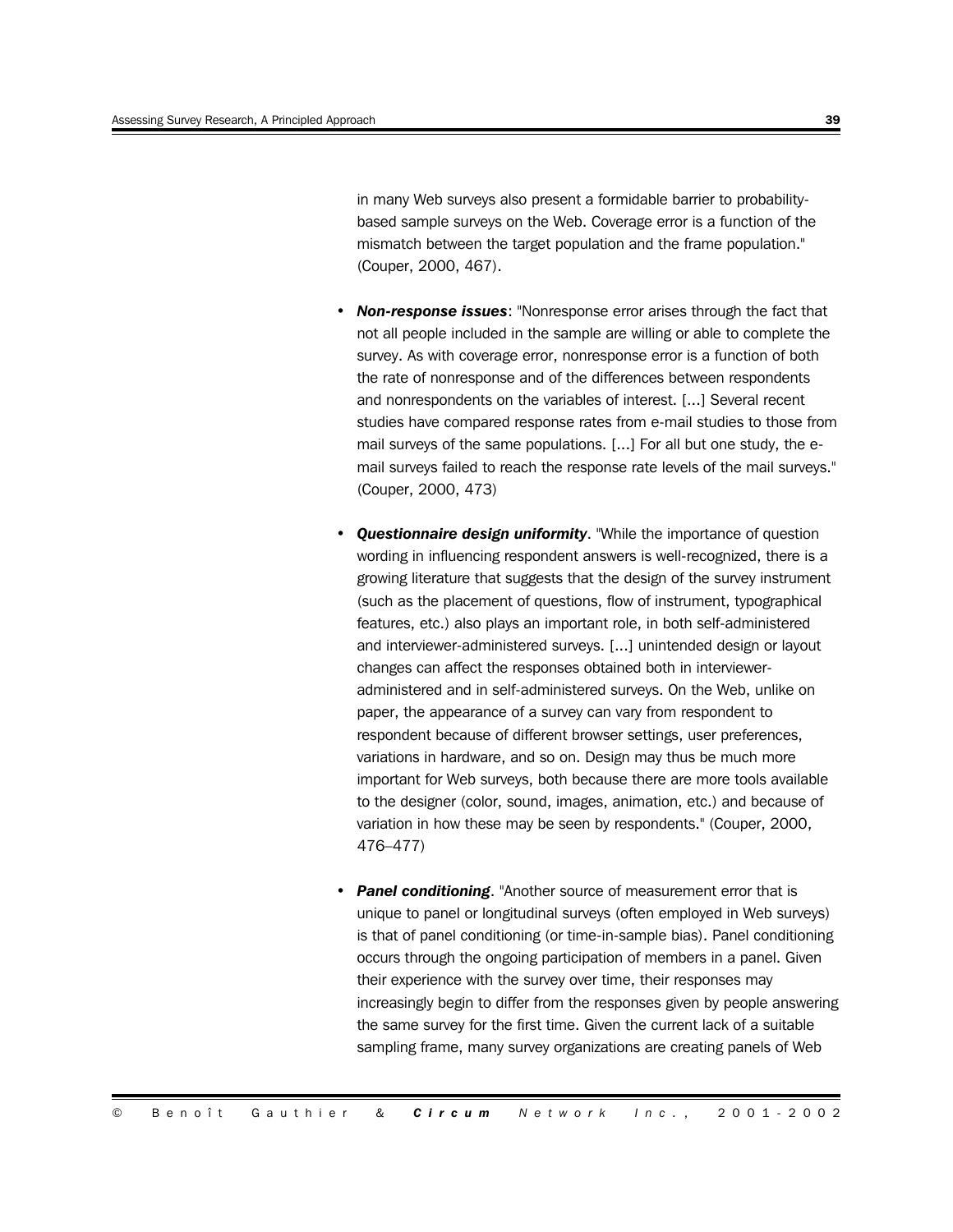in many Web surveys also present a formidable barrier to probabilitybased sample surveys on the Web. Coverage error is a function of the mismatch between the target population and the frame population." (Couper, 2000, 467).

- *Non-response issues*: "Nonresponse error arises through the fact that not all people included in the sample are willing or able to complete the survey. As with coverage error, nonresponse error is a function of both the rate of nonresponse and of the differences between respondents and nonrespondents on the variables of interest. [...] Several recent studies have compared response rates from e-mail studies to those from mail surveys of the same populations. [...] For all but one study, the email surveys failed to reach the response rate levels of the mail surveys." (Couper, 2000, 473)
- *Questionnaire design uniformity*. "While the importance of question wording in influencing respondent answers is well-recognized, there is a growing literature that suggests that the design of the survey instrument (such as the placement of questions, flow of instrument, typographical features, etc.) also plays an important role, in both self-administered and interviewer-administered surveys. [...] unintended design or layout changes can affect the responses obtained both in intervieweradministered and in self-administered surveys. On the Web, unlike on paper, the appearance of a survey can vary from respondent to respondent because of different browser settings, user preferences, variations in hardware, and so on. Design may thus be much more important for Web surveys, both because there are more tools available to the designer (color, sound, images, animation, etc.) and because of variation in how these may be seen by respondents." (Couper, 2000, 476–477)
- *Panel conditioning*. "Another source of measurement error that is unique to panel or longitudinal surveys (often employed in Web surveys) is that of panel conditioning (or time-in-sample bias). Panel conditioning occurs through the ongoing participation of members in a panel. Given their experience with the survey over time, their responses may increasingly begin to differ from the responses given by people answering the same survey for the first time. Given the current lack of a suitable sampling frame, many survey organizations are creating panels of Web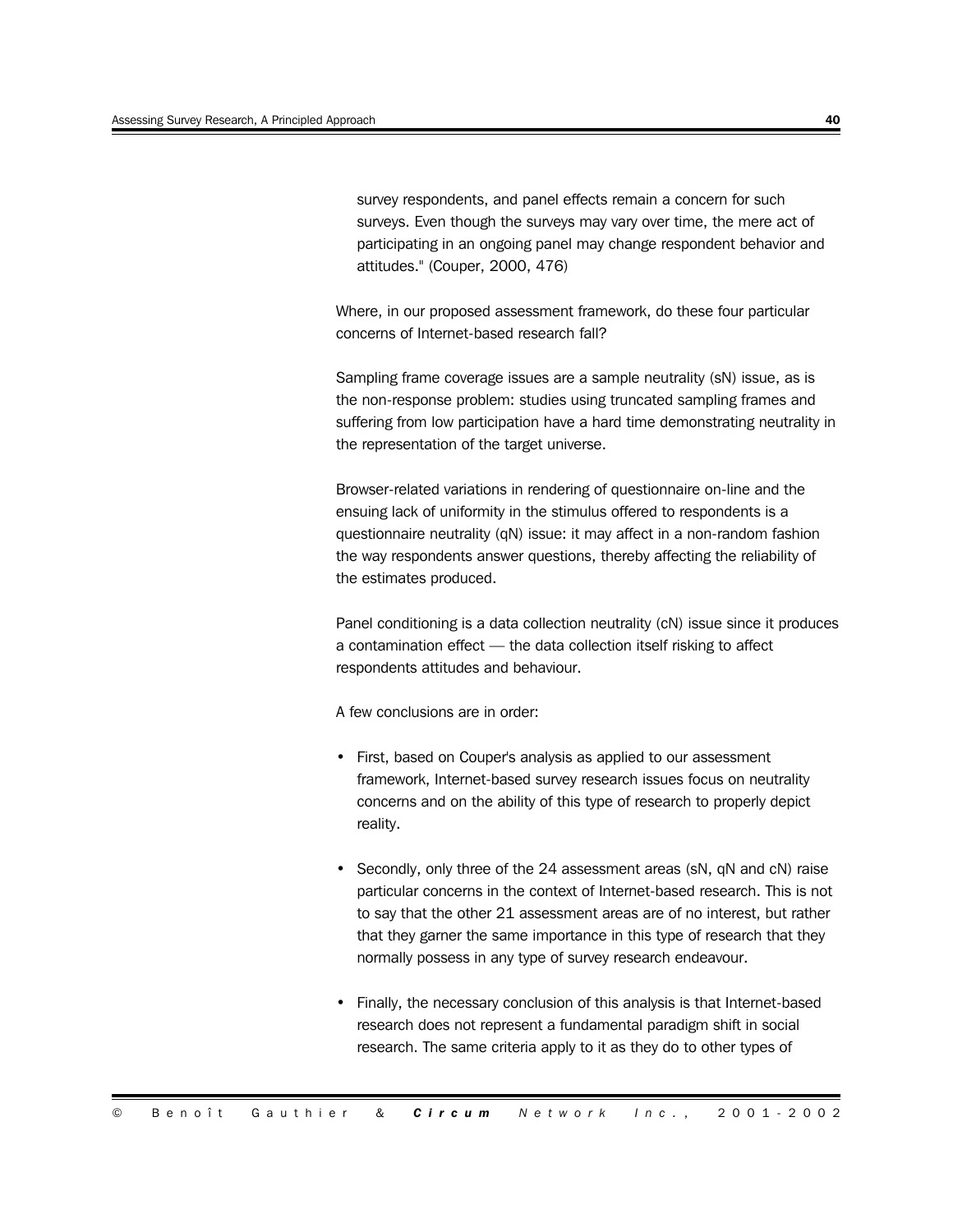survey respondents, and panel effects remain a concern for such surveys. Even though the surveys may vary over time, the mere act of participating in an ongoing panel may change respondent behavior and attitudes." (Couper, 2000, 476)

Where, in our proposed assessment framework, do these four particular concerns of Internet-based research fall?

Sampling frame coverage issues are a sample neutrality (sN) issue, as is the non-response problem: studies using truncated sampling frames and suffering from low participation have a hard time demonstrating neutrality in the representation of the target universe.

Browser-related variations in rendering of questionnaire on-line and the ensuing lack of uniformity in the stimulus offered to respondents is a questionnaire neutrality (qN) issue: it may affect in a non-random fashion the way respondents answer questions, thereby affecting the reliability of the estimates produced.

Panel conditioning is a data collection neutrality (cN) issue since it produces a contamination effect — the data collection itself risking to affect respondents attitudes and behaviour.

A few conclusions are in order:

- First, based on Couper's analysis as applied to our assessment framework, Internet-based survey research issues focus on neutrality concerns and on the ability of this type of research to properly depict reality.
- Secondly, only three of the 24 assessment areas (sN, qN and cN) raise particular concerns in the context of Internet-based research. This is not to say that the other 21 assessment areas are of no interest, but rather that they garner the same importance in this type of research that they normally possess in any type of survey research endeavour.
- Finally, the necessary conclusion of this analysis is that Internet-based research does not represent a fundamental paradigm shift in social research. The same criteria apply to it as they do to other types of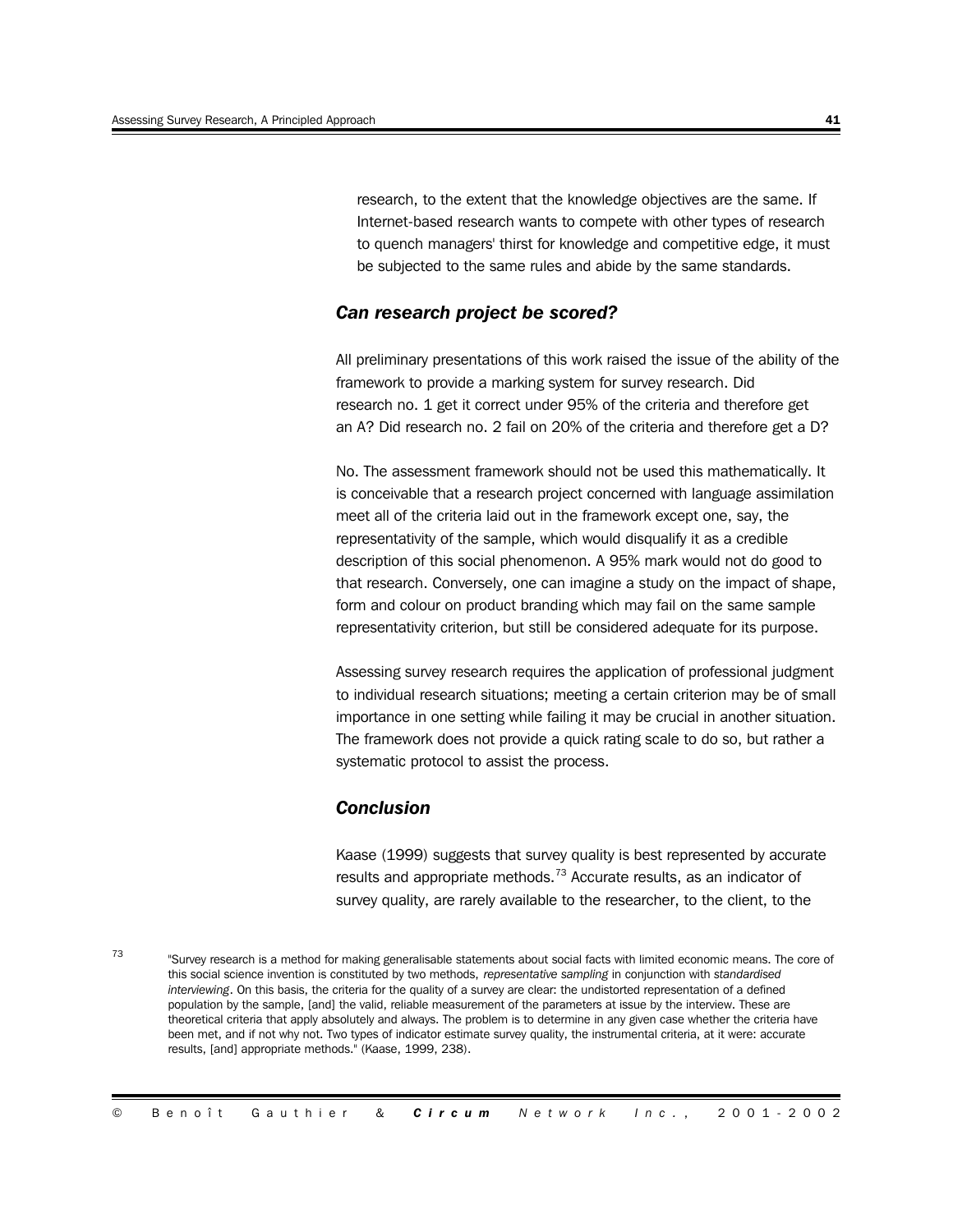research, to the extent that the knowledge objectives are the same. If Internet-based research wants to compete with other types of research to quench managers' thirst for knowledge and competitive edge, it must be subjected to the same rules and abide by the same standards.

#### *Can research project be scored?*

All preliminary presentations of this work raised the issue of the ability of the framework to provide a marking system for survey research. Did research no. 1 get it correct under 95% of the criteria and therefore get an A? Did research no. 2 fail on 20% of the criteria and therefore get a D?

No. The assessment framework should not be used this mathematically. It is conceivable that a research project concerned with language assimilation meet all of the criteria laid out in the framework except one, say, the representativity of the sample, which would disqualify it as a credible description of this social phenomenon. A 95% mark would not do good to that research. Conversely, one can imagine a study on the impact of shape, form and colour on product branding which may fail on the same sample representativity criterion, but still be considered adequate for its purpose.

Assessing survey research requires the application of professional judgment to individual research situations; meeting a certain criterion may be of small importance in one setting while failing it may be crucial in another situation. The framework does not provide a quick rating scale to do so, but rather a systematic protocol to assist the process.

# *Conclusion*

Kaase (1999) suggests that survey quality is best represented by accurate results and appropriate methods.<sup>73</sup> Accurate results, as an indicator of survey quality, are rarely available to the researcher, to the client, to the

<sup>73</sup> "Survey research is a method for making generalisable statements about social facts with limited economic means. The core of this social science invention is constituted by two methods, *representative sampling* in conjunction with *standardised interviewing*. On this basis, the criteria for the quality of a survey are clear: the undistorted representation of a defined population by the sample, [and] the valid, reliable measurement of the parameters at issue by the interview. These are theoretical criteria that apply absolutely and always. The problem is to determine in any given case whether the criteria have been met, and if not why not. Two types of indicator estimate survey quality, the instrumental criteria, at it were: accurate results, [and] appropriate methods." (Kaase, 1999, 238).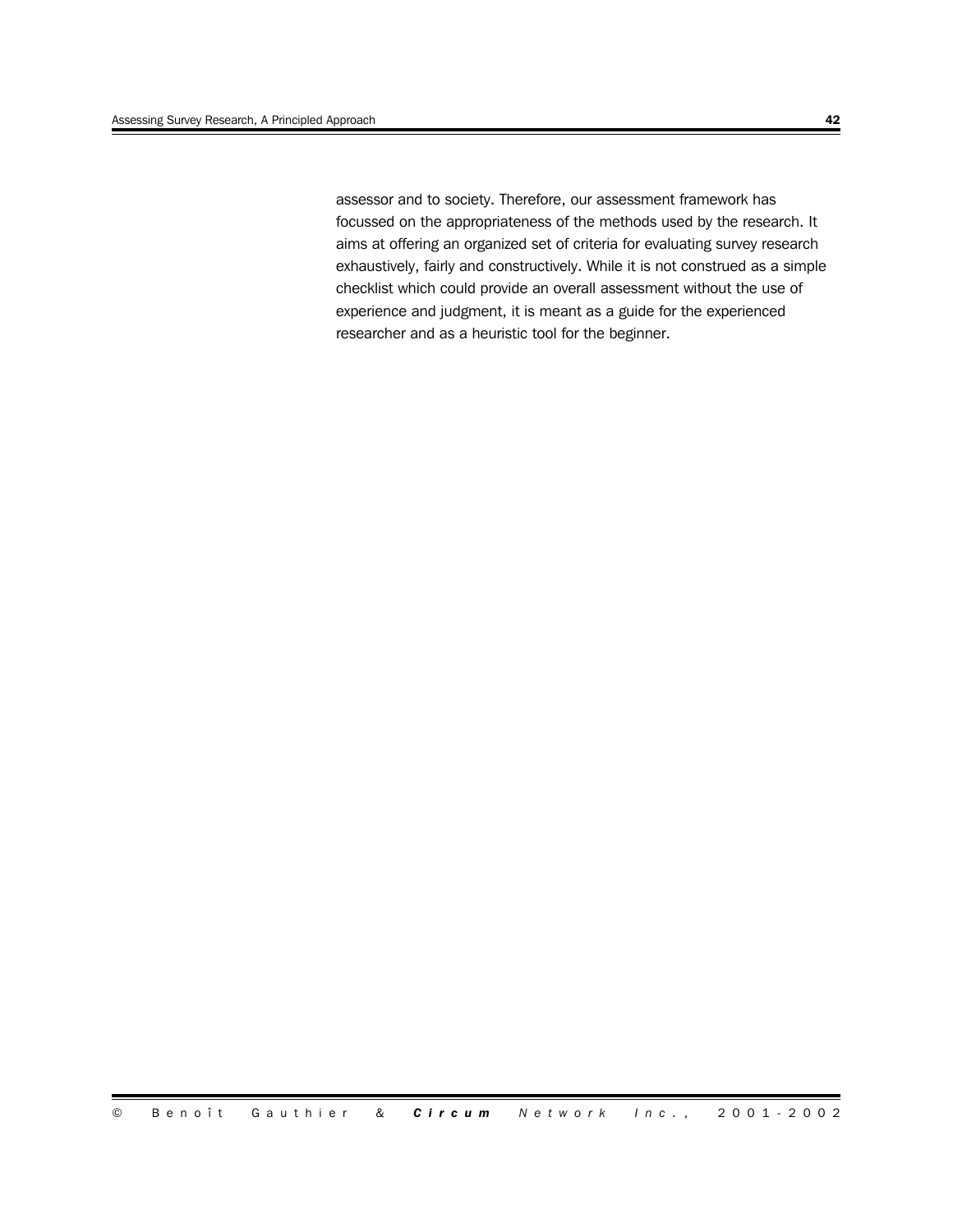assessor and to society. Therefore, our assessment framework has focussed on the appropriateness of the methods used by the research. It aims at offering an organized set of criteria for evaluating survey research exhaustively, fairly and constructively. While it is not construed as a simple checklist which could provide an overall assessment without the use of experience and judgment, it is meant as a guide for the experienced researcher and as a heuristic tool for the beginner.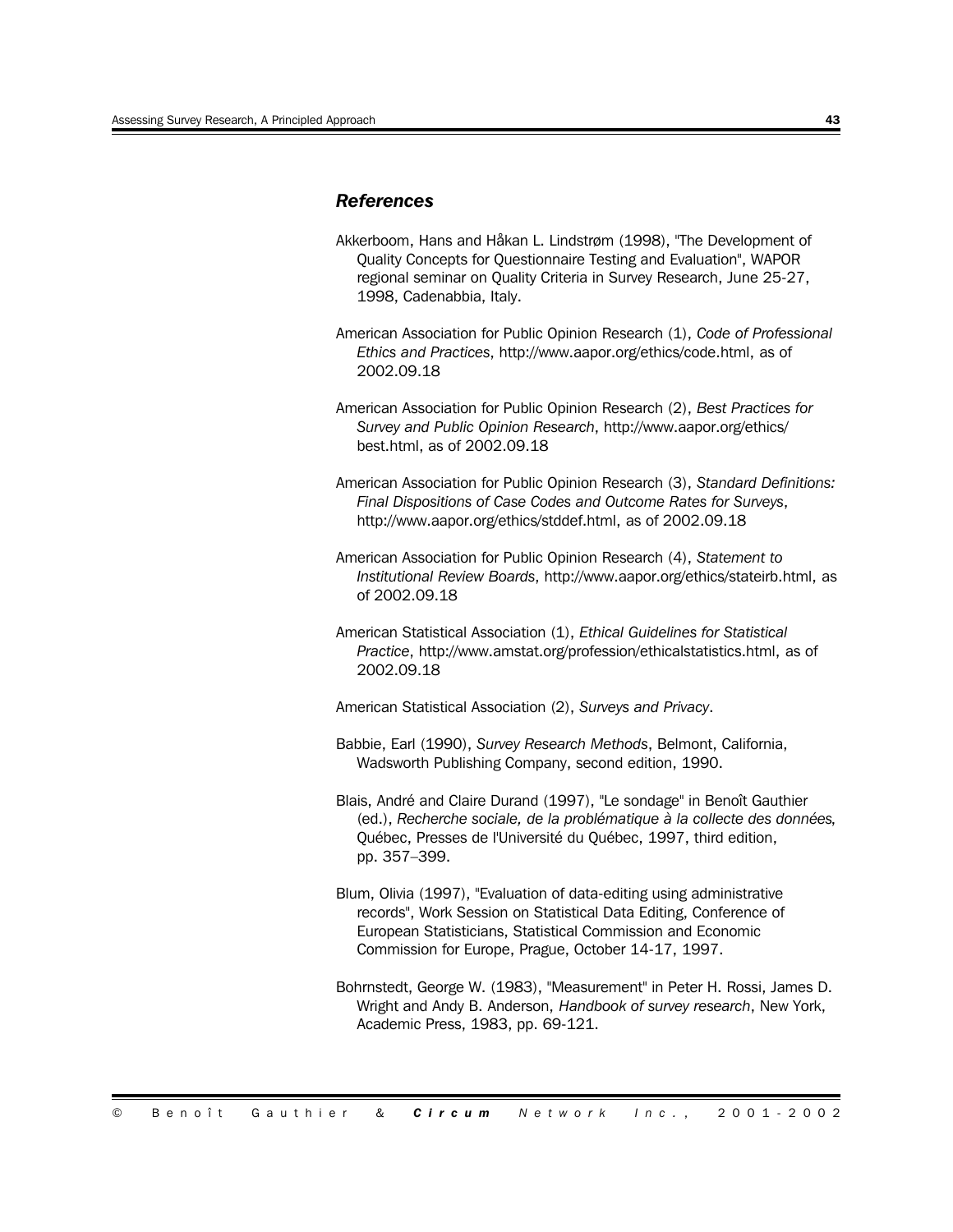#### *References*

- Akkerboom, Hans and Håkan L. Lindstrøm (1998), "The Development of Quality Concepts for Questionnaire Testing and Evaluation", WAPOR regional seminar on Quality Criteria in Survey Research, June 25-27, 1998, Cadenabbia, Italy.
- American Association for Public Opinion Research (1), *Code of Professional Ethics and Practices*, <http://www.aapor.org/ethics/code.html,> as of 2002.09.18
- American Association for Public Opinion Research (2), *Best Practices for Survey and Public Opinion Research*,<http://www.aapor.org/ethics/> best.html, as of 2002.09.18
- American Association for Public Opinion Research (3), *Standard Definitions: Final Dispositions of Case Codes and Outcome Rates for Surveys*, <http://www.aapor.org/ethics/stddef.html,> as of 2002.09.18
- American Association for Public Opinion Research (4), *Statement to Institutional Review Boards*, <http://www.aapor.org/ethics/stateirb.html,> as of 2002.09.18
- American Statistical Association (1), *Ethical Guidelines for Statistical Practice*,<http://www.amstat.org/profession/ethicalstatistics.html,>as of 2002.09.18
- American Statistical Association (2), *Surveys and Privacy*.
- Babbie, Earl (1990), *Survey Research Methods*, Belmont, California, Wadsworth Publishing Company, second edition, 1990.
- Blais, André and Claire Durand (1997), "Le sondage" in Benoît Gauthier (ed.), *Recherche sociale, de la problématique à la collecte des données*, Québec, Presses de l'Université du Québec, 1997, third edition, pp. 357–399.
- Blum, Olivia (1997), "Evaluation of data-editing using administrative records", Work Session on Statistical Data Editing, Conference of European Statisticians, Statistical Commission and Economic Commission for Europe, Prague, October 14-17, 1997.
- Bohrnstedt, George W. (1983), "Measurement" in Peter H. Rossi, James D. Wright and Andy B. Anderson, *Handbook of survey research*, New York, Academic Press, 1983, pp. 69-121.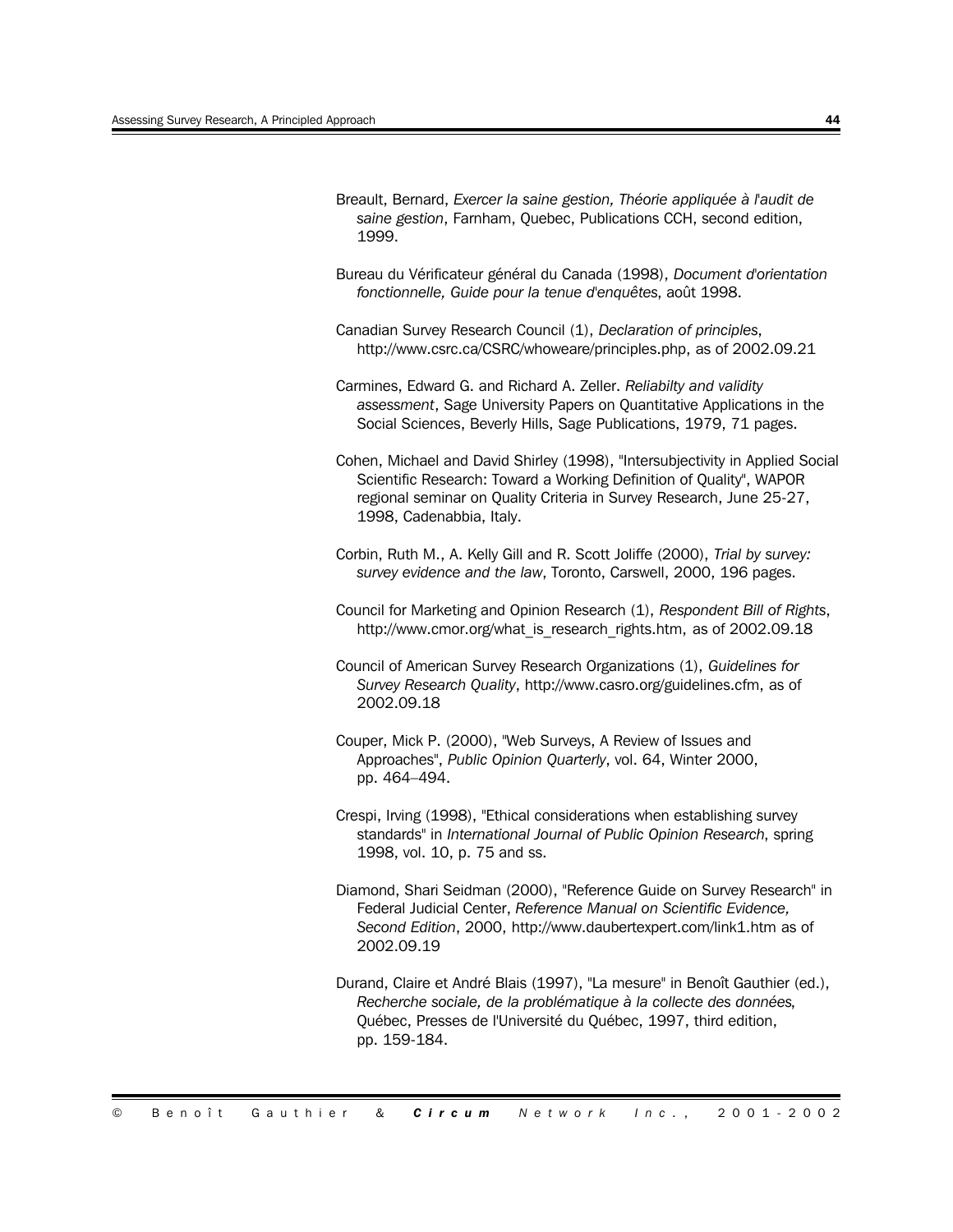- Breault, Bernard, *Exercer la saine gestion, Théorie appliquée à l'audit de saine gestion*, Farnham, Quebec, Publications CCH, second edition, 1999.
- Bureau du Vérificateur général du Canada (1998), *Document d'orientation fonctionnelle, Guide pour la tenue d'enquêtes*, août 1998.
- Canadian Survey Research Council (1), *Declaration of principles*, <http://www.csrc.ca/CSRC/whoweare/principles.php,> as of 2002.09.21
- Carmines, Edward G. and Richard A. Zeller. *Reliabilty and validity assessment*, Sage University Papers on Quantitative Applications in the Social Sciences, Beverly Hills, Sage Publications, 1979, 71 pages.
- Cohen, Michael and David Shirley (1998), "Intersubjectivity in Applied Social Scientific Research: Toward a Working Definition of Quality", WAPOR regional seminar on Quality Criteria in Survey Research, June 25-27, 1998, Cadenabbia, Italy.
- Corbin, Ruth M., A. Kelly Gill and R. Scott Joliffe (2000), *Trial by survey: survey evidence and the law*, Toronto, Carswell, 2000, 196 pages.
- Council for Marketing and Opinion Research (1), *Respondent Bill of Rights*, [http://www.cmor.org/what\\_is\\_research\\_rights.htm,](http://www.cmor.org/what_is_research_rights.htm,) as of 2002.09.18
- Council of American Survey Research Organizations (1), *Guidelines for Survey Research Quality*,<http://www.casro.org/guidelines.cfm,> as of 2002.09.18
- Couper, Mick P. (2000), "Web Surveys, A Review of Issues and Approaches", *Public Opinion Quarterly*, vol. 64, Winter 2000, pp. 464–494.
- Crespi, Irving (1998), "Ethical considerations when establishing survey standards" in *International Journal of Public Opinion Research*, spring 1998, vol. 10, p. 75 and ss.
- Diamond, Shari Seidman (2000), "Reference Guide on Survey Research" in Federal Judicial Center, *Reference Manual on Scientific Evidence, Second Edition*, 2000, <http://www.daubertexpert.com/link1.htm> as of 2002.09.19
- Durand, Claire et André Blais (1997), "La mesure" in Benoît Gauthier (ed.), *Recherche sociale, de la problématique à la collecte des données*, Québec, Presses de l'Université du Québec, 1997, third edition, pp. 159-184.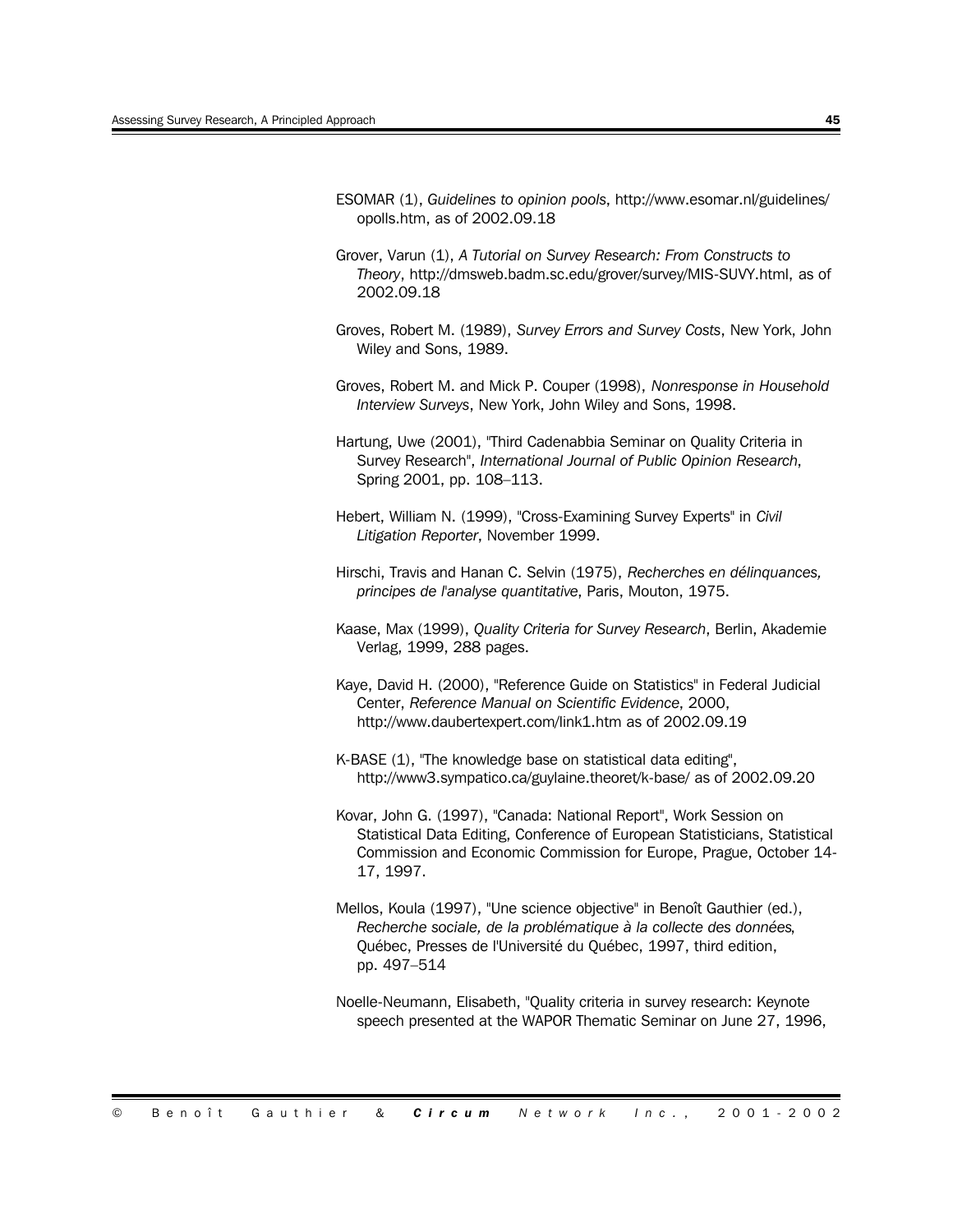- ESOMAR (1), *Guidelines to opinion pools*,<http://www.esomar.nl/guidelines/> opolls.htm, as of 2002.09.18
- Grover, Varun (1), *A Tutorial on Survey Research: From Constructs to Theory*,<http://dmsweb.badm.sc.edu/grover/survey/MIS-SUVY.html,> as of 2002.09.18
- Groves, Robert M. (1989), *Survey Errors and Survey Costs*, New York, John Wiley and Sons, 1989.
- Groves, Robert M. and Mick P. Couper (1998), *Nonresponse in Household Interview Surveys*, New York, John Wiley and Sons, 1998.
- Hartung, Uwe (2001), "Third Cadenabbia Seminar on Quality Criteria in Survey Research", *International Journal of Public Opinion Research*, Spring 2001, pp. 108–113.
- Hebert, William N. (1999), "Cross-Examining Survey Experts" in *Civil Litigation Reporter*, November 1999.
- Hirschi, Travis and Hanan C. Selvin (1975), *Recherches en délinquances, principes de l'analyse quantitative*, Paris, Mouton, 1975.
- Kaase, Max (1999), *Quality Criteria for Survey Research*, Berlin, Akademie Verlag, 1999, 288 pages.
- Kaye, David H. (2000), "Reference Guide on Statistics" in Federal Judicial Center, *Reference Manual on Scientific Evidence*, 2000, <http://www.daubertexpert.com/link1.htm>as of 2002.09.19
- K-BASE (1), "The knowledge base on statistical data editing", <http://www3.sympatico.ca/guylaine.theoret/k-base/>as of 2002.09.20
- Kovar, John G. (1997), "Canada: National Report", Work Session on Statistical Data Editing, Conference of European Statisticians, Statistical Commission and Economic Commission for Europe, Prague, October 14- 17, 1997.
- Mellos, Koula (1997), "Une science objective" in Benoît Gauthier (ed.), *Recherche sociale, de la problématique à la collecte des données*, Québec, Presses de l'Université du Québec, 1997, third edition, pp. 497–514
- Noelle-Neumann, Elisabeth, "Quality criteria in survey research: Keynote speech presented at the WAPOR Thematic Seminar on June 27, 1996,